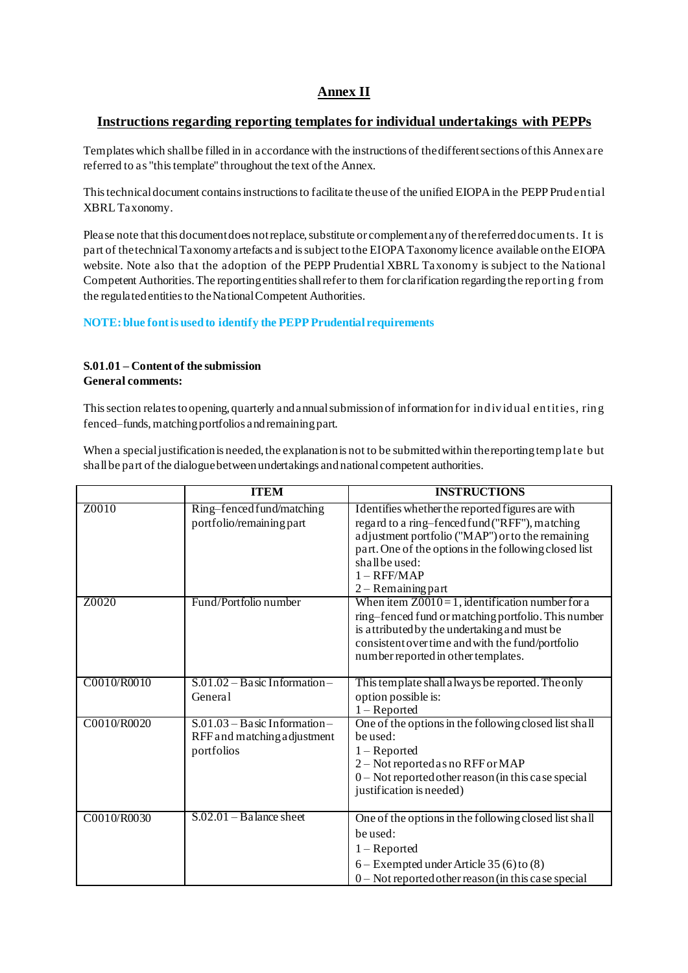# **Annex II**

# **Instructions regarding reporting templates for individual undertakings with PEPPs**

Templates which shall be filled in in accordance with the instructions of the different sections of this Annex are referred to as "this template" throughout the text of the Annex.

This technical document contains instructions to facilitate the use of the unified EIOPA in the PEPP Prudential XBRL Taxonomy.

Please note that this document does not replace, substitute or complement any of the referred documents. I t is part of the technical Taxonomy artefacts and is subject to the EIOPA Taxonomy licence available on the EIOPA website. Note also that the adoption of the PEPP Prudential XBRL Taxonomy is subject to the National Competent Authorities. The reporting entities shall refer to them for clarification regarding the reporting f rom the regulated entities to the National Competent Authorities.

## **NOTE: blue font is used to identify the PEPP Prudential requirements**

### **S.01.01 – Content of the submission General comments:**

This section relates to opening, quarterly and annual submission of information for individual entities, ring fenced–funds, matching portfolios and remaining part.

When a special justification is needed, the explanation is not to be submitted within the reporting template but shallbe part of the dialogue between undertakings and national competent authorities.

|             | <b>ITEM</b>                                                                  | <b>INSTRUCTIONS</b>                                                                                                                                                                                                                                                        |
|-------------|------------------------------------------------------------------------------|----------------------------------------------------------------------------------------------------------------------------------------------------------------------------------------------------------------------------------------------------------------------------|
| Z0010       | Ring-fenced fund/matching<br>portfolio/remaining part                        | Identifies whether the reported figures are with<br>regard to a ring-fenced fund ("RFF"), matching<br>adjustment portfolio ("MAP") or to the remaining<br>part. One of the options in the following closed list<br>shall be used:<br>$1 - RFF/MAP$<br>$2 -$ Remaining part |
| Z0020       | Fund/Portfolio number                                                        | When item $Z0010=1$ , identification number for a<br>ring-fenced fund or matching portfolio. This number<br>is attributed by the undertaking and must be<br>consistent over time and with the fund/portfolio<br>number reported in other templates.                        |
| C0010/R0010 | $S.01.02 - Basic Information -$<br>General                                   | This template shall a lways be reported. The only<br>option possible is:<br>$1 -$ Reported                                                                                                                                                                                 |
| C0010/R0020 | $S.01.03 - Basic Information -$<br>RFF and matching adjustment<br>portfolios | One of the options in the following closed list shall<br>be used:<br>$1 -$ Reported<br>2 - Not reported as no RFF or MAP<br>$0$ – Not reported other reason (in this case special<br>justification is needed)                                                              |
| C0010/R0030 | $S.02.01 - B$ alance sheet                                                   | One of the options in the following closed list shall<br>be used:<br>$1 -$ Reported<br>$6 -$ Exempted under Article 35 (6) to (8)<br>$0$ – Not reported other reason (in this case special                                                                                 |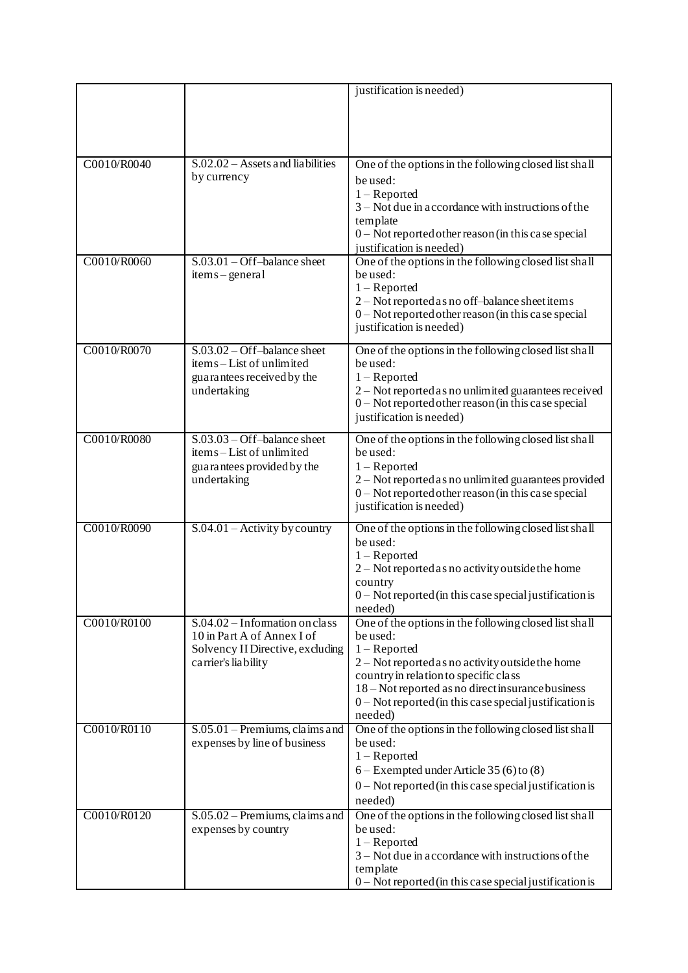|             |                                                | justification is needed)                                                                  |
|-------------|------------------------------------------------|-------------------------------------------------------------------------------------------|
|             |                                                |                                                                                           |
|             |                                                |                                                                                           |
|             |                                                |                                                                                           |
|             |                                                |                                                                                           |
| C0010/R0040 | $S.02.02 - Assets$ and liabilities             | One of the options in the following closed list shall                                     |
|             | by currency                                    | be used:                                                                                  |
|             |                                                | $1 -$ Reported                                                                            |
|             |                                                | $3 -$ Not due in accordance with instructions of the                                      |
|             |                                                | template                                                                                  |
|             |                                                | $0$ – Not reported other reason (in this case special                                     |
|             |                                                | justification is needed)                                                                  |
| C0010/R0060 | $S.03.01 - Off–balance sheet$<br>items-general | One of the options in the following closed list shall<br>be used:                         |
|             |                                                | $1 -$ Reported                                                                            |
|             |                                                | 2 – Not reported as no off-balance sheet items                                            |
|             |                                                | $0$ – Not reported other reason (in this case special                                     |
|             |                                                | justification is needed)                                                                  |
| C0010/R0070 | $S.03.02 - Off$ -balance sheet                 | One of the options in the following closed list shall                                     |
|             | items-List of unlimited                        | be used:                                                                                  |
|             | guarantees received by the                     | $1 -$ Reported                                                                            |
|             | undertaking                                    | 2 – Not reported as no unlimited guarantees received                                      |
|             |                                                | 0 - Not reported other reason (in this case special                                       |
|             |                                                | justification is needed)                                                                  |
| C0010/R0080 | $S.03.03 - Off-balance sheet$                  | One of the options in the following closed list shall                                     |
|             | items-List of unlimited                        | be used:                                                                                  |
|             | guarantees provided by the                     | $1 -$ Reported                                                                            |
|             | undertaking                                    | 2 – Not reported as no unlimited guarantees provided                                      |
|             |                                                | $0$ – Not reported other reason (in this case special                                     |
|             |                                                | justification is needed)                                                                  |
| C0010/R0090 | $S.04.01$ – Activity by country                | One of the options in the following closed list shall                                     |
|             |                                                | be used:                                                                                  |
|             |                                                | $1 -$ Reported<br>2 - Not reported as no activity outside the home                        |
|             |                                                | country                                                                                   |
|             |                                                | $0$ – Not reported (in this case special justification is                                 |
|             |                                                | needed)                                                                                   |
| C0010/R0100 | $S.04.02 - Information on class$               | One of the options in the following closed list shall                                     |
|             | 10 in Part A of Annex I of                     | be used:                                                                                  |
|             | Solvency II Directive, excluding               | $1 -$ Reported                                                                            |
|             | carrier's liability                            | 2 - Not reported as no activity outside the home<br>country in relation to specific class |
|             |                                                | 18 – Not reported as no direct insurance business                                         |
|             |                                                | $0$ – Not reported (in this case special justification is                                 |
|             |                                                | needed)                                                                                   |
| C0010/R0110 | $S.05.01$ – Premiums, claims and               | One of the options in the following closed list shall                                     |
|             | expenses by line of business                   | be used:                                                                                  |
|             |                                                | $1 -$ Reported                                                                            |
|             |                                                | $6 -$ Exempted under Article 35 (6) to (8)                                                |
|             |                                                | $0$ – Not reported (in this case special justification is                                 |
| C0010/R0120 | $S.05.02$ – Premiums, claims and               | needed)<br>One of the options in the following closed list shall                          |
|             | expenses by country                            | be used:                                                                                  |
|             |                                                | $1 -$ Reported                                                                            |
|             |                                                | $3 -$ Not due in accordance with instructions of the                                      |
|             |                                                | template                                                                                  |
|             |                                                | $0$ – Not reported (in this case special justification is                                 |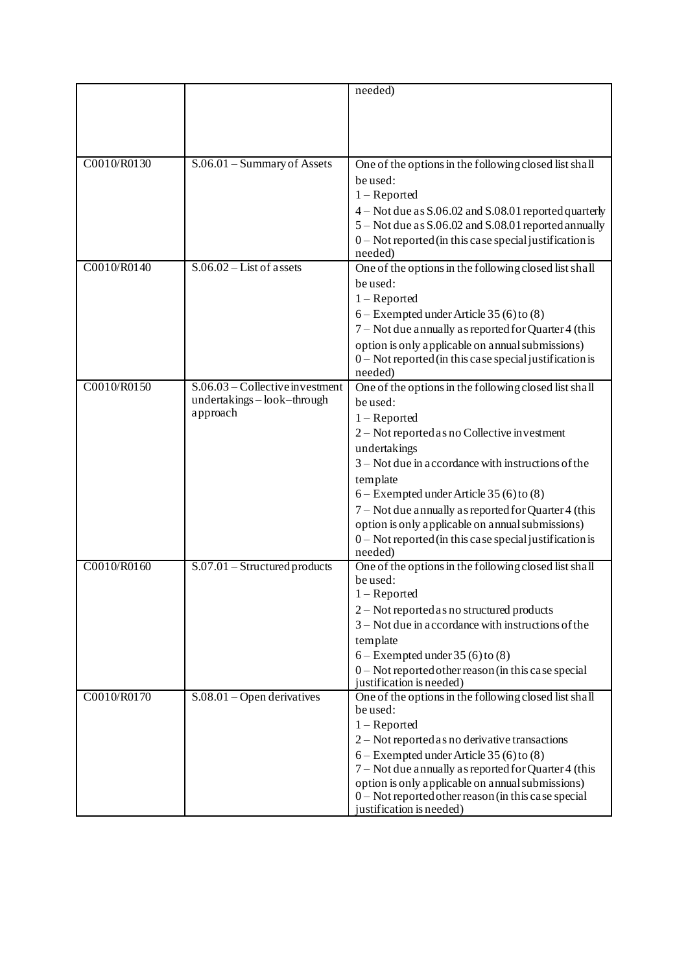|             |                                     | needed)                                                                           |
|-------------|-------------------------------------|-----------------------------------------------------------------------------------|
|             |                                     |                                                                                   |
|             |                                     |                                                                                   |
|             |                                     |                                                                                   |
|             |                                     |                                                                                   |
| C0010/R0130 | S.06.01 - Summary of Assets         | One of the options in the following closed list shall                             |
|             |                                     | be used:                                                                          |
|             |                                     | $1 -$ Reported                                                                    |
|             |                                     | 4 – Not due as S.06.02 and S.08.01 reported quarterly                             |
|             |                                     | 5 – Not due as S.06.02 and S.08.01 reported annually                              |
|             |                                     | $0$ – Not reported (in this case special justification is                         |
|             |                                     | needed)                                                                           |
| C0010/R0140 | $S.06.02 - List$ of assets          | One of the options in the following closed list shall                             |
|             |                                     | be used:                                                                          |
|             |                                     | $1 -$ Reported                                                                    |
|             |                                     | $6 -$ Exempted under Article 35 (6) to (8)                                        |
|             |                                     | 7 – Not due annually as reported for Quarter 4 (this                              |
|             |                                     | option is only applicable on annual submissions)                                  |
|             |                                     | $0$ – Not reported (in this case special justification is                         |
|             |                                     | needed)                                                                           |
| C0010/R0150 | $S.06.03$ – Collective investment   | One of the options in the following closed list shall                             |
|             | undertakings-look-through           | be used:                                                                          |
|             | approach                            | $1 -$ Reported                                                                    |
|             |                                     | 2 - Not reported as no Collective investment                                      |
|             |                                     | undertakings                                                                      |
|             |                                     | $3 -$ Not due in accordance with instructions of the                              |
|             |                                     | template                                                                          |
|             |                                     | $6 -$ Exempted under Article 35 (6) to (8)                                        |
|             |                                     | 7 - Not due annually as reported for Quarter 4 (this                              |
|             |                                     | option is only applicable on annual submissions)                                  |
|             |                                     | $0$ – Not reported (in this case special justification is                         |
|             |                                     | needed)                                                                           |
| C0010/R0160 | $S.07.01$ - Structured products     | One of the options in the following closed list shall                             |
|             |                                     | be used:                                                                          |
|             |                                     | $1 -$ Reported                                                                    |
|             |                                     | 2 - Not reported as no structured products                                        |
|             |                                     | $3 -$ Not due in accordance with instructions of the                              |
|             |                                     | template                                                                          |
|             |                                     | $6 -$ Exempted under 35 (6) to (8)                                                |
|             |                                     | $0$ – Not reported other reason (in this case special<br>justification is needed) |
| C0010/R0170 | $S.08.01 - \text{Open derivatives}$ | One of the options in the following closed list shall                             |
|             |                                     | be used:                                                                          |
|             |                                     | $1 -$ Reported                                                                    |
|             |                                     | $2 - Not$ reported as no derivative transactions                                  |
|             |                                     | $6 -$ Exempted under Article 35 (6) to (8)                                        |
|             |                                     | 7 – Not due annually as reported for Quarter 4 (this                              |
|             |                                     | option is only applicable on annual submissions)                                  |
|             |                                     | 0 - Not reported other reason (in this case special                               |
|             |                                     | justification is needed)                                                          |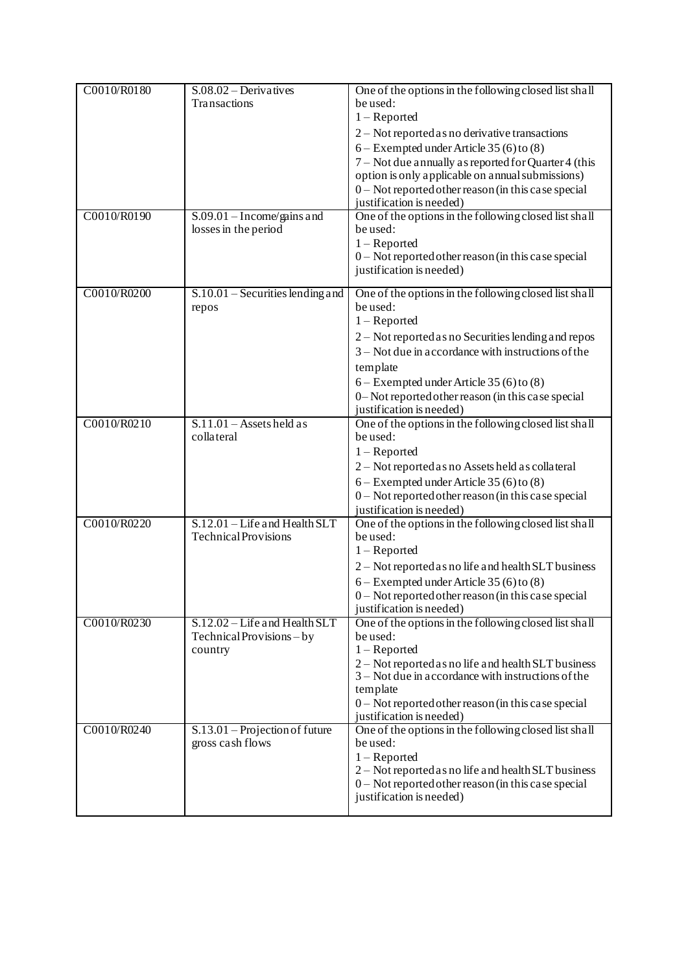| C0010/R0180 | $S.08.02 - Derivatives$                              | One of the options in the following closed list shall                         |
|-------------|------------------------------------------------------|-------------------------------------------------------------------------------|
|             | Transactions                                         | be used:                                                                      |
|             |                                                      | $1 -$ Reported                                                                |
|             |                                                      | $2 - Not$ reported as no derivative transactions                              |
|             |                                                      | $6 -$ Exempted under Article 35 (6) to (8)                                    |
|             |                                                      | 7 – Not due annually as reported for Quarter 4 (this                          |
|             |                                                      | option is only applicable on annual submissions)                              |
|             |                                                      | $0$ – Not reported other reason (in this case special                         |
|             |                                                      | justification is needed)                                                      |
| C0010/R0190 | $S.09.01 - Income/gains and$                         | One of the options in the following closed list shall                         |
|             | losses in the period                                 | be used:<br>$1 -$ Reported                                                    |
|             |                                                      | 0 - Not reported other reason (in this case special                           |
|             |                                                      | justification is needed)                                                      |
|             |                                                      |                                                                               |
| C0010/R0200 | $S.10.01$ – Securities lending and                   | One of the options in the following closed list shall                         |
|             | repos                                                | be used:                                                                      |
|             |                                                      | $1 -$ Reported                                                                |
|             |                                                      | 2 – Not reported as no Securities lending and repos                           |
|             |                                                      | $3 -$ Not due in accordance with instructions of the                          |
|             |                                                      | template                                                                      |
|             |                                                      | $6 -$ Exempted under Article 35 (6) to (8)                                    |
|             |                                                      | 0-Not reported other reason (in this case special<br>justification is needed) |
| C0010/R0210 | $S.11.01 -$ Assets held as                           | One of the options in the following closed list shall                         |
|             | collateral                                           | be used:                                                                      |
|             |                                                      | $1 -$ Reported                                                                |
|             |                                                      | 2 - Not reported as no Assets held as collateral                              |
|             |                                                      | $6 -$ Exempted under Article 35 (6) to (8)                                    |
|             |                                                      | 0 - Not reported other reason (in this case special                           |
|             |                                                      | justification is needed)                                                      |
| C0010/R0220 | S.12.01 - Life and Health SLT                        | One of the options in the following closed list shall                         |
|             | <b>Technical Provisions</b>                          | be used:                                                                      |
|             |                                                      | $1 -$ Reported                                                                |
|             |                                                      | 2 – Not reported as no life and health SLT business                           |
|             |                                                      | $6 -$ Exempted under Article 35 (6) to (8)                                    |
|             |                                                      | $0$ – Not reported other reason (in this case special                         |
|             | S.12.02 – Life and Health SLT                        | justification is needed)                                                      |
| C0010/R0230 | Technical Provisions - by                            | One of the options in the following closed list shall<br>be used:             |
|             | country                                              | $1 -$ Reported                                                                |
|             |                                                      | 2 - Not reported as no life and health SLT business                           |
|             |                                                      | $3 -$ Not due in accordance with instructions of the                          |
|             |                                                      | template                                                                      |
|             |                                                      | 0 - Not reported other reason (in this case special                           |
|             |                                                      | justification is needed)                                                      |
| C0010/R0240 | $S.13.01$ – Projection of future<br>gross cash flows | One of the options in the following closed list shall<br>be used:             |
|             |                                                      | $1 -$ Reported                                                                |
|             |                                                      | 2 – Not reported as no life and health SLT business                           |
|             |                                                      | 0 - Not reported other reason (in this case special                           |
|             |                                                      | justification is needed)                                                      |
|             |                                                      |                                                                               |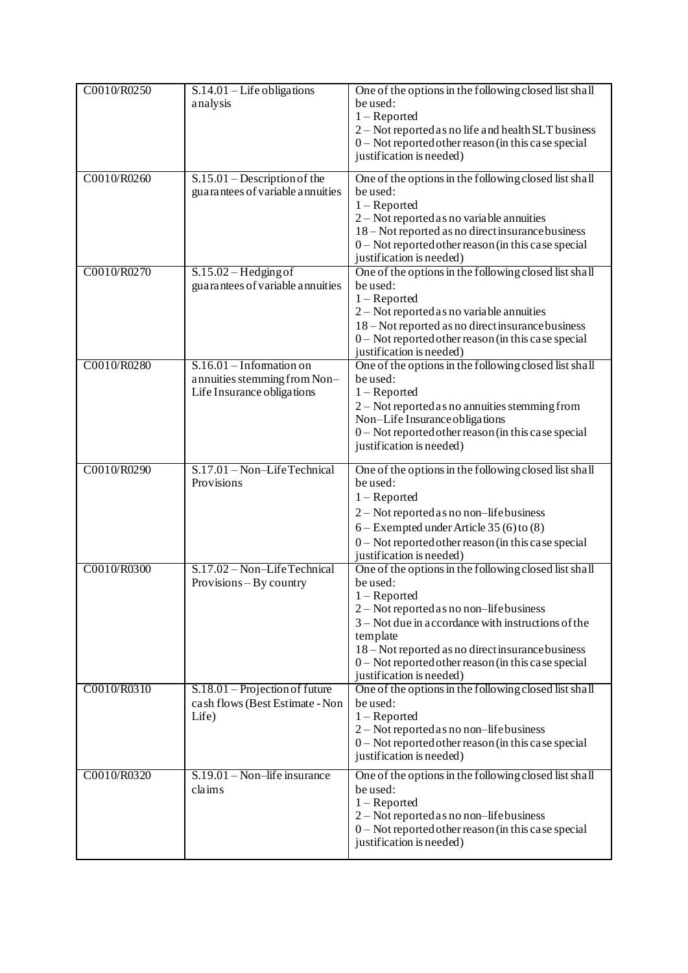| C0010/R0250 | $S.14.01$ – Life obligations<br>analysis                                                 | One of the options in the following closed list shall<br>be used:<br>$1 -$ Reported<br>2 - Not reported as no life and health SLT business<br>0 - Not reported other reason (in this case special<br>justification is needed)                                                                                                                 |
|-------------|------------------------------------------------------------------------------------------|-----------------------------------------------------------------------------------------------------------------------------------------------------------------------------------------------------------------------------------------------------------------------------------------------------------------------------------------------|
| C0010/R0260 | $S.15.01 - Description of the$<br>guarantees of variable annuities                       | One of the options in the following closed list shall<br>be used:<br>$1 -$ Reported<br>$2 - Not$ reported as no variable annuities<br>18 – Not reported as no direct insurance business<br>$0$ – Not reported other reason (in this case special<br>justification is needed)                                                                  |
| C0010/R0270 | $S.15.02 - Hedging of$<br>guarantees of variable annuities                               | One of the options in the following closed list shall<br>be used:<br>$1 -$ Reported<br>2 – Not reported as no variable annuities<br>18 – Not reported as no direct insurance business<br>0 - Not reported other reason (in this case special<br>justification is needed)                                                                      |
| C0010/R0280 | $S.16.01$ – Information on<br>annuities stemming from Non-<br>Life Insurance obligations | One of the options in the following closed list shall<br>be used:<br>$1 -$ Reported<br>$2 -$ Not reported as no annuities stemming from<br>Non-Life Insurance obligations<br>0 - Not reported other reason (in this case special<br>justification is needed)                                                                                  |
| C0010/R0290 | S.17.01 - Non-Life Technical<br>Provisions                                               | One of the options in the following closed list shall<br>be used:<br>$1 -$ Reported<br>$2 - Not$ reported as no non-lifebusiness<br>$6 -$ Exempted under Article 35 (6) to (8)<br>$0$ – Not reported other reason (in this case special<br>justification is needed)                                                                           |
| C0010/R0300 | S.17.02 - Non-Life Technical<br>Provisions – By country                                  | One of the options in the following closed list shall<br>be used:<br>$1 -$ Reported<br>2 - Not reported as no non-life business<br>$3 -$ Not due in accordance with instructions of the<br>template<br>18 – Not reported as no direct insurance business<br>$0$ – Not reported other reason (in this case special<br>justification is needed) |
| C0010/R0310 | $S.18.01$ – Projection of future<br>cash flows (Best Estimate - Non<br>Life)             | One of the options in the following closed list shall<br>be used:<br>$1 -$ Reported<br>$2 - Not$ reported as no non-lifebusiness<br>0 - Not reported other reason (in this case special<br>justification is needed)                                                                                                                           |
| C0010/R0320 | $S.19.01 - Non-life insurance$<br>claims                                                 | One of the options in the following closed list shall<br>be used:<br>$1 -$ Reported<br>2 – Not reported as no non-life business<br>0 - Not reported other reason (in this case special<br>justification is needed)                                                                                                                            |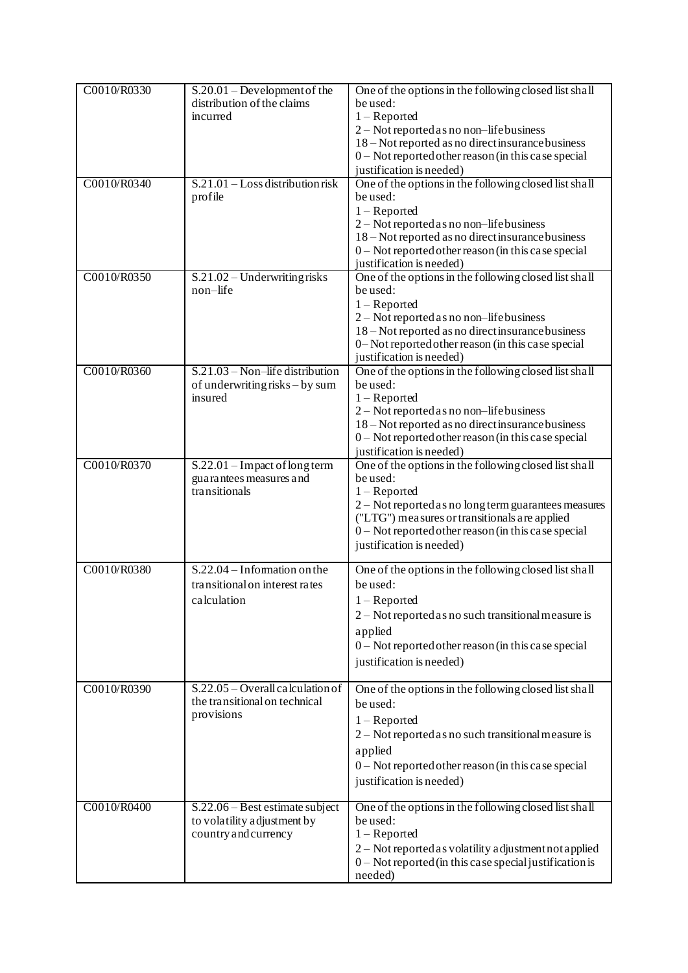| C0010/R0330 | $S.20.01 - Development of the$<br>distribution of the claims<br>incurred                 | One of the options in the following closed list shall<br>be used:<br>$1 -$ Reported<br>2 - Not reported as no non-life business<br>18 – Not reported as no direct insurance business<br>0-Not reported other reason (in this case special<br>justification is needed)           |
|-------------|------------------------------------------------------------------------------------------|---------------------------------------------------------------------------------------------------------------------------------------------------------------------------------------------------------------------------------------------------------------------------------|
| C0010/R0340 | $S.21.01 - Loss$ distribution risk<br>profile                                            | One of the options in the following closed list shall<br>be used:<br>$1 -$ Reported<br>$2 - Not$ reported as no non-lifebusiness<br>18 – Not reported as no direct insurance business<br>0 - Not reported other reason (in this case special<br>justification is needed)        |
| C0010/R0350 | $S.21.02 - Understanding risks$<br>non-life                                              | One of the options in the following closed list shall<br>be used:<br>$1 -$ Reported<br>2 - Not reported as no non-lifebusiness<br>18 – Not reported as no direct insurance business<br>0-Not reported other reason (in this case special<br>justification is needed)            |
| C0010/R0360 | $S.21.03 - Non-life distribution$<br>of underwriting risks – by sum<br>insured           | One of the options in the following closed list shall<br>be used:<br>$1 -$ Reported<br>$2 - Not$ reported as no non-lifebusiness<br>18 – Not reported as no direct insurance business<br>0 - Not reported other reason (in this case special<br>justification is needed)        |
| C0010/R0370 | S.22.01 - Impact of long term<br>guarantees measures and<br>transitionals                | One of the options in the following closed list shall<br>be used:<br>$1 -$ Reported<br>2 - Not reported as no long term guarantees measures<br>("LTG") measures or transitionals are applied<br>0 - Not reported other reason (in this case special<br>justification is needed) |
| C0010/R0380 | $S.22.04 - Information on the$<br>transitional on interest rates<br>calculation          | One of the options in the following closed list shall<br>be used:<br>$1 -$ Reported<br>2 – Not reported as no such transitional measure is<br>applied<br>0 - Not reported other reason (in this case special<br>justification is needed)                                        |
| C0010/R0390 | $S.22.05 - Overall calculation of$<br>the transitional on technical<br>provisions        | One of the options in the following closed list shall<br>be used:<br>$1 -$ Reported<br>2 - Not reported as no such transitional measure is<br>applied<br>0 - Not reported other reason (in this case special<br>justification is needed)                                        |
| C0010/R0400 | $S.22.06 - Best$ estimate subject<br>to volatility adjustment by<br>country and currency | One of the options in the following closed list shall<br>be used:<br>$1 -$ Reported<br>2 – Not reported as volatility adjustment not applied<br>$0$ – Not reported (in this case special justification is<br>needed)                                                            |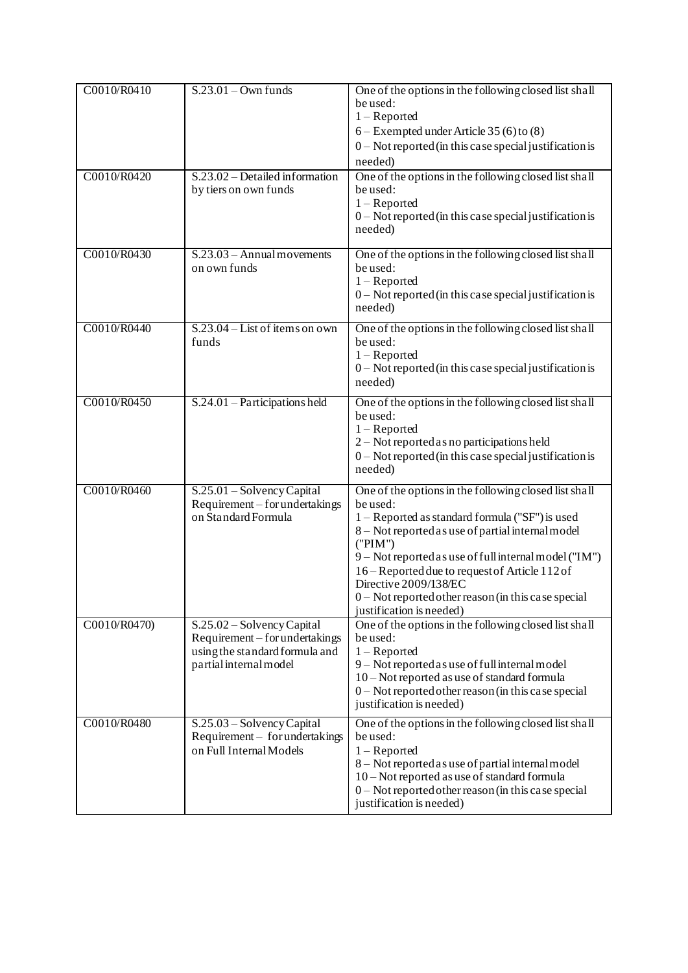| C0010/R0410  | $S.23.01 - Own$ funds                                                                                                    | One of the options in the following closed list shall<br>be used:<br>$1 -$ Reported<br>$6 -$ Exempted under Article 35 (6) to (8)<br>$0$ – Not reported (in this case special justification is<br>needed)                                                                                                                                                                                                     |
|--------------|--------------------------------------------------------------------------------------------------------------------------|---------------------------------------------------------------------------------------------------------------------------------------------------------------------------------------------------------------------------------------------------------------------------------------------------------------------------------------------------------------------------------------------------------------|
| C0010/R0420  | S.23.02 – Detailed information<br>by tiers on own funds                                                                  | One of the options in the following closed list shall<br>be used:<br>$1 -$ Reported<br>$0$ – Not reported (in this case special justification is<br>needed)                                                                                                                                                                                                                                                   |
| C0010/R0430  | $S.23.03 - Annual movements$<br>on own funds                                                                             | One of the options in the following closed list shall<br>be used:<br>$1 -$ Reported<br>$0$ – Not reported (in this case special justification is<br>needed)                                                                                                                                                                                                                                                   |
| C0010/R0440  | $S.23.04 - List$ of items on own<br>funds                                                                                | One of the options in the following closed list shall<br>be used:<br>$1 -$ Reported<br>0 - Not reported (in this case special justification is<br>needed)                                                                                                                                                                                                                                                     |
| C0010/R0450  | $S.24.01$ – Participations held                                                                                          | One of the options in the following closed list shall<br>be used:<br>$1 -$ Reported<br>2 - Not reported as no participations held<br>$0$ – Not reported (in this case special justification is<br>needed)                                                                                                                                                                                                     |
| C0010/R0460  | $S.25.01 - Solvency Capital$<br>Requirement – for undertakings<br>on Standard Formula                                    | One of the options in the following closed list shall<br>be used:<br>1 – Reported as standard formula ("SF") is used<br>8 - Not reported as use of partial internal model<br>('PIM")<br>9 - Not reported as use of full internal model ("IM")<br>16 – Reported due to request of Article 112 of<br>Directive 2009/138/EC<br>$0$ – Not reported other reason (in this case special<br>justification is needed) |
| C0010/R0470) | S.25.02 - Solvency Capital<br>Requirement – for undertakings<br>using the standard formula and<br>partial internal model | One of the options in the following closed list shall<br>be used:<br>$1 -$ Reported<br>9-Not reported as use of full internal model<br>10 – Not reported as use of standard formula<br>0 - Not reported other reason (in this case special<br>justification is needed)                                                                                                                                        |
| C0010/R0480  | S.25.03 - Solvency Capital<br>Requirement - for undertakings<br>on Full Internal Models                                  | One of the options in the following closed list shall<br>be used:<br>$1 -$ Reported<br>8 – Not reported as use of partial internal model<br>10 – Not reported as use of standard formula<br>0 - Not reported other reason (in this case special<br>justification is needed)                                                                                                                                   |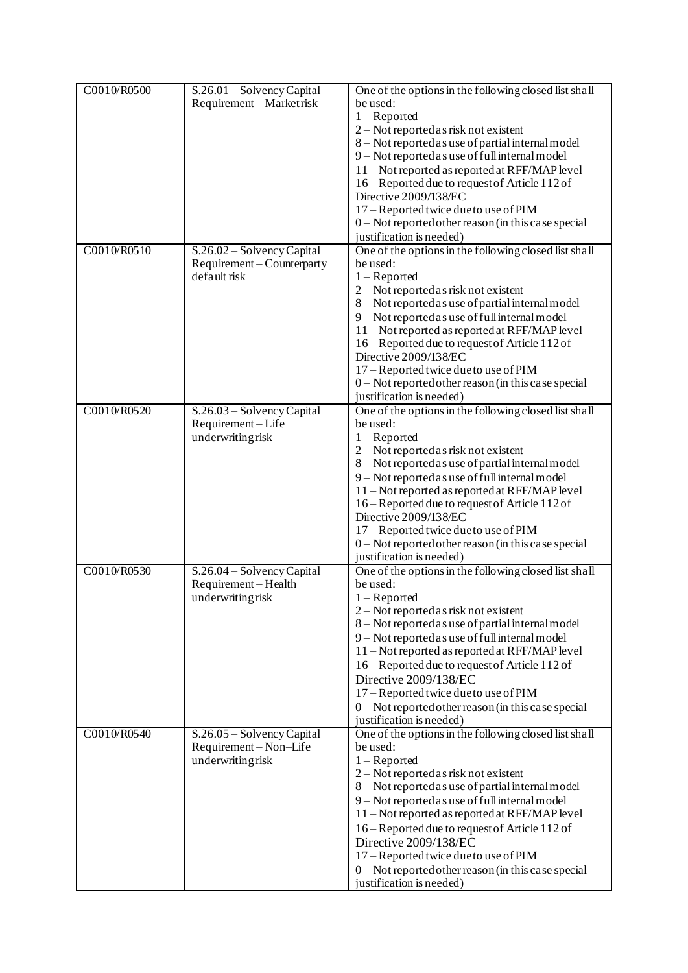| C0010/R0500 | S.26.01 - Solvency Capital<br>Requirement-Marketrisk     | One of the options in the following closed list shall<br>be used:<br>$1 -$ Reported            |
|-------------|----------------------------------------------------------|------------------------------------------------------------------------------------------------|
|             |                                                          | 2 - Not reported as risk not existent<br>8 - Not reported as use of partial internal model     |
|             |                                                          | 9 - Not reported as use of full internal model                                                 |
|             |                                                          | 11 – Not reported as reported at RFF/MAP level                                                 |
|             |                                                          | 16 – Reported due to request of Article 112 of                                                 |
|             |                                                          | Directive 2009/138/EC                                                                          |
|             |                                                          | 17 – Reported twice due to use of PIM                                                          |
|             |                                                          | $0$ – Not reported other reason (in this case special                                          |
|             |                                                          | justification is needed)                                                                       |
| C0010/R0510 | S.26.02 - Solvency Capital<br>Requirement – Counterparty | One of the options in the following closed list shall<br>be used:                              |
|             | default risk                                             | $1 -$ Reported                                                                                 |
|             |                                                          | 2 - Not reported as risk not existent                                                          |
|             |                                                          | 8 - Not reported as use of partial internal model                                              |
|             |                                                          | 9 - Not reported as use of full internal model                                                 |
|             |                                                          | 11 - Not reported as reported at RFF/MAP level                                                 |
|             |                                                          | 16 - Reported due to request of Article 112 of                                                 |
|             |                                                          | Directive 2009/138/EC                                                                          |
|             |                                                          | 17 – Reported twice due to use of PIM                                                          |
|             |                                                          | $0$ – Not reported other reason (in this case special<br>justification is needed)              |
| C0010/R0520 | S.26.03 - Solvency Capital                               | One of the options in the following closed list shall                                          |
|             | Requirement-Life                                         | be used:                                                                                       |
|             | underwriting risk                                        | $1 -$ Reported                                                                                 |
|             |                                                          | 2 – Not reported as risk not existent                                                          |
|             |                                                          | 8 - Not reported as use of partial internal model                                              |
|             |                                                          | 9 - Not reported as use of full internal model                                                 |
|             |                                                          | 11 - Not reported as reported at RFF/MAP level                                                 |
|             |                                                          | 16 - Reported due to request of Article 112 of<br>Directive 2009/138/EC                        |
|             |                                                          | 17 - Reported twice due to use of PIM                                                          |
|             |                                                          | 0 - Not reported other reason (in this case special                                            |
|             |                                                          | justification is needed)                                                                       |
| C0010/R0530 | S.26.04 – Solvency Capital<br>Requirement - Health       | One of the options in the following closed list shall<br>be used:                              |
|             | underwriting risk                                        | $1 -$ Reported                                                                                 |
|             |                                                          | 2 – Not reported as risk not existent                                                          |
|             |                                                          | 8 - Not reported as use of partial internal model                                              |
|             |                                                          | 9 - Not reported as use of full internal model<br>11-Not reported as reported at RFF/MAP level |
|             |                                                          | 16 - Reported due to request of Article 112 of                                                 |
|             |                                                          | Directive 2009/138/EC                                                                          |
|             |                                                          | 17 – Reported twice due to use of PIM                                                          |
|             |                                                          | $0$ – Not reported other reason (in this case special                                          |
|             |                                                          | justification is needed)                                                                       |
| C0010/R0540 | $S.26.05 - Solvency Capital$                             | One of the options in the following closed list shall                                          |
|             | Requirement-Non-Life                                     | be used:                                                                                       |
|             | underwriting risk                                        | $1 -$ Reported<br>2 - Not reported as risk not existent                                        |
|             |                                                          | 8 – Not reported as use of partial internal model                                              |
|             |                                                          | 9 - Not reported as use of full internal model                                                 |
|             |                                                          | 11 – Not reported as reported at RFF/MAP level                                                 |
|             |                                                          | 16 – Reported due to request of Article 112 of                                                 |
|             |                                                          | Directive 2009/138/EC                                                                          |
|             |                                                          | 17 – Reported twice due to use of PIM                                                          |
|             |                                                          | 0 - Not reported other reason (in this case special                                            |
|             |                                                          | justification is needed)                                                                       |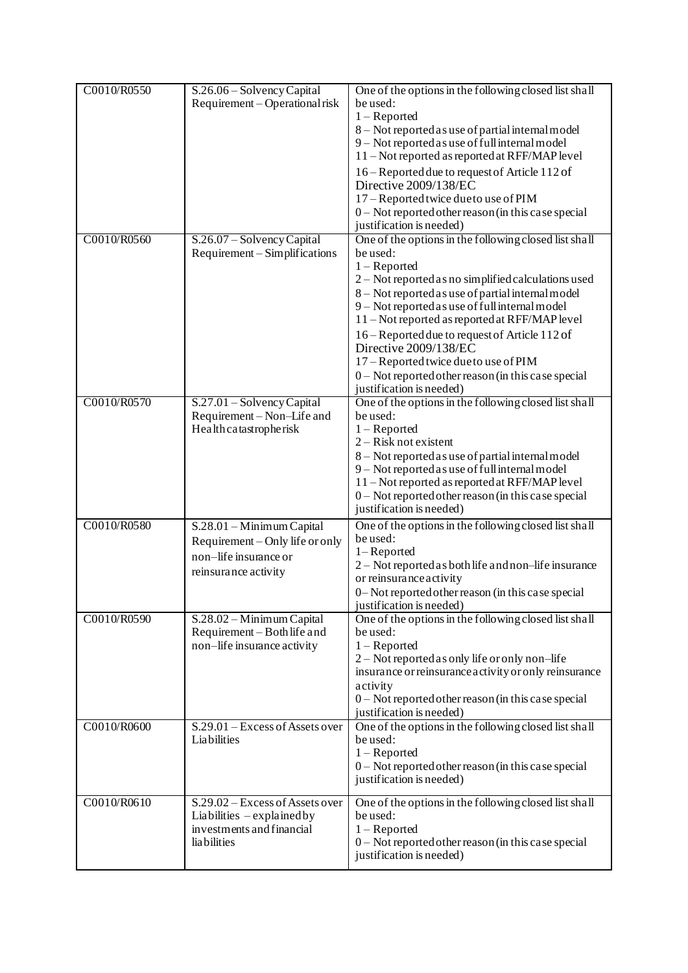| C0010/R0550 | S.26.06 - Solvency Capital<br>Requirement – Operational risk                                                  | One of the options in the following closed list shall<br>be used:<br>$1 -$ Reported<br>8 - Not reported as use of partial internal model<br>9 - Not reported as use of full internal model<br>11 - Not reported as reported at RFF/MAP level<br>16 – Reported due to request of Article 112 of<br>Directive 2009/138/EC<br>17 – Reported twice due to use of PIM<br>0 - Not reported other reason (in this case special<br>justification is needed)                                                          |
|-------------|---------------------------------------------------------------------------------------------------------------|--------------------------------------------------------------------------------------------------------------------------------------------------------------------------------------------------------------------------------------------------------------------------------------------------------------------------------------------------------------------------------------------------------------------------------------------------------------------------------------------------------------|
| C0010/R0560 | S.26.07 - Solvency Capital<br>Requirement – Simplifications                                                   | One of the options in the following closed list shall<br>be used:<br>$1 -$ Reported<br>2 – Not reported as no simplified calculations used<br>8 - Not reported as use of partial internal model<br>9 - Not reported as use of full internal model<br>11 - Not reported as reported at RFF/MAP level<br>16 – Reported due to request of Article 112 of<br>Directive 2009/138/EC<br>17 - Reported twice due to use of PIM<br>$0$ – Not reported other reason (in this case special<br>justification is needed) |
| C0010/R0570 | $S.27.01 - Solvency Capital$<br>Requirement – Non–Life and<br>Health catastropherisk                          | One of the options in the following closed list shall<br>be used:<br>$1 -$ Reported<br>2 – Risk not existent<br>8 - Not reported as use of partial internal model<br>9 - Not reported as use of full internal model<br>11 - Not reported as reported at RFF/MAP level<br>$0$ – Not reported other reason (in this case special<br>justification is needed)                                                                                                                                                   |
| C0010/R0580 | S.28.01 - Minimum Capital<br>Requirement – Only life or only<br>non-life insurance or<br>reinsurance activity | One of the options in the following closed list shall<br>be used:<br>1-Reported<br>2 - Not reported as both life and non-life insurance<br>or reinsurance activity<br>0-Not reported other reason (in this case special<br>justification is needed)                                                                                                                                                                                                                                                          |
| C0010/R0590 | S.28.02 – Minimum Capital<br>Requirement - Both life and<br>non-life insurance activity                       | One of the options in the following closed list shall<br>be used:<br>$1 -$ Reported<br>2 – Not reported as only life or only non-life<br>insurance or reinsurance activity or only reinsurance<br>activity<br>0 - Not reported other reason (in this case special<br>justification is needed)                                                                                                                                                                                                                |
| C0010/R0600 | S.29.01 – Excess of Assets over<br>Liabilities                                                                | One of the options in the following closed list shall<br>be used:<br>$1 -$ Reported<br>0 - Not reported other reason (in this case special<br>justification is needed)                                                                                                                                                                                                                                                                                                                                       |
| C0010/R0610 | S.29.02 – Excess of Assets over<br>Liabilities $-\exp$ lained by<br>investments and financial<br>lia bilities | One of the options in the following closed list shall<br>be used:<br>$1 -$ Reported<br>0 - Not reported other reason (in this case special<br>justification is needed)                                                                                                                                                                                                                                                                                                                                       |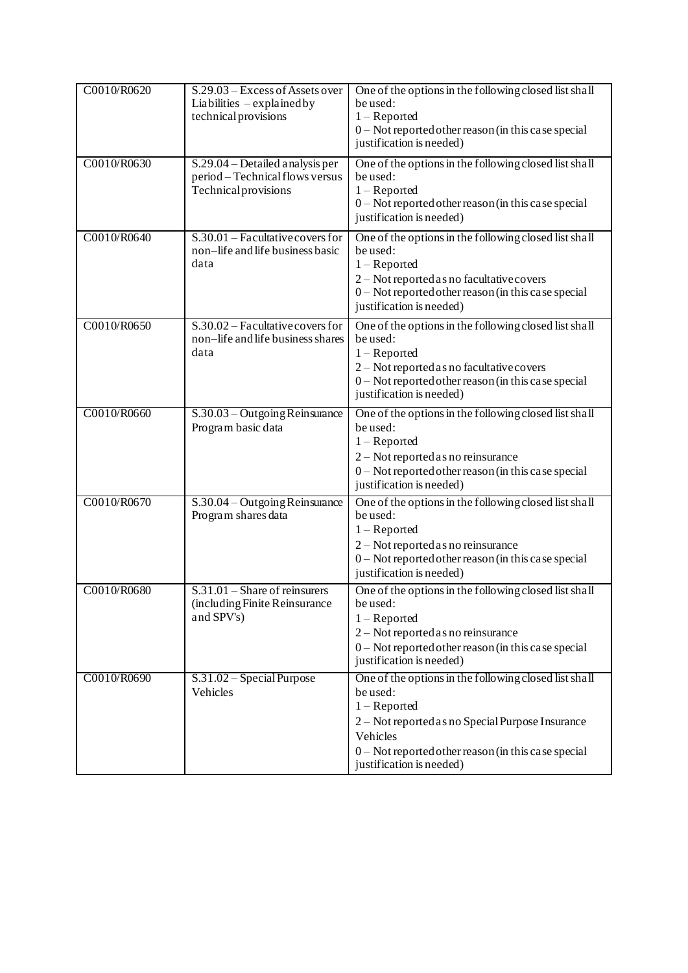| C0010/R0620 | S.29.03 – Excess of Assets over<br>Liabilities $-\exp$ lained by<br>technical provisions   | One of the options in the following closed list shall<br>be used:<br>$1 -$ Reported<br>$0$ – Not reported other reason (in this case special<br>justification is needed)                                                               |
|-------------|--------------------------------------------------------------------------------------------|----------------------------------------------------------------------------------------------------------------------------------------------------------------------------------------------------------------------------------------|
| C0010/R0630 | S.29.04 – Detailed analysis per<br>period - Technical flows versus<br>Technical provisions | One of the options in the following closed list shall<br>be used:<br>$1 -$ Reported<br>0 - Not reported other reason (in this case special<br>justification is needed)                                                                 |
| C0010/R0640 | $S.30.01$ - Facultative covers for<br>non-life and life business basic<br>data             | One of the options in the following closed list shall<br>be used:<br>$1 -$ Reported<br>2 - Not reported as no facultative covers<br>0 - Not reported other reason (in this case special<br>justification is needed)                    |
| C0010/R0650 | $S.30.02$ – Facultative covers for<br>non-life and life business shares<br>data            | One of the options in the following closed list shall<br>be used:<br>$1 -$ Reported<br>2 – Not reported as no facultative covers<br>$0$ – Not reported other reason (in this case special<br>justification is needed)                  |
| C0010/R0660 | S.30.03 – Outgoing Reinsurance<br>Program basic data                                       | One of the options in the following closed list shall<br>be used:<br>$1 -$ Reported<br>2 – Not reported as no reinsurance<br>$0$ – Not reported other reason (in this case special<br>justification is needed)                         |
| C0010/R0670 | S.30.04 - Outgoing Reinsurance<br>Program shares data                                      | One of the options in the following closed list shall<br>be used:<br>$1 -$ Reported<br>2 – Not reported as no reinsurance<br>$0$ – Not reported other reason (in this case special<br>justification is needed)                         |
| C0010/R0680 | $S.31.01 -$ Share of reinsurers<br>(including Finite Reinsurance<br>and SPV's)             | One of the options in the following closed list shall<br>be used:<br>$1 -$ Reported<br>2 – Not reported as no reinsurance<br>$0$ – Not reported other reason (in this case special<br>justification is needed)                         |
| C0010/R0690 | $S.31.02 - Special Purpose$<br>Vehicles                                                    | One of the options in the following closed list shall<br>be used:<br>$1 -$ Reported<br>2 – Not reported as no Special Purpose Insurance<br>Vehicles<br>0 - Not reported other reason (in this case special<br>justification is needed) |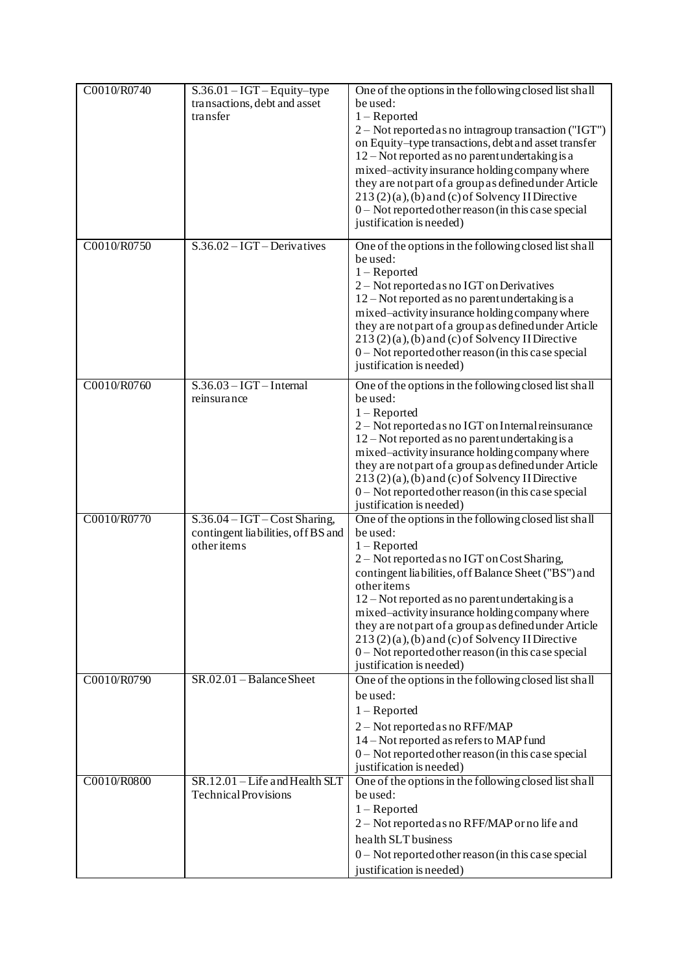| C0010/R0740 | $\overline{S.36.01 - IGT}$ - Equity-type<br>transactions, debt and asset<br>transfer | One of the options in the following closed list shall<br>be used:<br>$1 -$ Reported<br>2 - Not reported as no intragroup transaction ("IGT")<br>on Equity-type transactions, debt and asset transfer<br>12 – Not reported as no parent undertaking is a<br>mixed-activity insurance holding company where<br>they are not part of a group as defined under Article<br>$213(2)(a)$ , (b) and (c) of Solvency II Directive<br>$0$ – Not reported other reason (in this case special<br>justification is needed)       |
|-------------|--------------------------------------------------------------------------------------|---------------------------------------------------------------------------------------------------------------------------------------------------------------------------------------------------------------------------------------------------------------------------------------------------------------------------------------------------------------------------------------------------------------------------------------------------------------------------------------------------------------------|
| C0010/R0750 | $S.36.02 - IGT - Derivatives$                                                        | One of the options in the following closed list shall<br>be used:<br>$1 -$ Reported<br>2 - Not reported as no IGT on Derivatives<br>12 – Not reported as no parent undertaking is a<br>mixed-activity insurance holding company where<br>they are not part of a group as defined under Article<br>$213(2)(a)$ , (b) and (c) of Solvency II Directive<br>$0$ – Not reported other reason (in this case special<br>justification is needed)                                                                           |
| C0010/R0760 | $S.36.03 - IGT - Internal$<br>reinsurance                                            | One of the options in the following closed list shall<br>be used:<br>$1 -$ Reported<br>2 – Not reported as no IGT on Internal reinsurance<br>12 – Not reported as no parent undertaking is a<br>mixed-activity insurance holding company where<br>they are not part of a group as defined under Article<br>213(2)(a), (b) and (c) of Solvency II Directive<br>$0$ – Not reported other reason (in this case special<br>justification is needed)                                                                     |
| C0010/R0770 | $S.36.04 - IGT - Cost Sharing,$<br>contingent liabilities, off BS and<br>other items | One of the options in the following closed list shall<br>be used:<br>$1 -$ Reported<br>2 – Not reported as no IGT on Cost Sharing,<br>contingent liabilities, off Balance Sheet ("BS") and<br>otheritems<br>$12 - Not$ reported as no parent undertaking is a<br>mixed-activity insurance holding company where<br>they are not part of a group as defined under Article<br>$213(2)(a)$ , (b) and (c) of Solvency II Directive<br>$0$ – Not reported other reason (in this case special<br>justification is needed) |
| C0010/R0790 | $SR.02.01 - Balance Sheet$                                                           | One of the options in the following closed list shall<br>be used:<br>$1 -$ Reported<br>2 - Not reported as no RFF/MAP<br>14 - Not reported as refers to MAP fund<br>0 - Not reported other reason (in this case special<br>justification is needed)                                                                                                                                                                                                                                                                 |
| C0010/R0800 | $SR.12.01 - Life$ and Health SLT<br><b>Technical Provisions</b>                      | One of the options in the following closed list shall<br>be used:<br>$1 -$ Reported<br>2 – Not reported as no RFF/MAP or no life and<br>health SLT business<br>0 - Not reported other reason (in this case special<br>justification is needed)                                                                                                                                                                                                                                                                      |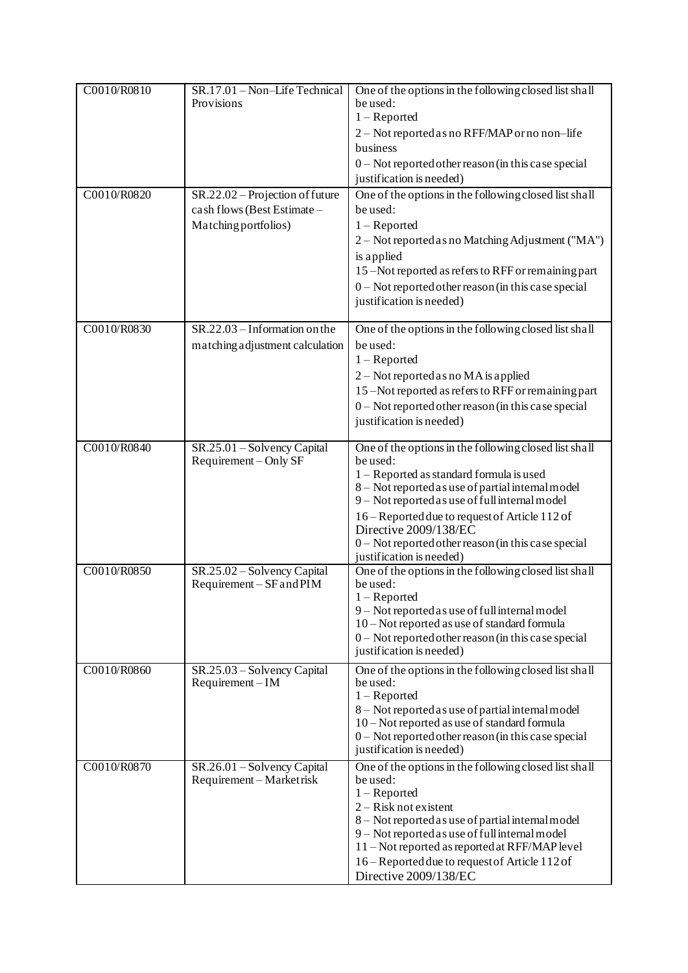| C0010/R0810 | SR.17.01 - Non-Life Technical<br>Provisions                                            | One of the options in the following closed list shall<br>be used:<br>$1 -$ Reported<br>2 - Not reported as no RFF/MAP or no non-life<br>business<br>0 - Not reported other reason (in this case special<br>justification is needed)                                                                                                                                                  |
|-------------|----------------------------------------------------------------------------------------|--------------------------------------------------------------------------------------------------------------------------------------------------------------------------------------------------------------------------------------------------------------------------------------------------------------------------------------------------------------------------------------|
| C0010/R0820 | SR.22.02 – Projection of future<br>cash flows (Best Estimate -<br>Matching portfolios) | One of the options in the following closed list shall<br>be used:<br>$1 -$ Reported<br>2 – Not reported as no Matching Adjustment ("MA")<br>is applied<br>15 –Not reported as refers to RFF or remaining part<br>$0$ – Not reported other reason (in this case special<br>justification is needed)                                                                                   |
| C0010/R0830 | $SR.22.03 - Information on the$<br>matching adjustment calculation                     | One of the options in the following closed list shall<br>be used:<br>$1 -$ Reported<br>2 – Not reported as no MA is applied<br>15-Not reported as refers to RFF or remaining part<br>$0$ – Not reported other reason (in this case special<br>justification is needed)                                                                                                               |
| C0010/R0840 | SR.25.01 - Solvency Capital<br>Requirement – Only SF                                   | One of the options in the following closed list shall<br>be used:<br>1 – Reported as standard formula is used<br>8 - Not reported as use of partial internal model<br>9 - Not reported as use of full internal model<br>16 – Reported due to request of Article 112 of<br>Directive 2009/138/EC<br>$0$ – Not reported other reason (in this case special<br>justification is needed) |
| C0010/R0850 | SR.25.02 - Solvency Capital<br>Requirement - SF and PIM                                | One of the options in the following closed list shall<br>be used:<br>$1 -$ Reported<br>9 - Not reported as use of full internal model<br>10 – Not reported as use of standard formula<br>$0$ – Not reported other reason (in this case special<br>justification is needed)                                                                                                           |
| C0010/R0860 | SR.25.03 - Solvency Capital<br>$Required - IM$                                         | One of the options in the following closed list shall<br>be used:<br>$1 -$ Reported<br>8 – Not reported as use of partial internal model<br>10 – Not reported as use of standard formula<br>$0$ – Not reported other reason (in this case special<br>justification is needed)                                                                                                        |
| C0010/R0870 | SR.26.01 – Solvency Capital<br>Requirement – Market risk                               | One of the options in the following closed list shall<br>be used:<br>$1 -$ Reported<br>$2 - Risk not exist$<br>8 - Not reported as use of partial internal model<br>9 - Not reported as use of full internal model<br>11 – Not reported as reported at RFF/MAP level<br>16 – Reported due to request of Article 112 of<br>Directive 2009/138/EC                                      |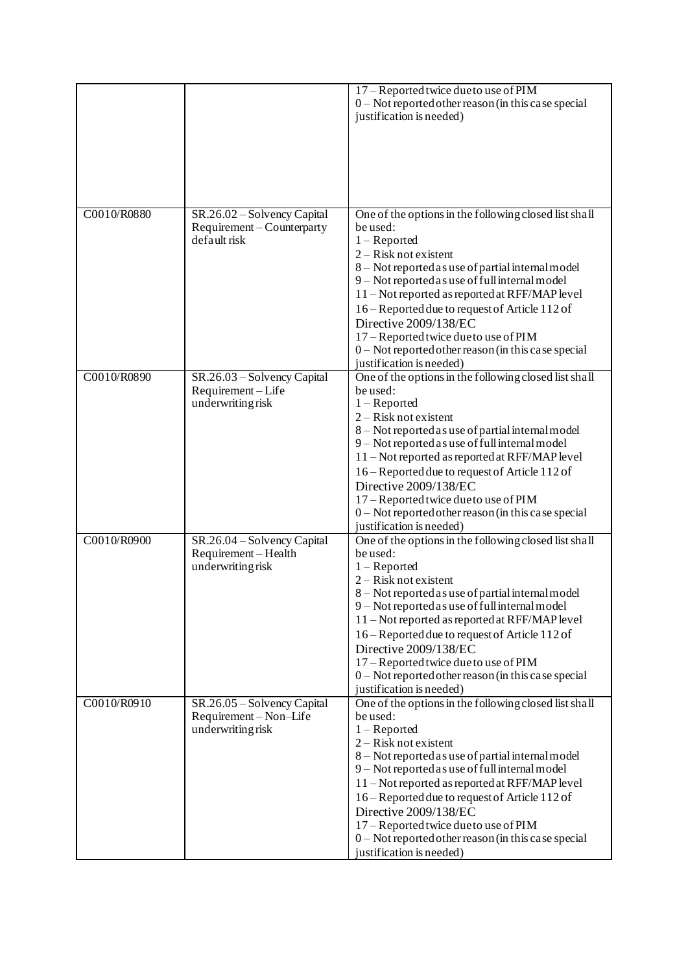|             |                                                                           | 17 – Reported twice due to use of PIM<br>$0$ – Not reported other reason (in this case special<br>justification is needed)                                                                                                                                                                                                                                                                                                                                                     |
|-------------|---------------------------------------------------------------------------|--------------------------------------------------------------------------------------------------------------------------------------------------------------------------------------------------------------------------------------------------------------------------------------------------------------------------------------------------------------------------------------------------------------------------------------------------------------------------------|
| C0010/R0880 | SR.26.02 - Solvency Capital<br>Requirement – Counterparty<br>default risk | One of the options in the following closed list shall<br>be used:<br>$1 -$ Reported<br>2 - Risk not existent<br>8-Not reported as use of partial internal model<br>9 - Not reported as use of full internal model<br>11 - Not reported as reported at RFF/MAP level<br>16 - Reported due to request of Article 112 of<br>Directive 2009/138/EC<br>17 - Reported twice due to use of PIM<br>0 - Not reported other reason (in this case special<br>justification is needed)     |
| C0010/R0890 | SR.26.03 - Solvency Capital<br>Requirement-Life<br>underwriting risk      | One of the options in the following closed list shall<br>be used:<br>$1 -$ Reported<br>2 - Risk not existent<br>8 - Not reported as use of partial internal model<br>9 - Not reported as use of full internal model<br>11 - Not reported as reported at RFF/MAP level<br>16 – Reported due to request of Article 112 of<br>Directive 2009/138/EC<br>17 - Reported twice due to use of PIM<br>$0$ – Not reported other reason (in this case special<br>justification is needed) |
| C0010/R0900 | SR.26.04 – Solvency Capital<br>Requirement-Health<br>underwriting risk    | One of the options in the following closed list shall<br>be used:<br>$1 -$ Reported<br>2 - Risk not existent<br>8 - Not reported as use of partial internal model<br>9 - Not reported as use of full internal model<br>11 - Not reported as reported at RFF/MAP level<br>16 - Reported due to request of Article 112 of<br>Directive 2009/138/EC<br>17 – Reported twice due to use of PIM<br>0 - Not reported other reason (in this case special<br>justification is needed)   |
| C0010/R0910 | SR.26.05 - Solvency Capital<br>Requirement-Non-Life<br>underwriting risk  | One of the options in the following closed list shall<br>be used:<br>$1 -$ Reported<br>2 - Risk not existent<br>8 - Not reported as use of partial internal model<br>9 – Not reported as use of full internal model<br>11 – Not reported as reported at RFF/MAP level<br>16 – Reported due to request of Article 112 of<br>Directive 2009/138/EC<br>17 - Reported twice due to use of PIM<br>$0$ – Not reported other reason (in this case special<br>justification is needed) |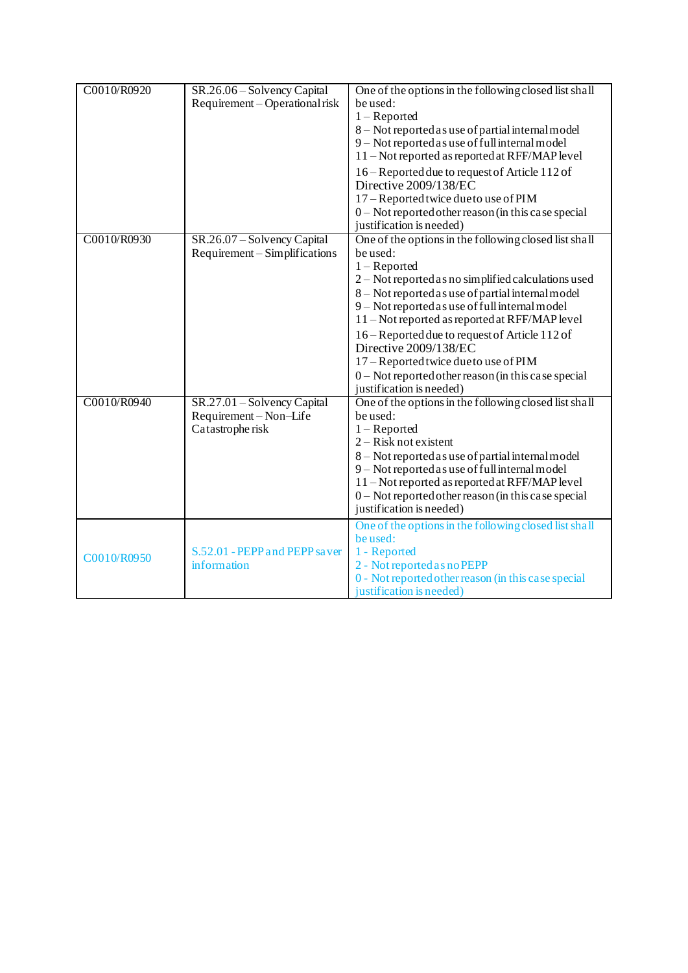| C0010/R0920 | SR.26.06 - Solvency Capital    | One of the options in the following closed list shall                                            |
|-------------|--------------------------------|--------------------------------------------------------------------------------------------------|
|             | Requirement – Operational risk | be used:                                                                                         |
|             |                                | $1 -$ Reported                                                                                   |
|             |                                | 8 - Not reported as use of partial internal model                                                |
|             |                                | 9 - Not reported as use of full internal model<br>11 – Not reported as reported at RFF/MAP level |
|             |                                |                                                                                                  |
|             |                                | 16 – Reported due to request of Article 112 of<br>Directive 2009/138/EC                          |
|             |                                | 17 – Reported twice due to use of PIM                                                            |
|             |                                | 0 - Not reported other reason (in this case special                                              |
|             |                                | justification is needed)                                                                         |
| C0010/R0930 | SR.26.07 – Solvency Capital    | One of the options in the following closed list shall                                            |
|             | Requirement – Simplifications  | be used:                                                                                         |
|             |                                | $1 -$ Reported                                                                                   |
|             |                                | 2 – Not reported as no simplified calculations used                                              |
|             |                                | 8 - Not reported as use of partial internal model                                                |
|             |                                | 9 - Not reported as use of full internal model                                                   |
|             |                                | 11 - Not reported as reported at RFF/MAP level                                                   |
|             |                                | 16 – Reported due to request of Article 112 of                                                   |
|             |                                | Directive 2009/138/EC                                                                            |
|             |                                | 17 - Reported twice due to use of PIM                                                            |
|             |                                | 0 - Not reported other reason (in this case special<br>justification is needed)                  |
| C0010/R0940 | SR.27.01 – Solvency Capital    | One of the options in the following closed list shall                                            |
|             | Requirement-Non-Life           | be used:                                                                                         |
|             | Catastrophe risk               | $1 -$ Reported                                                                                   |
|             |                                | 2 - Risk not existent                                                                            |
|             |                                | 8 - Not reported as use of partial internal model                                                |
|             |                                | 9 - Not reported as use of full internal model                                                   |
|             |                                | 11 - Not reported as reported at RFF/MAP level                                                   |
|             |                                | 0 - Not reported other reason (in this case special                                              |
|             |                                | justification is needed)                                                                         |
|             |                                | One of the options in the following closed list shall                                            |
|             |                                | be used:                                                                                         |
| C0010/R0950 | S.52.01 - PEPP and PEPP saver  | 1 - Reported                                                                                     |
|             | information                    | 2 - Not reported as no PEPP                                                                      |
|             |                                | 0 - Not reported other reason (in this case special<br>justification is needed)                  |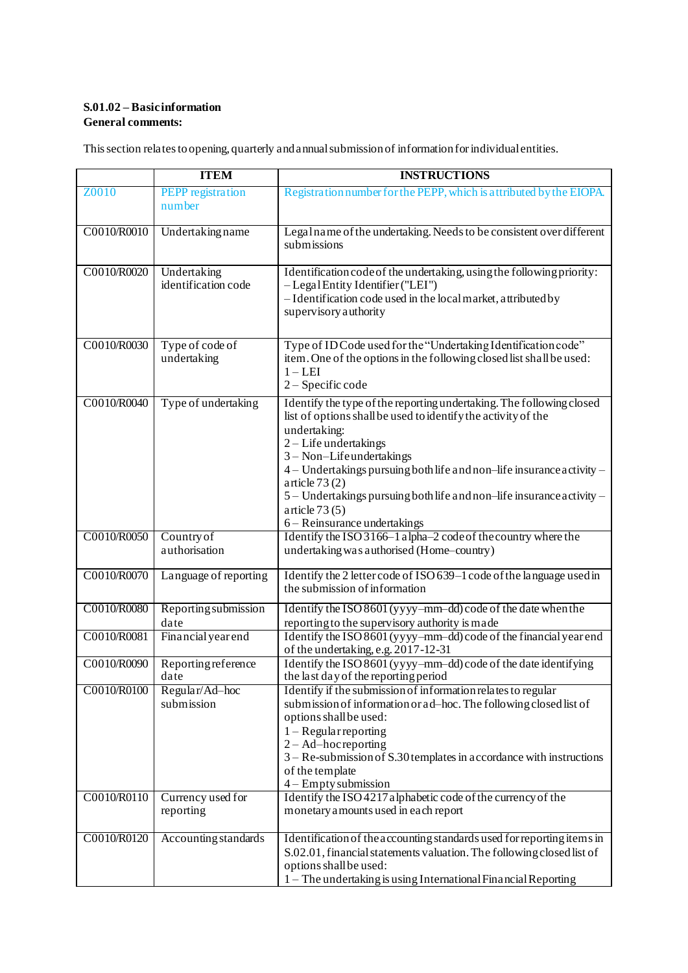## **S.01.02 – Basic information General comments:**

This section relates to opening, quarterly and annual submission of information for individual entities.

|             | <b>ITEM</b>                        | <b>INSTRUCTIONS</b>                                                                                  |
|-------------|------------------------------------|------------------------------------------------------------------------------------------------------|
| Z0010       | <b>PEPP</b> registration           | Registration number for the PEPP, which is attributed by the EIOPA.                                  |
|             | number                             |                                                                                                      |
|             |                                    |                                                                                                      |
| C0010/R0010 | Undertaking name                   | Legalname of the undertaking. Needs to be consistent over different                                  |
|             |                                    | submissions                                                                                          |
| C0010/R0020 |                                    | Identification code of the undertaking, using the following priority:                                |
|             | Undertaking<br>identification code | - Legal Entity Identifier ("LEI")                                                                    |
|             |                                    | - Identification code used in the local market, attributed by                                        |
|             |                                    | supervisory authority                                                                                |
|             |                                    |                                                                                                      |
| C0010/R0030 | Type of code of                    | Type of ID Code used for the "Undertaking Identification code"                                       |
|             | undertaking                        | item. One of the options in the following closed list shall be used:                                 |
|             |                                    | $1 - LEI$                                                                                            |
|             |                                    | 2 - Specific code                                                                                    |
| C0010/R0040 | Type of undertaking                | Identify the type of the reporting undertaking. The following closed                                 |
|             |                                    | list of options shall be used to identify the activity of the                                        |
|             |                                    | undertaking:                                                                                         |
|             |                                    | 2-Life undertakings<br>3 - Non-Lifeundertakings                                                      |
|             |                                    | 4 - Undertakings pursuing both life and non-life insurance activity -                                |
|             |                                    | article $73(2)$                                                                                      |
|             |                                    | 5 - Undertakings pursuing both life and non-life insurance activity -                                |
|             |                                    | article $73(5)$                                                                                      |
|             |                                    | 6 – Reinsurance undertakings                                                                         |
| C0010/R0050 | Country of                         | Identify the ISO 3166-1 alpha-2 code of the country where the                                        |
|             | authorisation                      | undertaking was authorised (Home-country)                                                            |
| C0010/R0070 | Language of reporting              | Identify the 2 letter code of ISO 639-1 code of the language used in                                 |
|             |                                    | the submission of information                                                                        |
| C0010/R0080 | Reporting submission               | Identify the ISO 8601 (yyyy-mm-dd) code of the date when the                                         |
|             | date                               | reporting to the supervisory authority is made                                                       |
| C0010/R0081 | Financial year end                 | Identify the ISO 8601 (yyyy-mm-dd) code of the financial year end                                    |
|             |                                    | of the undertaking, e.g. 2017-12-31                                                                  |
| C0010/R0090 | Reporting reference                | Identify the ISO 8601 (yyyy-mm-dd) code of the date identifying                                      |
| C0010/R0100 | date<br>Regular/Ad-hoc             | the last day of the reporting period<br>Identify if the submission of information relates to regular |
|             | submission                         | submission of information or ad-hoc. The following closed list of                                    |
|             |                                    | options shall be used:                                                                               |
|             |                                    | $1 - Regular reporting$                                                                              |
|             |                                    | $2 - Ad$ -hoc reporting                                                                              |
|             |                                    | $3 - Re$ -submission of S.30 templates in a coordance with instructions                              |
|             |                                    | of the template                                                                                      |
|             |                                    | $4 -$ Empty submission                                                                               |
| C0010/R0110 | Currency used for<br>reporting     | Identify the ISO 4217 alphabetic code of the currency of the<br>monetary amounts used in each report |
|             |                                    |                                                                                                      |
| C0010/R0120 | Accounting standards               | Identification of the accounting standards used for reporting items in                               |
|             |                                    | S.02.01, financial statements valuation. The following closed list of                                |
|             |                                    | options shall be used:                                                                               |
|             |                                    | 1 – The undertaking is using International Financial Reporting                                       |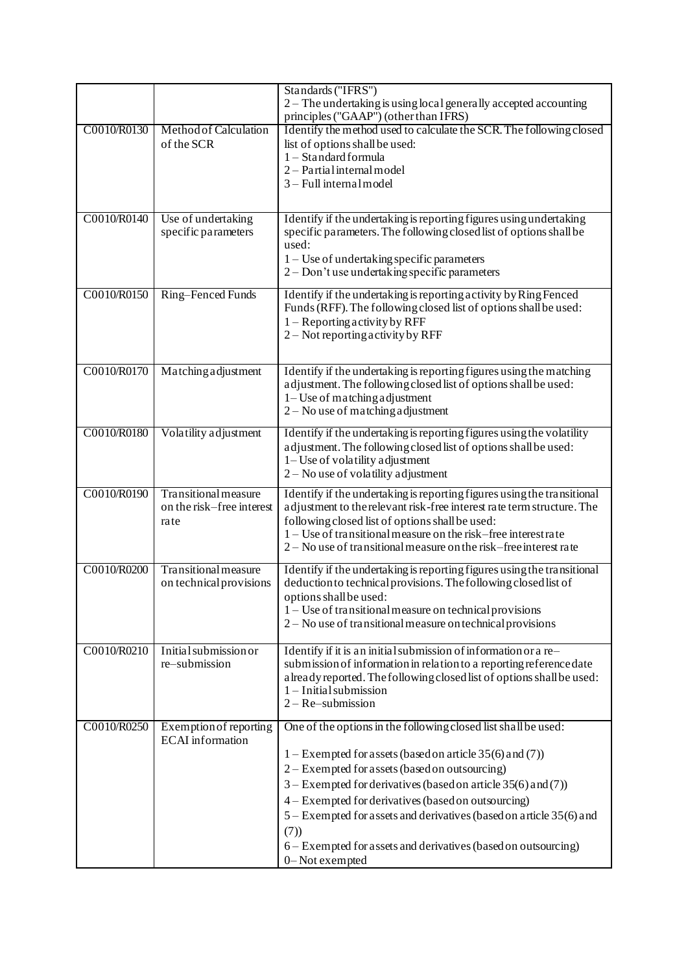|             |                                                           | Standards ("IFRS")<br>2 - The undertaking is using local generally accepted accounting<br>principles ("GAAP") (other than IFRS)                                                                                                                                                                                                                                                                                                                                              |
|-------------|-----------------------------------------------------------|------------------------------------------------------------------------------------------------------------------------------------------------------------------------------------------------------------------------------------------------------------------------------------------------------------------------------------------------------------------------------------------------------------------------------------------------------------------------------|
| C0010/R0130 | Method of Calculation<br>of the SCR                       | Identify the method used to calculate the SCR. The following closed<br>list of options shall be used:<br>1 - Standard formula<br>2 - Partial internal model<br>3-Full internal model                                                                                                                                                                                                                                                                                         |
| C0010/R0140 | Use of undertaking<br>specific parameters                 | Identify if the undertaking is reporting figures using undertaking<br>specific parameters. The following closed list of options shall be<br>used:<br>1 – Use of undertaking specific parameters<br>2 – Don't use undertaking specific parameters                                                                                                                                                                                                                             |
| C0010/R0150 | Ring-Fenced Funds                                         | Identify if the undertaking is reporting activity by Ring Fenced<br>Funds (RFF). The following closed list of options shall be used:<br>$1 -$ Reporting activity by RFF<br>2 – Not reporting activity by RFF                                                                                                                                                                                                                                                                 |
| C0010/R0170 | Matching adjustment                                       | Identify if the undertaking is reporting figures using the matching<br>adjustment. The following closed list of options shall be used:<br>$1 -$ Use of matching adjustment<br>$2 - No$ use of matching adjustment                                                                                                                                                                                                                                                            |
| C0010/R0180 | Volatility adjustment                                     | Identify if the undertaking is reporting figures using the volatility<br>adjustment. The following closed list of options shall be used:<br>1– Use of volatility adjustment<br>$2 - No$ use of volatility adjustment                                                                                                                                                                                                                                                         |
| C0010/R0190 | Transitional measure<br>on the risk-free interest<br>rate | Identify if the undertaking is reporting figures using the transitional<br>adjustment to the relevant risk-free interest rate term structure. The<br>following closed list of options shall be used:<br>1 – Use of transitional measure on the risk–free interestrate<br>2 – No use of transitional measure on the risk–free interest rate                                                                                                                                   |
| C0010/R0200 | Transitional measure<br>on technical provisions           | Identify if the undertaking is reporting figures using the transitional<br>deduction to technical provisions. The following closed list of<br>options shall be used:<br>$1 -$ Use of transitional measure on technical provisions<br>2 – No use of transitional measure on technical provisions                                                                                                                                                                              |
| C0010/R0210 | Initial submission or<br>re-submission                    | Identify if it is an initial submission of information or a re-<br>submission of information in relation to a reporting reference date<br>a lready reported. The following closed list of options shall be used:<br>$1$ – Initial submission<br>$2 - Re$ -submission                                                                                                                                                                                                         |
| C0010/R0250 | Exemption of reporting<br><b>ECAI</b> information         | One of the options in the following closed list shall be used:<br>1 – Exempted for assets (based on article $35(6)$ and (7))<br>2 – Exempted for a ssets (based on outsourcing)<br>$3 -$ Exempted for derivatives (based on article 35(6) and (7))<br>4 – Exempted for derivatives (based on outsourcing)<br>5 – Exempted for assets and derivatives (based on article 35(6) and<br>(7))<br>6 – Exempted for assets and derivatives (based on outsourcing)<br>0-Not exempted |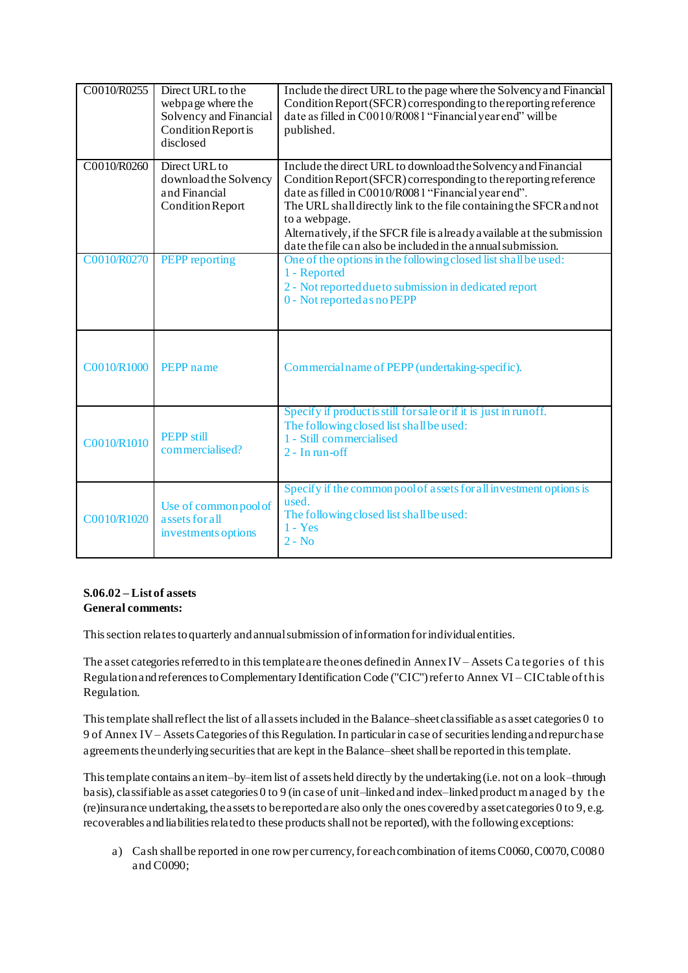| C0010/R0255 | Direct URL to the<br>webpage where the<br>Solvency and Financial<br>Condition Report is<br>disclosed | Include the direct URL to the page where the Solvency and Financial<br>Condition Report (SFCR) corresponding to the reporting reference<br>date as filled in C0010/R0081 "Financial year end" will be<br>published.                                                                                                                                                                                                          |
|-------------|------------------------------------------------------------------------------------------------------|------------------------------------------------------------------------------------------------------------------------------------------------------------------------------------------------------------------------------------------------------------------------------------------------------------------------------------------------------------------------------------------------------------------------------|
| C0010/R0260 | Direct URL to<br>download the Solvency<br>and Financial<br><b>Condition Report</b>                   | Include the direct URL to download the Solvency and Financial<br>Condition Report (SFCR) corresponding to the reporting reference<br>date as filled in C0010/R0081 "Financial year end".<br>The URL shall directly link to the file containing the SFCR and not<br>to a webpage.<br>Alternatively, if the SFCR file is a lready a vailable at the submission<br>date the file can also be included in the annual submission. |
| C0010/R0270 | <b>PEPP</b> reporting                                                                                | One of the options in the following closed list shall be used:<br>1 - Reported<br>2 - Not reported due to submission in dedicated report<br>0 - Not reported as no PEPP                                                                                                                                                                                                                                                      |
| C0010/R1000 | PEPP name                                                                                            | Commercial name of PEPP (undertaking-specific).                                                                                                                                                                                                                                                                                                                                                                              |
| C0010/R1010 | <b>PEPP</b> still<br>commercialised?                                                                 | Specify if product is still for sale or if it is just in runoff.<br>The following closed list shall be used:<br>1 - Still commercialised<br>$2 - In run-off$                                                                                                                                                                                                                                                                 |
| C0010/R1020 | Use of common pool of<br>assets for all<br>investments options                                       | Specify if the common pool of assets for all investment options is<br>used.<br>The following closed list shall be used:<br>$1 - Yes$<br>$2 - No$                                                                                                                                                                                                                                                                             |

### **S.06.02 – List of assets General comments:**

This section relates to quarterly and annual submission of information for individual entities.

The asset categories referred to in this template are the ones defined in AnnexIV – Assets Ca tegories of this Regulation and references to Complementary Identification Code ("CIC") refer to Annex VI – CIC table of this Regulation.

This template shallreflect the list of all assets included in the Balance–sheetclassifiable as asset categories 0 to 9 of Annex IV – Assets Categories of this Regulation. In particular in case of securities lending and repurchase agreements the underlying securities that are kept in the Balance–sheet shall be reported in this template.

This template contains an item–by–item list of assets held directly by the undertaking (i.e. not on a look–through basis), classifiable as asset categories 0 to 9 (in case of unit–linked and index–linked product m anaged by the (re)insurance undertaking, the assets to be reported are also only the ones covered by asset categories 0 to 9, e.g. recoverables and liabilities related to these productsshallnot be reported), with the following exceptions:

a) Cash shall be reported in one row per currency, for each combination of items C0060, C0070, C0080 and C0090;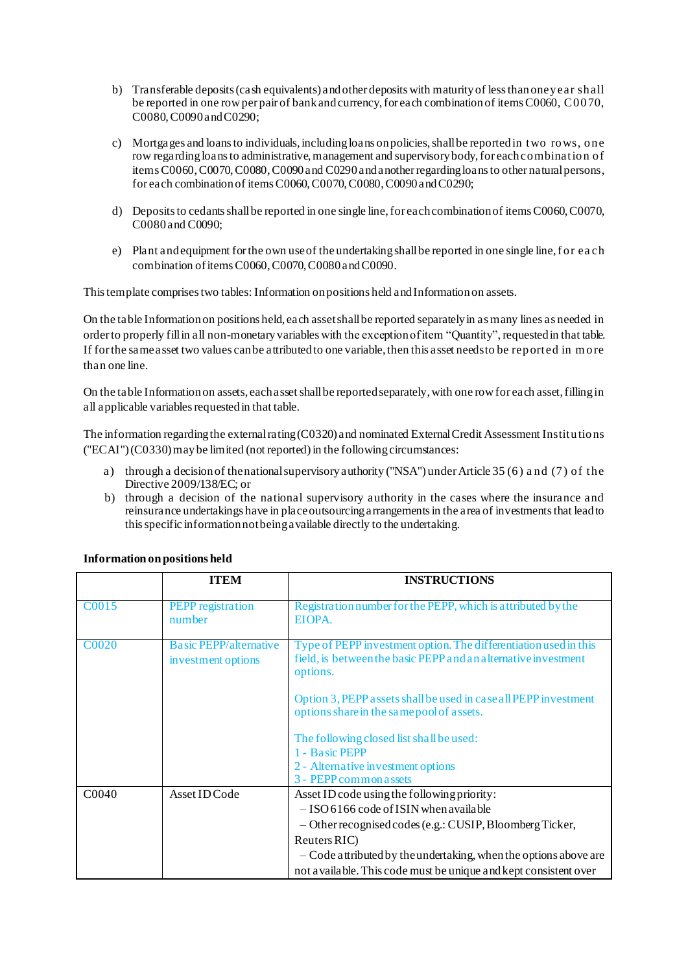- b) Transferable deposits (cash equivalents) and other deposits with maturity of less than one year shall be reported in one row per pair of bank and currency, for each combination of items C0060, C0070, C0080, C0090 and C0290;
- c) Mortgages and loans to individuals, including loans on policies, shall be reported in two rows, one row regarding loans to administrative, management and supervisory body, for each combination of items C0060, C0070, C0080, C0090 and C0290 and another regarding loans to other natural persons, for each combination of items C0060, C0070, C0080, C0090 and C0290;
- d) Deposits to cedants shall be reported in one single line, for each combination of items C0060, C0070, C0080 and C0090;
- e) Plant and equipment for the own use of the undertaking shall be reported in one single line, f or ea ch combination of items C0060, C0070, C0080 and C0090.

This template comprises two tables: Information on positions held and Information on assets.

On the table Information on positions held, each asset shall be reported separately in as many lines as needed in order to properly fill in all non-monetary variables with the exception of item "Quantity", requested in that table. If for the same asset two values can be attributed to one variable, then this asset needs to be reported in m ore than one line.

On the table Information on assets, each asset shall be reported separately, with one row for each asset, filling in all applicable variables requested in that table.

The information regarding the external rating (C0320) and nominated External Credit Assessment Institutions ("ECAI")(C0330) may be limited (not reported) in the following circumstances:

- a) through a decision of the national supervisory authority ("NSA") under Article 35 (6) a nd (7) of the Directive 2009/138/EC; or
- b) through a decision of the national supervisory authority in the cases where the insurance and reinsurance undertakings have in place outsourcing arrangements in the area of investments that lead to this specific information not being available directly to the undertaking.

|                   | <b>ITEM</b>                                         | <b>INSTRUCTIONS</b>                                                                                                                                                                                                                                                                                          |
|-------------------|-----------------------------------------------------|--------------------------------------------------------------------------------------------------------------------------------------------------------------------------------------------------------------------------------------------------------------------------------------------------------------|
| C0015             | PEPP registration<br>number                         | Registration number for the PEPP, which is attributed by the<br>EIOPA.                                                                                                                                                                                                                                       |
| <b>C0020</b>      | <b>Basic PEPP/alternative</b><br>investment options | Type of PEPP investment option. The differentiation used in this<br>field, is between the basic PEPP and an alternative investment<br>options.<br>Option 3, PEPP assets shall be used in case all PEPP investment<br>options share in the same pool of assets.                                               |
|                   |                                                     | The following closed list shall be used:<br>1 - Basic PEPP<br>2 - Alternative investment options<br>3 - PEPP common assets                                                                                                                                                                                   |
| C <sub>0040</sub> | Asset ID Code                                       | Asset ID code using the following priority:<br>$-$ ISO 6166 code of ISIN when available<br>- Other recognised codes (e.g.: CUSIP, Bloomberg Ticker,<br>Reuters RIC)<br>- Code attributed by the undertaking, when the options above are<br>not a vailable. This code must be unique and kept consistent over |

### **Information on positions held**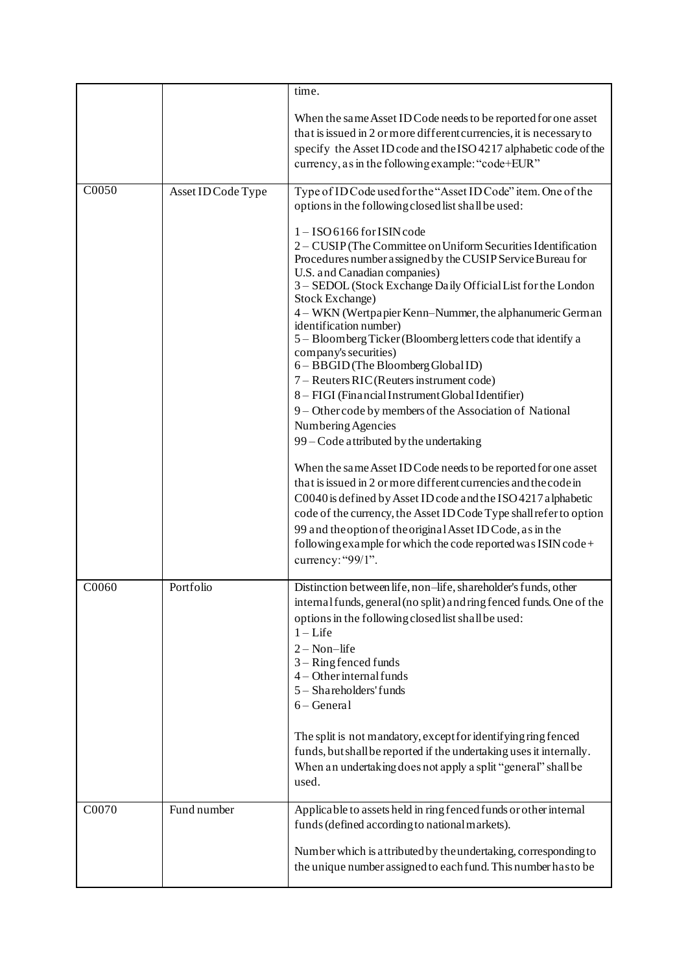|       |                    | time.                                                                                                                                                                                                                                                                                                                                                                                                                                                                                                                                                                                                                                                                                                                                                                                                                                                                                                                                                                                                                                                                                                                                                               |
|-------|--------------------|---------------------------------------------------------------------------------------------------------------------------------------------------------------------------------------------------------------------------------------------------------------------------------------------------------------------------------------------------------------------------------------------------------------------------------------------------------------------------------------------------------------------------------------------------------------------------------------------------------------------------------------------------------------------------------------------------------------------------------------------------------------------------------------------------------------------------------------------------------------------------------------------------------------------------------------------------------------------------------------------------------------------------------------------------------------------------------------------------------------------------------------------------------------------|
|       |                    | When the same Asset ID Code needs to be reported for one asset<br>that is issued in 2 or more different currencies, it is necessary to<br>specify the Asset ID code and the ISO 4217 alphabetic code of the<br>currency, as in the following example: "code+EUR"                                                                                                                                                                                                                                                                                                                                                                                                                                                                                                                                                                                                                                                                                                                                                                                                                                                                                                    |
| C0050 | Asset ID Code Type | Type of ID Code used for the "Asset ID Code" item. One of the<br>options in the following closed list shall be used:                                                                                                                                                                                                                                                                                                                                                                                                                                                                                                                                                                                                                                                                                                                                                                                                                                                                                                                                                                                                                                                |
|       |                    | $1 -$ ISO 6166 for ISIN code<br>2 - CUSIP (The Committee on Uniform Securities Identification<br>Procedures number assigned by the CUSIP Service Bureau for<br>U.S. and Canadian companies)<br>3 - SEDOL (Stock Exchange Daily Official List for the London<br>Stock Exchange)<br>4 - WKN (Wertpapier Kenn-Nummer, the alphanumeric German<br>identification number)<br>5 - Bloomberg Ticker (Bloomberg letters code that identify a<br>company's securities)<br>6 - BBGID (The Bloomberg Global ID)<br>7 – Reuters RIC (Reuters instrument code)<br>8 - FIGI (Financial Instrument Global Identifier)<br>9 - Other code by members of the Association of National<br>Numbering Agencies<br>99 - Code attributed by the undertaking<br>When the same Asset ID Code needs to be reported for one asset<br>that is issued in 2 or more different currencies and the code in<br>C0040 is defined by Asset ID code and the ISO 4217 alphabetic<br>code of the currency, the Asset ID Code Type shall refer to option<br>99 and the option of the original Asset ID Code, as in the<br>following example for which the code reported was ISIN code+<br>currency: "99/1". |
| C0060 | Portfolio          | Distinction between life, non-life, shareholder's funds, other<br>internal funds, general (no split) and ring fenced funds. One of the<br>options in the following closed list shall be used:<br>$1 -$ Life<br>$2 - Non-life$<br>$3 -$ Ring fenced funds<br>$4 - Other internal funds$<br>5 - Shareholders' funds<br>$6 - General$                                                                                                                                                                                                                                                                                                                                                                                                                                                                                                                                                                                                                                                                                                                                                                                                                                  |
|       |                    | The split is not mandatory, except for identifying ring fenced<br>funds, but shall be reported if the undertaking uses it internally.<br>When an undertaking does not apply a split "general" shall be<br>used.                                                                                                                                                                                                                                                                                                                                                                                                                                                                                                                                                                                                                                                                                                                                                                                                                                                                                                                                                     |
| C0070 | Fund number        | Applicable to assets held in ring fenced funds or other internal<br>funds (defined according to national markets).                                                                                                                                                                                                                                                                                                                                                                                                                                                                                                                                                                                                                                                                                                                                                                                                                                                                                                                                                                                                                                                  |
|       |                    | Number which is attributed by the undertaking, corresponding to<br>the unique number assigned to each fund. This number has to be                                                                                                                                                                                                                                                                                                                                                                                                                                                                                                                                                                                                                                                                                                                                                                                                                                                                                                                                                                                                                                   |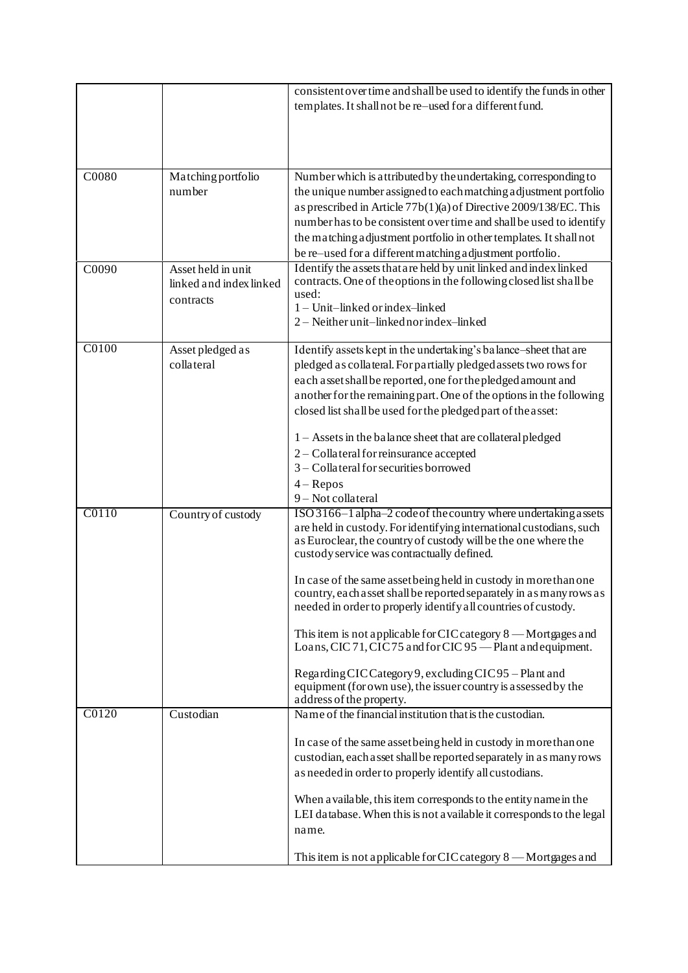|       |                         | consistent over time and shall be used to identify the funds in other<br>templates. It shall not be re-used for a different fund. |
|-------|-------------------------|-----------------------------------------------------------------------------------------------------------------------------------|
|       |                         |                                                                                                                                   |
|       |                         |                                                                                                                                   |
| C0080 | Matching portfolio      | Number which is attributed by the undertaking, corresponding to                                                                   |
|       | number                  | the unique number assigned to each matching a djustment portfolio                                                                 |
|       |                         | as prescribed in Article 77b(1)(a) of Directive 2009/138/EC. This                                                                 |
|       |                         | number has to be consistent over time and shall be used to identify                                                               |
|       |                         | the matching adjustment portfolio in other templates. It shall not                                                                |
|       |                         | be re-used for a different matching adjustment portfolio.                                                                         |
| C0090 | Asset held in unit      | Identify the assets that are held by unit linked and index linked                                                                 |
|       | linked and index linked | contracts. One of the options in the following closed list shall be                                                               |
|       | contracts               | used:                                                                                                                             |
|       |                         | 1 - Unit-linked or index-linked                                                                                                   |
|       |                         | 2 - Neither unit-linked nor index-linked                                                                                          |
| C0100 | Asset pledged as        | Identify assets kept in the undertaking's balance-sheet that are                                                                  |
|       | collateral              | pledged as collateral. For partially pledged assets two rows for                                                                  |
|       |                         | each assetshall be reported, one for the pledged amount and                                                                       |
|       |                         | another for the remaining part. One of the options in the following                                                               |
|       |                         | closed list shall be used for the pledged part of the asset:                                                                      |
|       |                         |                                                                                                                                   |
|       |                         | 1 - Assets in the balance sheet that are collateral pledged                                                                       |
|       |                         | 2 – Collateral for reinsurance accepted                                                                                           |
|       |                         | 3 - Collateral for securities borrowed                                                                                            |
|       |                         | $4 - Repos$                                                                                                                       |
|       |                         | 9-Not collateral                                                                                                                  |
| C0110 | Country of custody      | ISO 3166-1 alpha-2 code of the country where undertaking a ssets                                                                  |
|       |                         | are held in custody. For identifying international custodians, such                                                               |
|       |                         | as Euroclear, the country of custody will be the one where the                                                                    |
|       |                         | custody service was contractually defined.                                                                                        |
|       |                         | In case of the same asset being held in custody in more than one                                                                  |
|       |                         | country, each asset shall be reported separately in as many rows as                                                               |
|       |                         | needed in order to properly identify all countries of custody.                                                                    |
|       |                         |                                                                                                                                   |
|       |                         | This item is not applicable for CIC category 8 - Mortgages and                                                                    |
|       |                         | Loans, CIC 71, CIC 75 and for CIC 95 - Plant and equipment.                                                                       |
|       |                         | Regarding CIC Category 9, excluding CIC 95 – Plant and                                                                            |
|       |                         | equipment (for own use), the issuer country is assessed by the                                                                    |
|       |                         | address of the property.                                                                                                          |
| C0120 | Custodian               | Name of the financial institution that is the custodian.                                                                          |
|       |                         |                                                                                                                                   |
|       |                         | In case of the same asset being held in custody in more than one                                                                  |
|       |                         | custodian, each a sset shall be reported separately in as many rows                                                               |
|       |                         | as needed in order to properly identify all custodians.                                                                           |
|       |                         | When a vailable, this item corresponds to the entity name in the                                                                  |
|       |                         | LEI database. When this is not a vailable it corresponds to the legal                                                             |
|       |                         | name.                                                                                                                             |
|       |                         |                                                                                                                                   |
|       |                         | This item is not applicable for CIC category 8 — Mortgages and                                                                    |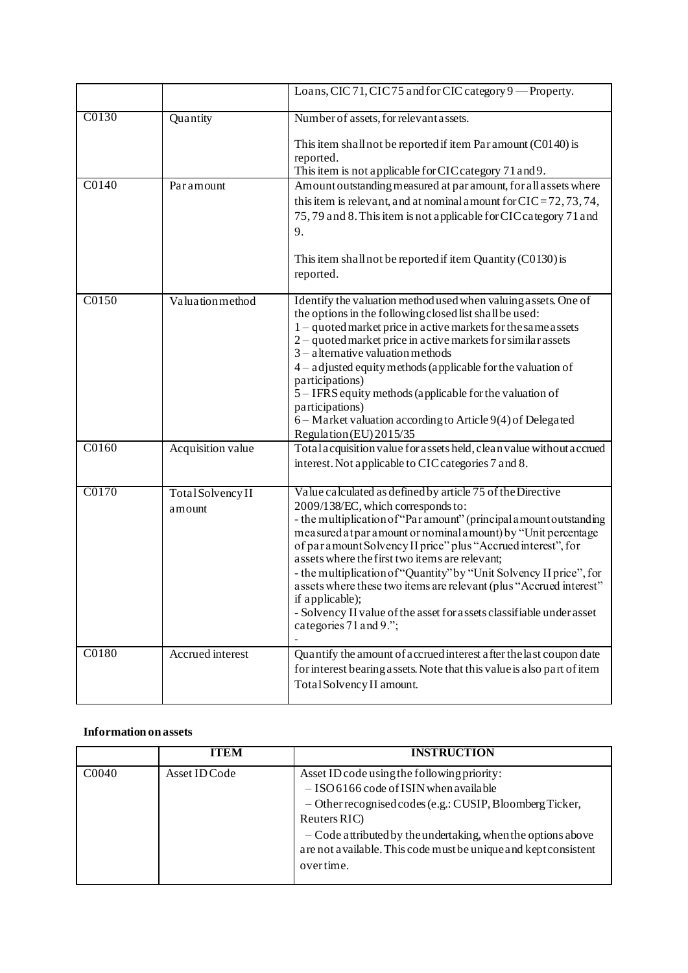|       |                             | Loans, CIC 71, CIC 75 and for CIC category 9 - Property.                                                                                                                                                                                                                                                                                                                                                                                                                                                                                                                                                                      |
|-------|-----------------------------|-------------------------------------------------------------------------------------------------------------------------------------------------------------------------------------------------------------------------------------------------------------------------------------------------------------------------------------------------------------------------------------------------------------------------------------------------------------------------------------------------------------------------------------------------------------------------------------------------------------------------------|
| C0130 | Quantity                    | Number of assets, for relevant assets.                                                                                                                                                                                                                                                                                                                                                                                                                                                                                                                                                                                        |
|       |                             | This item shall not be reported if item Par amount (C0140) is<br>reported.<br>This item is not applicable for CIC category 71 and 9.                                                                                                                                                                                                                                                                                                                                                                                                                                                                                          |
| C0140 | Paramount                   | Amount outstanding measured at par amount, for all assets where<br>this item is relevant, and at nominal amount for $CIC = 72, 73, 74$ ,<br>75,79 and 8. This item is not applicable for CIC category 71 and<br>9.<br>This item shall not be reported if item Quantity (C0130) is<br>reported.                                                                                                                                                                                                                                                                                                                                |
| C0150 | Valuation method            | Identify the valuation method used when valuing assets. One of<br>the options in the following closed list shall be used:<br>$1 -$ quoted market price in active markets for the same assets<br>2 – quoted market price in active markets for similar assets<br>$3$ – alternative valuation methods<br>$4$ – adjusted equity methods (applicable for the valuation of<br>participations)<br>5 – IFRS equity methods (applicable for the valuation of<br>participations)<br>6 – Market valuation according to Article 9(4) of Delegated<br>Regulation (EU) 2015/35                                                             |
| C0160 | Acquisition value           | Total acquisition value for a ssets held, clean value without a ccrued<br>interest. Not applicable to CIC categories 7 and 8.                                                                                                                                                                                                                                                                                                                                                                                                                                                                                                 |
| C0170 | Total Solvency II<br>amount | Value calculated as defined by article 75 of the Directive<br>2009/138/EC, which corresponds to:<br>- the multiplication of "Par amount" (principal amount outstanding<br>measured at par a mount or nominal a mount) by "Unit percentage<br>of paramount Solvency II price" plus "Accrued interest", for<br>assets where the first two items are relevant;<br>- the multiplication of "Quantity" by "Unit Solvency II price", for<br>assets where these two items are relevant (plus "Accrued interest"<br>if applicable);<br>- Solvency II value of the asset for assets classifiable under asset<br>categories 71 and 9."; |
| C0180 | Accrued interest            | Quantify the amount of accrued interest after the last coupon date<br>for interest bearing assets. Note that this value is also part of item<br>Total Solvency II amount.                                                                                                                                                                                                                                                                                                                                                                                                                                                     |

# **Information on assets**

|                   | ITEM          | <b>INSTRUCTION</b>                                                                                                                                                                                                                                                                                                     |
|-------------------|---------------|------------------------------------------------------------------------------------------------------------------------------------------------------------------------------------------------------------------------------------------------------------------------------------------------------------------------|
| C <sub>0040</sub> | Asset ID Code | Asset ID code using the following priority:<br>$-$ ISO 6166 code of ISIN when available<br>$-$ Other recognised codes (e.g.: CUSIP, Bloomberg Ticker,<br>Reuters RIC)<br>- Code attributed by the undertaking, when the options above<br>are not a vailable. This code must be unique and kept consistent<br>overtime. |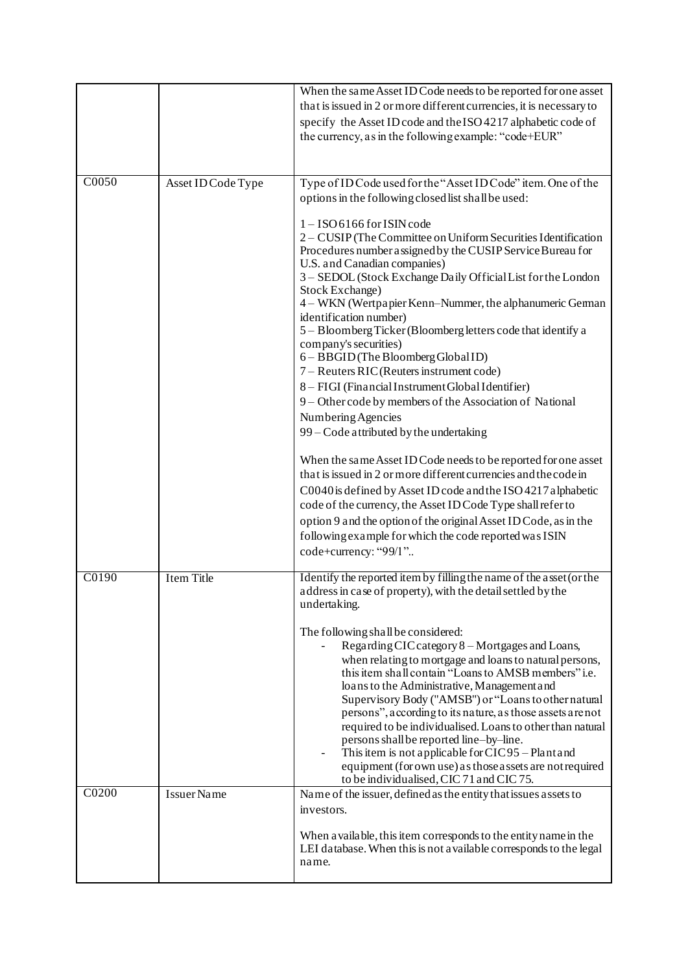|       |                    | When the same Asset ID Code needs to be reported for one asset<br>that is issued in 2 or more different currencies, it is necessary to<br>specify the Asset ID code and the ISO 4217 alphabetic code of<br>the currency, as in the following example: "code+EUR"                                                                                                                                                                                                                                                                                                                                                                                                                                                                                                                                           |
|-------|--------------------|------------------------------------------------------------------------------------------------------------------------------------------------------------------------------------------------------------------------------------------------------------------------------------------------------------------------------------------------------------------------------------------------------------------------------------------------------------------------------------------------------------------------------------------------------------------------------------------------------------------------------------------------------------------------------------------------------------------------------------------------------------------------------------------------------------|
| C0050 | Asset ID Code Type | Type of ID Code used for the "Asset ID Code" item. One of the<br>options in the following closed list shall be used:<br>$1 -$ ISO 6166 for ISIN code<br>2 – CUSIP (The Committee on Uniform Securities Identification<br>Procedures number assigned by the CUSIP Service Bureau for<br>U.S. and Canadian companies)                                                                                                                                                                                                                                                                                                                                                                                                                                                                                        |
|       |                    | 3 - SEDOL (Stock Exchange Daily Official List for the London<br>Stock Exchange)<br>4 – WKN (Wertpapier Kenn–Nummer, the alphanumeric German<br>identification number)<br>5 - Bloomberg Ticker (Bloomberg letters code that identify a<br>company's securities)<br>6 - BBGID (The Bloomberg Global ID)<br>7 – Reuters RIC (Reuters instrument code)<br>8 - FIGI (Financial Instrument Global Identifier)<br>9 - Other code by members of the Association of National<br>Numbering Agencies                                                                                                                                                                                                                                                                                                                  |
|       |                    | 99 - Code attributed by the undertaking<br>When the same Asset ID Code needs to be reported for one asset<br>that is issued in 2 or more different currencies and the code in<br>C0040 is defined by Asset ID code and the ISO 4217 alphabetic<br>code of the currency, the Asset ID Code Type shall refer to<br>option 9 and the option of the original Asset ID Code, as in the<br>following example for which the code reported was ISIN<br>code+currency: "99/1"                                                                                                                                                                                                                                                                                                                                       |
| C0190 | <b>Item Title</b>  | Identify the reported item by filling the name of the asset (or the<br>address in case of property), with the detail settled by the<br>undertaking.<br>The following shall be considered:<br>Regarding CIC category 8 – Mortgages and Loans,<br>when relating to mortgage and loans to natural persons,<br>this item shall contain "Loans to AMSB members" i.e.<br>loans to the Administrative, Management and<br>Supervisory Body ("AMSB") or "Loans to other natural<br>persons", according to its nature, as those assets are not<br>required to be individualised. Loans to other than natural<br>persons shall be reported line-by-line.<br>This item is not applicable for CIC95 – Plant and<br>equipment (for own use) as those assets are not required<br>to be individualised, CIC 71 and CIC 75. |
| C0200 | <b>Issuer Name</b> | Name of the issuer, defined as the entity that issues assets to<br>investors.<br>When a vailable, this item corresponds to the entity name in the<br>LEI database. When this is not a vailable corresponds to the legal<br>name.                                                                                                                                                                                                                                                                                                                                                                                                                                                                                                                                                                           |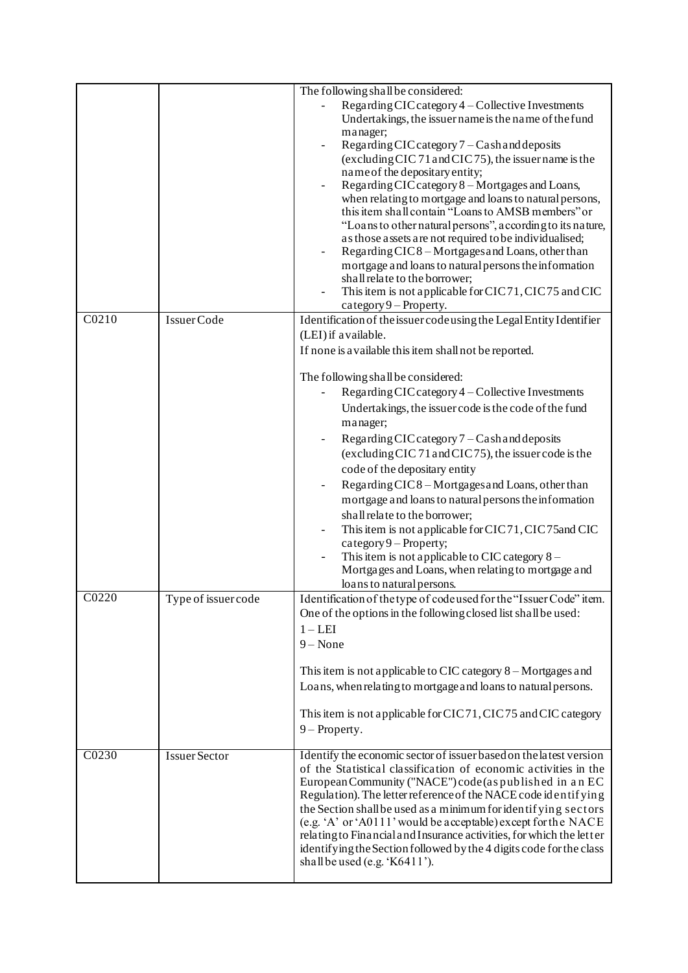|       |                      | The following shall be considered:                                                                                                    |
|-------|----------------------|---------------------------------------------------------------------------------------------------------------------------------------|
|       |                      | Regarding CIC category 4 - Collective Investments                                                                                     |
|       |                      | Undertakings, the issuer name is the name of the fund                                                                                 |
|       |                      | manager;                                                                                                                              |
|       |                      | Regarding CIC category 7 - Cash and deposits<br>(excluding CIC 71 and CIC 75), the issuer name is the                                 |
|       |                      | name of the depositary entity;                                                                                                        |
|       |                      | Regarding CIC category 8 - Mortgages and Loans,                                                                                       |
|       |                      | when relating to mortgage and loans to natural persons,                                                                               |
|       |                      | this item shall contain "Loans to AMSB members" or                                                                                    |
|       |                      | "Loans to other natural persons", according to its nature,                                                                            |
|       |                      | as those assets are not required to be individualised;<br>Regarding CIC8 - Mortgages and Loans, other than                            |
|       |                      | mortgage and loans to natural persons the information                                                                                 |
|       |                      | shall relate to the borrower;                                                                                                         |
|       |                      | This item is not applicable for CIC71, CIC75 and CIC                                                                                  |
|       |                      | category $9$ – Property.                                                                                                              |
| C0210 | Issuer Code          | Identification of the issuer code using the Legal Entity Identifier                                                                   |
|       |                      | (LEI) if available.                                                                                                                   |
|       |                      | If none is a vailable this item shall not be reported.                                                                                |
|       |                      | The following shall be considered:                                                                                                    |
|       |                      | Regarding CIC category 4 - Collective Investments                                                                                     |
|       |                      | Undertakings, the issuer code is the code of the fund                                                                                 |
|       |                      | manager;                                                                                                                              |
|       |                      | Regarding CIC category 7 - Cash and deposits                                                                                          |
|       |                      | (excluding CIC 71 and CIC 75), the issuer code is the                                                                                 |
|       |                      | code of the depositary entity                                                                                                         |
|       |                      | Regarding CIC8-Mortgages and Loans, other than                                                                                        |
|       |                      | mortgage and loans to natural persons the information                                                                                 |
|       |                      | shall relate to the borrower;                                                                                                         |
|       |                      | This item is not applicable for CIC71, CIC75 and CIC<br>$category 9 - Property;$                                                      |
|       |                      | This item is not applicable to CIC category $8 -$                                                                                     |
|       |                      | Mortgages and Loans, when relating to mortgage and                                                                                    |
|       |                      | loans to natural persons.                                                                                                             |
| C0220 | Type of issuer code  | Identification of the type of code used for the "Issuer Code" item.                                                                   |
|       |                      | One of the options in the following closed list shall be used:                                                                        |
|       |                      | $1 - LEI$                                                                                                                             |
|       |                      | $9 - None$                                                                                                                            |
|       |                      | This item is not applicable to CIC category $8 -$ Mortgages and                                                                       |
|       |                      | Loans, when relating to mortgage and loans to natural persons.                                                                        |
|       |                      |                                                                                                                                       |
|       |                      | This item is not applicable for CIC71, CIC75 and CIC category                                                                         |
|       |                      | $9$ – Property.                                                                                                                       |
|       |                      |                                                                                                                                       |
| C0230 | <b>Issuer Sector</b> | Identify the economic sector of issuer based on the latest version<br>of the Statistical classification of economic activities in the |
|       |                      | European Community ("NACE") code (as published in an EC                                                                               |
|       |                      | Regulation). The letter reference of the NACE code identifying                                                                        |
|       |                      | the Section shall be used as a minimum for identifying sectors                                                                        |
|       |                      | (e.g. 'A' or 'A0111' would be acceptable) except for the NACE<br>relating to Financial and Insurance activities, for which the letter |
|       |                      | identifying the Section followed by the 4 digits code for the class                                                                   |
|       |                      | shall be used (e.g. 'K6411').                                                                                                         |
|       |                      |                                                                                                                                       |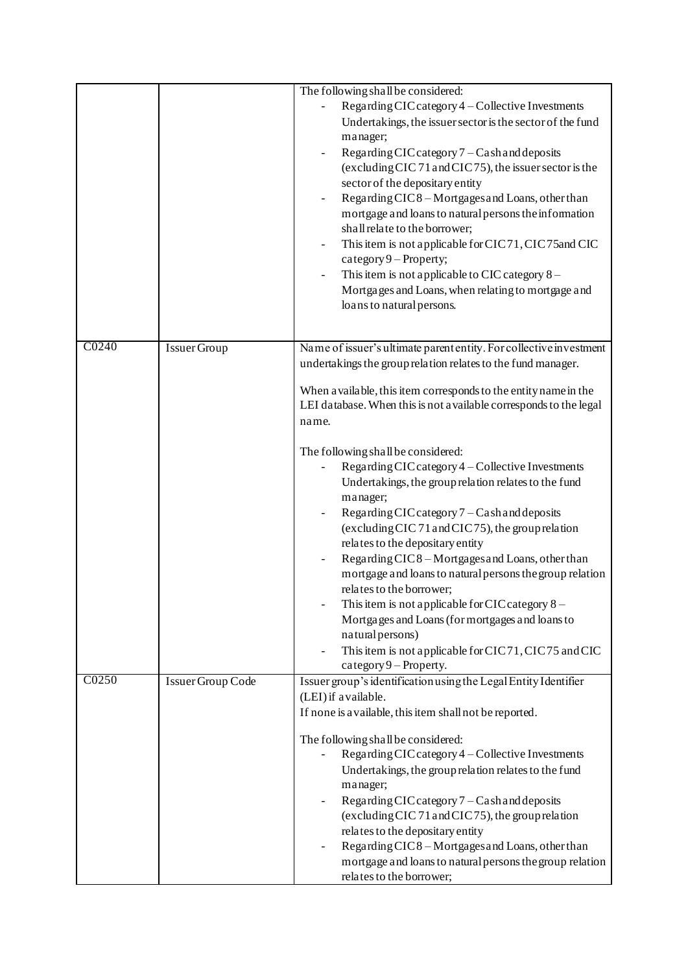|       |                     | The following shall be considered:<br>Regarding CIC category 4 - Collective Investments<br>Undertakings, the issuer sector is the sector of the fund<br>manager;<br>Regarding CIC category 7 - Cash and deposits<br>(excluding CIC 71 and CIC 75), the issuer sector is the<br>sector of the depositary entity<br>Regarding CIC8 - Mortgages and Loans, other than<br>mortgage and loans to natural persons the information<br>shall relate to the borrower;<br>This item is not applicable for CIC71, CIC75 and CIC<br>category $9$ – Property;<br>This item is not applicable to CIC category $8 -$<br>Mortgages and Loans, when relating to mortgage and<br>loans to natural persons. |
|-------|---------------------|------------------------------------------------------------------------------------------------------------------------------------------------------------------------------------------------------------------------------------------------------------------------------------------------------------------------------------------------------------------------------------------------------------------------------------------------------------------------------------------------------------------------------------------------------------------------------------------------------------------------------------------------------------------------------------------|
| C0240 | <b>Issuer Group</b> | Name of issuer's ultimate parent entity. For collective investment<br>undertakings the group relation relates to the fund manager.                                                                                                                                                                                                                                                                                                                                                                                                                                                                                                                                                       |
|       |                     | When a vailable, this item corresponds to the entity name in the<br>LEI database. When this is not available corresponds to the legal<br>name.                                                                                                                                                                                                                                                                                                                                                                                                                                                                                                                                           |
|       |                     | The following shall be considered:<br>Regarding CIC category 4 - Collective Investments<br>Undertakings, the group relation relates to the fund<br>manager;<br>Regarding CIC category 7 - Cash and deposits<br>(excluding CIC 71 and CIC 75), the group relation<br>relates to the depositary entity<br>Regarding CIC8 - Mortgages and Loans, other than<br>mortgage and loans to natural persons the group relation<br>relates to the borrower;<br>This item is not applicable for CIC category $8 -$<br>Mortgages and Loans (for mortgages and loans to<br>natural persons)<br>This item is not applicable for CIC71, CIC75 and CIC<br>category 9 - Property.                          |
| C0250 | Issuer Group Code   | Issuer group's identification using the Legal Entity Identifier<br>(LEI) if available.                                                                                                                                                                                                                                                                                                                                                                                                                                                                                                                                                                                                   |
|       |                     | If none is a vailable, this item shall not be reported.<br>The following shall be considered:<br>Regarding CIC category 4 - Collective Investments<br>Undertakings, the group relation relates to the fund<br>manager;<br>Regarding CIC category 7 - Cash and deposits<br>(excluding CIC 71 and CIC 75), the group relation<br>relates to the depositary entity<br>Regarding CIC8 - Mortgages and Loans, other than<br>mortgage and loans to natural persons the group relation<br>relates to the borrower;                                                                                                                                                                              |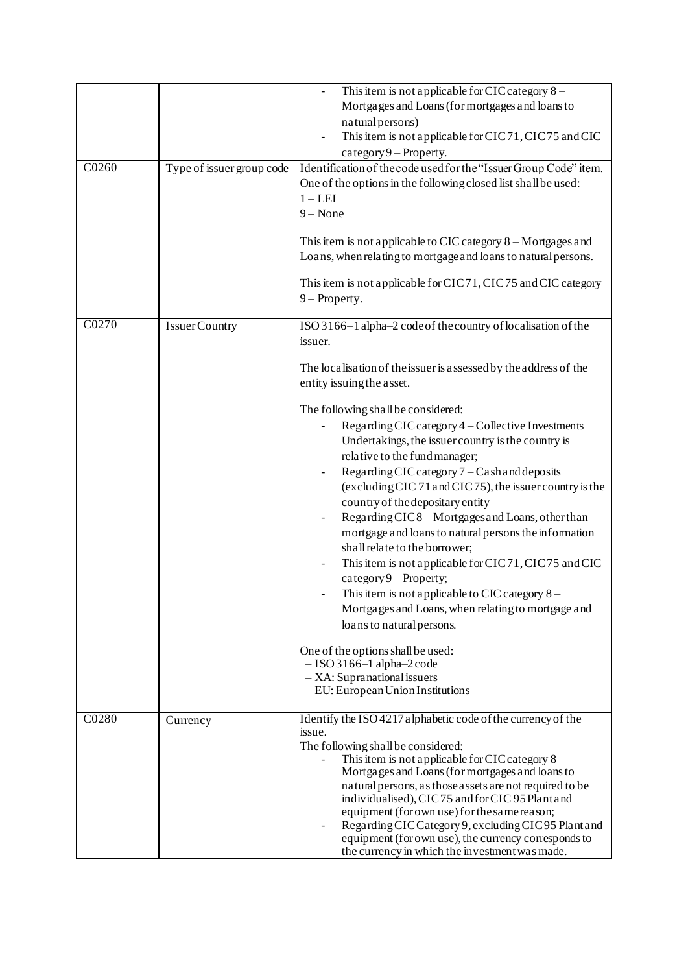|       |                           | This item is not applicable for CIC category $8 -$<br>Mortgages and Loans (for mortgages and loans to<br>natural persons)<br>This item is not applicable for CIC71, CIC75 and CIC<br>category 9 - Property.                                                                                                                                                                                                                                                                                                                                                                                                                                                                                                                                                                                                                                                                                                                                                                                                                     |
|-------|---------------------------|---------------------------------------------------------------------------------------------------------------------------------------------------------------------------------------------------------------------------------------------------------------------------------------------------------------------------------------------------------------------------------------------------------------------------------------------------------------------------------------------------------------------------------------------------------------------------------------------------------------------------------------------------------------------------------------------------------------------------------------------------------------------------------------------------------------------------------------------------------------------------------------------------------------------------------------------------------------------------------------------------------------------------------|
| C0260 | Type of issuer group code | Identification of the code used for the "Issuer Group Code" item.<br>One of the options in the following closed list shall be used:<br>$1 - LEI$<br>$9 - None$<br>This item is not applicable to CIC category $8 -$ Mortgages and<br>Loans, when relating to mortgage and loans to natural persons.<br>This item is not applicable for CIC71, CIC75 and CIC category<br>$9$ – Property.                                                                                                                                                                                                                                                                                                                                                                                                                                                                                                                                                                                                                                         |
| C0270 | <b>Issuer Country</b>     | ISO 3166-1 alpha-2 code of the country of localisation of the<br>issuer.<br>The localisation of the issuer is assessed by the address of the<br>entity issuing the asset.<br>The following shall be considered:<br>Regarding CIC category 4 - Collective Investments<br>Undertakings, the issuer country is the country is<br>relative to the fund manager;<br>Regarding CIC category 7 - Cash and deposits<br>(excluding CIC 71 and CIC 75), the issuer country is the<br>country of the depositary entity<br>Regarding CIC8 - Mortgages and Loans, other than<br>mortgage and loans to natural persons the information<br>shall relate to the borrower;<br>This item is not applicable for CIC71, CIC75 and CIC<br>category $9$ – Property;<br>This item is not applicable to CIC category $8 -$<br>Mortgages and Loans, when relating to mortgage and<br>loans to natural persons.<br>One of the options shall be used:<br>$-$ ISO 3166-1 alpha-2 code<br>$-$ XA: Supranational issuers<br>- EU: European Union Institutions |
| C0280 | Currency                  | Identify the ISO 4217 alphabetic code of the currency of the<br>issue.<br>The following shall be considered:<br>This item is not applicable for CIC category $8 -$<br>Mortgages and Loans (for mortgages and loans to<br>natural persons, as those assets are not required to be<br>individualised), CIC75 and for CIC95 Plant and<br>equipment (for own use) for the same reason;<br>Regarding CIC Category 9, excluding CIC 95 Plant and<br>equipment (for own use), the currency corresponds to<br>the currency in which the investment was made.                                                                                                                                                                                                                                                                                                                                                                                                                                                                            |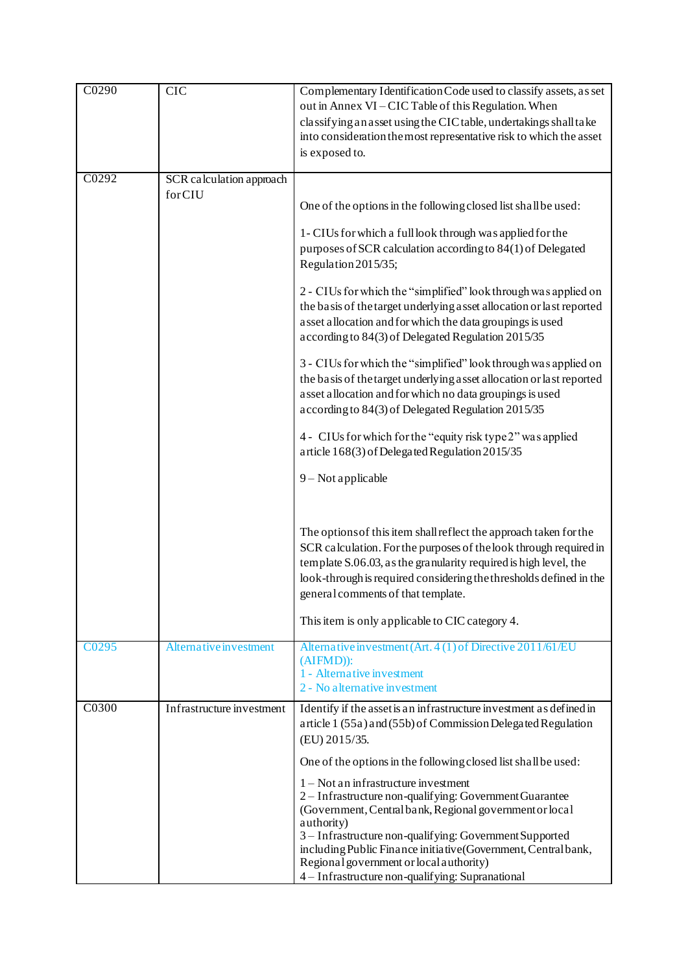| C0290             | <b>CIC</b>                | Complementary Identification Code used to classify assets, as set<br>out in Annex VI - CIC Table of this Regulation. When<br>classifying an asset using the CIC table, undertakings shall take<br>into consideration the most representative risk to which the asset<br>is exposed to.                                                                                                                 |
|-------------------|---------------------------|--------------------------------------------------------------------------------------------------------------------------------------------------------------------------------------------------------------------------------------------------------------------------------------------------------------------------------------------------------------------------------------------------------|
| C0292             | SCR calculation approach  |                                                                                                                                                                                                                                                                                                                                                                                                        |
|                   | forCIU                    | One of the options in the following closed list shall be used:                                                                                                                                                                                                                                                                                                                                         |
|                   |                           | 1- CIUs for which a full look through was applied for the<br>purposes of SCR calculation according to 84(1) of Delegated<br>Regulation 2015/35;                                                                                                                                                                                                                                                        |
|                   |                           | 2 - CIUs for which the "simplified" look through was applied on<br>the basis of the target underlying asset allocation or last reported<br>asset allocation and for which the data groupings is used<br>according to 84(3) of Delegated Regulation 2015/35                                                                                                                                             |
|                   |                           | 3 - CIUs for which the "simplified" look through was applied on<br>the basis of the target underlying a sset allocation or last reported<br>asset allocation and for which no data groupings is used<br>according to 84(3) of Delegated Regulation 2015/35                                                                                                                                             |
|                   |                           | 4 - CIUs for which for the "equity risk type 2" was applied<br>article 168(3) of Delegated Regulation 2015/35                                                                                                                                                                                                                                                                                          |
|                   |                           | 9 - Not applicable                                                                                                                                                                                                                                                                                                                                                                                     |
|                   |                           | The options of this item shall reflect the approach taken for the<br>SCR calculation. For the purposes of the look through required in<br>template S.06.03, as the granularity required is high level, the<br>look-through is required considering the thresholds defined in the<br>general comments of that template.                                                                                 |
|                   |                           | This item is only applicable to CIC category 4.                                                                                                                                                                                                                                                                                                                                                        |
| C <sub>0295</sub> | Alternative investment    | Alternative investment (Art. 4 (1) of Directive 2011/61/EU<br>(AIFMD):<br>1 - Alternative investment<br>2 - No alternative investment                                                                                                                                                                                                                                                                  |
| C0300             | Infrastructure investment | Identify if the asset is an infrastructure investment as defined in<br>article 1 (55a) and (55b) of Commission Delegated Regulation<br>(EU) 2015/35.                                                                                                                                                                                                                                                   |
|                   |                           | One of the options in the following closed list shall be used:                                                                                                                                                                                                                                                                                                                                         |
|                   |                           | $1 - Not$ an infrastructure investment<br>2 - Infrastructure non-qualifying: Government Guarantee<br>(Government, Central bank, Regional government or local<br>authority)<br>3 - Infrastructure non-qualifying: Government Supported<br>including Public Finance initiative (Government, Central bank,<br>Regional government or local authority)<br>4 - Infrastructure non-qualifying: Supranational |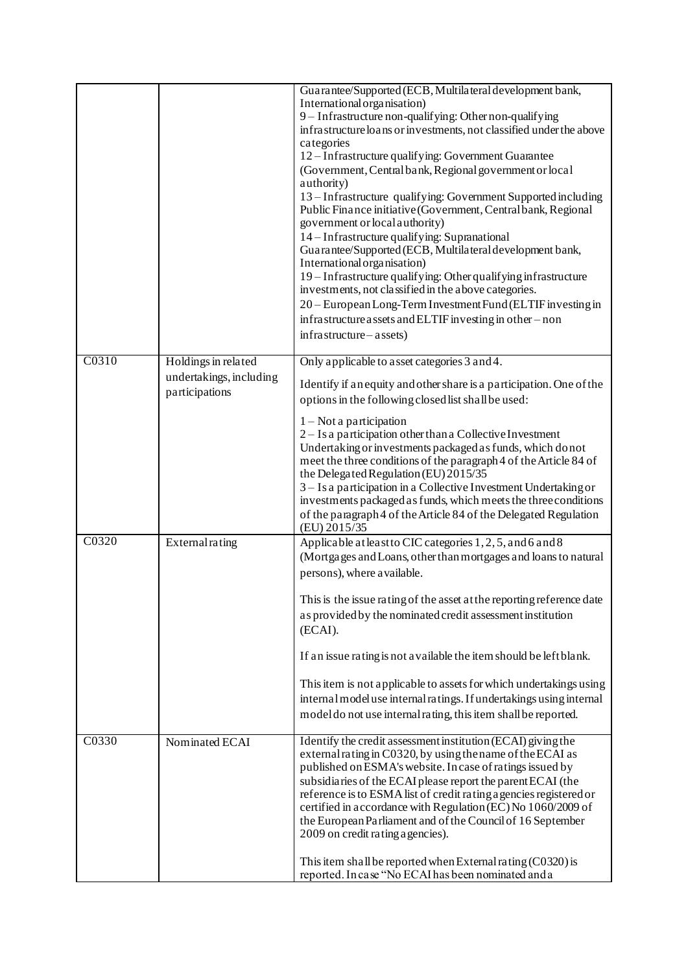|       |                                           | Guarantee/Supported (ECB, Multilateral development bank,<br>International organisation)<br>9 - Infrastructure non-qualifying: Other non-qualifying<br>infrastructure loans or investments, not classified under the above<br>categories<br>12 – Infrastructure qualifying: Government Guarantee<br>(Government, Central bank, Regional government or local<br>authority)<br>13-Infrastructure qualifying: Government Supported including<br>Public Finance initiative (Government, Central bank, Regional<br>government or local authority)<br>14 – Infrastructure qualifying: Supranational<br>Guarantee/Supported (ECB, Multilateral development bank,<br>International organisation)<br>19 - Infrastructure qualifying: Other qualifying infrastructure<br>investments, not classified in the above categories.<br>20 - European Long-Term Investment Fund (ELTIF investing in<br>infrastructure assets and ELTIF investing in other - non<br>infrastructure – assets) |
|-------|-------------------------------------------|---------------------------------------------------------------------------------------------------------------------------------------------------------------------------------------------------------------------------------------------------------------------------------------------------------------------------------------------------------------------------------------------------------------------------------------------------------------------------------------------------------------------------------------------------------------------------------------------------------------------------------------------------------------------------------------------------------------------------------------------------------------------------------------------------------------------------------------------------------------------------------------------------------------------------------------------------------------------------|
| C0310 | Holdings in related                       | Only applicable to asset categories 3 and 4.                                                                                                                                                                                                                                                                                                                                                                                                                                                                                                                                                                                                                                                                                                                                                                                                                                                                                                                              |
|       | undertakings, including<br>participations | Identify if an equity and other share is a participation. One of the<br>options in the following closed list shall be used:                                                                                                                                                                                                                                                                                                                                                                                                                                                                                                                                                                                                                                                                                                                                                                                                                                               |
|       |                                           | $1 - Not$ a participation<br>2 – Is a participation other than a Collective Investment<br>Undertaking or investments packaged as funds, which donot<br>meet the three conditions of the paragraph 4 of the Article 84 of<br>the Delegated Regulation (EU) 2015/35<br>3 – Is a participation in a Collective Investment Undertaking or<br>investments packaged as funds, which meets the three conditions<br>of the paragraph 4 of the Article 84 of the Delegated Regulation<br>(EU) 2015/35                                                                                                                                                                                                                                                                                                                                                                                                                                                                              |
| C0320 | External rating                           | Applicable at least to CIC categories 1, 2, 5, and 6 and 8<br>(Mortgages and Loans, other than mortgages and loans to natural<br>persons), where a vailable.                                                                                                                                                                                                                                                                                                                                                                                                                                                                                                                                                                                                                                                                                                                                                                                                              |
|       |                                           | This is the issue rating of the asset at the reporting reference date<br>as provided by the nominated credit assessment institution<br>(ECAI).                                                                                                                                                                                                                                                                                                                                                                                                                                                                                                                                                                                                                                                                                                                                                                                                                            |
|       |                                           | If an issue rating is not a vailable the item should be left blank.                                                                                                                                                                                                                                                                                                                                                                                                                                                                                                                                                                                                                                                                                                                                                                                                                                                                                                       |
|       |                                           | This item is not applicable to assets for which undertakings using<br>internal model use internal ratings. If undertakings using internal<br>model do not use internal rating, this item shall be reported.                                                                                                                                                                                                                                                                                                                                                                                                                                                                                                                                                                                                                                                                                                                                                               |
| C0330 | Nominated ECAI                            | Identify the credit assessment institution (ECAI) giving the<br>external rating in C0320, by using the name of the ECAI as<br>published on ESMA's website. In case of ratings issued by<br>subsidiaries of the ECAI please report the parent ECAI (the<br>reference is to ESMA list of credit rating a gencies registered or<br>certified in accordance with Regulation (EC) No 1060/2009 of<br>the European Parliament and of the Council of 16 September<br>2009 on credit rating a gencies).<br>This item shall be reported when External rating $(C0320)$ is                                                                                                                                                                                                                                                                                                                                                                                                          |
|       |                                           | reported. In case "No ECAI has been nominated and a                                                                                                                                                                                                                                                                                                                                                                                                                                                                                                                                                                                                                                                                                                                                                                                                                                                                                                                       |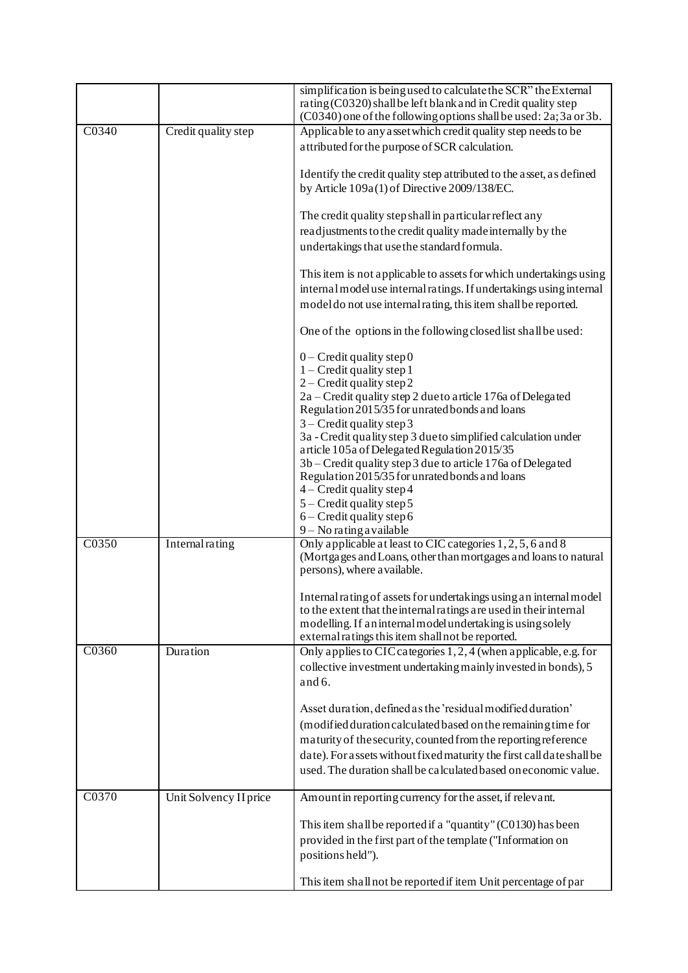|                   |                        | simplification is being used to calculate the SCR" the External<br>rating (C0320) shall be left blank and in Credit quality step<br>(C0340) one of the following options shall be used: 2a; 3a or 3b.                                                        |
|-------------------|------------------------|--------------------------------------------------------------------------------------------------------------------------------------------------------------------------------------------------------------------------------------------------------------|
| C0340             | Credit quality step    | Applicable to any asset which credit quality step needs to be                                                                                                                                                                                                |
|                   |                        | attributed for the purpose of SCR calculation.                                                                                                                                                                                                               |
|                   |                        | Identify the credit quality step attributed to the asset, as defined<br>by Article 109a(1) of Directive 2009/138/EC.                                                                                                                                         |
|                   |                        | The credit quality step shall in particular reflect any                                                                                                                                                                                                      |
|                   |                        | readjustments to the credit quality made internally by the<br>undertakings that use the standard formula.                                                                                                                                                    |
|                   |                        | This item is not applicable to assets for which undertakings using<br>internal model use internal ratings. If undertakings using internal<br>model do not use internal rating, this item shall be reported.                                                  |
|                   |                        | One of the options in the following closed list shall be used:                                                                                                                                                                                               |
|                   |                        | $0$ – Credit quality step 0<br>$1 -$ Credit quality step 1<br>$2 -$ Credit quality step 2                                                                                                                                                                    |
|                   |                        | 2a - Credit quality step 2 due to article 176a of Delegated<br>Regulation 2015/35 for unrated bonds and loans<br>$3$ – Credit quality step 3                                                                                                                 |
|                   |                        | 3a - Credit quality step 3 due to simplified calculation under<br>article 105a of Delegated Regulation 2015/35                                                                                                                                               |
|                   |                        | 3b – Credit quality step 3 due to article 176a of Delegated<br>Regulation 2015/35 for unrated bonds and loans<br>4 - Credit quality step 4                                                                                                                   |
|                   |                        | $5 -$ Credit quality step 5<br>$6 -$ Credit quality step 6                                                                                                                                                                                                   |
|                   |                        | $9 - No$ rating a vailable                                                                                                                                                                                                                                   |
| CO <sub>350</sub> | Internal rating        | Only applicable at least to CIC categories 1, 2, 5, 6 and 8<br>(Mortgages and Loans, other than mortgages and loans to natural<br>persons), where a vailable.                                                                                                |
|                   |                        | Internal rating of assets for undertakings using an internal model<br>to the extent that the internal ratings are used in their internal<br>modelling. If an internal model undertaking is using solely<br>external ratings this item shall not be reported. |
| C0360             | Duration               | Only applies to CIC categories 1, 2, 4 (when applicable, e.g. for                                                                                                                                                                                            |
|                   |                        | collective investment undertaking mainly invested in bonds), 5<br>and $6.$                                                                                                                                                                                   |
|                   |                        | Asset duration, defined as the 'residual modified duration'                                                                                                                                                                                                  |
|                   |                        | (modified duration calculated based on the remaining time for<br>maturity of the security, counted from the reporting reference                                                                                                                              |
|                   |                        | date). For assets without fixed maturity the first call date shall be                                                                                                                                                                                        |
|                   |                        | used. The duration shall be calculated based on economic value.                                                                                                                                                                                              |
| C0370             | Unit Solvency II price | Amount in reporting currency for the asset, if relevant.                                                                                                                                                                                                     |
|                   |                        | This item shall be reported if a "quantity" (C0130) has been                                                                                                                                                                                                 |
|                   |                        | provided in the first part of the template ("Information on<br>positions held").                                                                                                                                                                             |
|                   |                        | This item shall not be reported if item Unit percentage of par                                                                                                                                                                                               |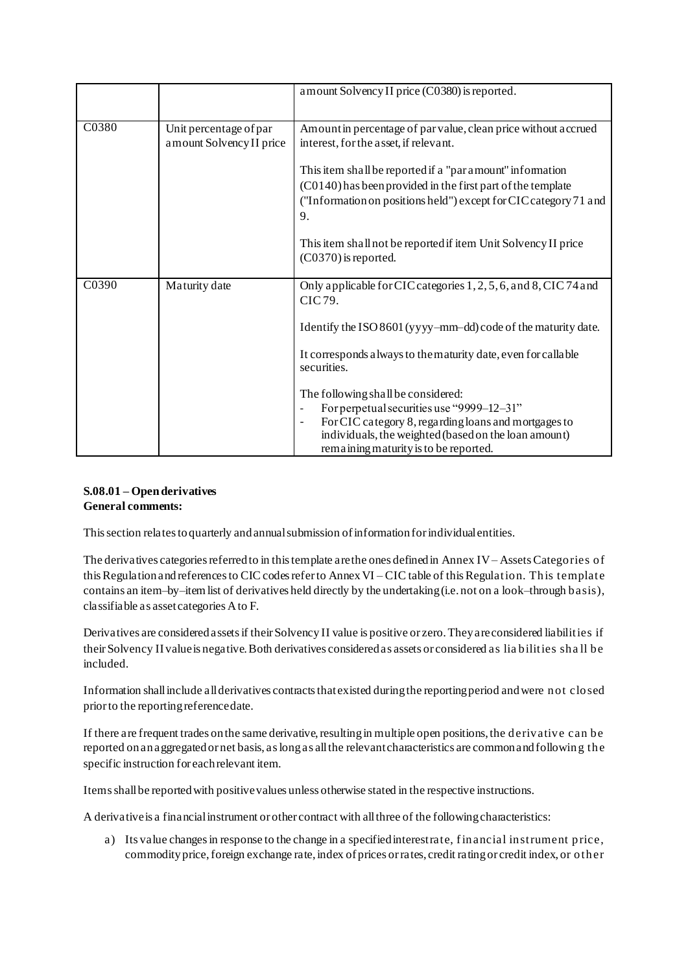|       |                          | amount Solvency II price (C0380) is reported.                                                                                                                                     |
|-------|--------------------------|-----------------------------------------------------------------------------------------------------------------------------------------------------------------------------------|
| C0380 | Unit percentage of par   | Amount in percentage of par value, clean price without accrued                                                                                                                    |
|       | amount Solvency II price | interest, for the asset, if relevant.                                                                                                                                             |
|       |                          | This item shall be reported if a "par amount" information                                                                                                                         |
|       |                          | (C0140) has been provided in the first part of the template                                                                                                                       |
|       |                          | ("Information on positions held") except for CIC category 71 and<br>9.                                                                                                            |
|       |                          | This item shall not be reported if item Unit Solvency II price<br>$(C0370)$ is reported.                                                                                          |
| C0390 | Maturity date            | Only applicable for CIC categories 1, 2, 5, 6, and 8, CIC 74 and<br>CIC 79.                                                                                                       |
|       |                          | Identify the ISO 8601 (yyyy-mm-dd) code of the maturity date.                                                                                                                     |
|       |                          | It corresponds a lways to the maturity date, even for callable<br>securities.                                                                                                     |
|       |                          | The following shall be considered:                                                                                                                                                |
|       |                          | For perpetual securities use "9999-12-31"                                                                                                                                         |
|       |                          | For CIC category 8, regarding loans and mortgages to<br>$\overline{\phantom{a}}$<br>individuals, the weighted (based on the loan amount)<br>remaining maturity is to be reported. |

## **S.08.01 – Open derivatives General comments:**

This section relates to quarterly and annual submission of information for individual entities.

The derivatives categories referred to in this template are the ones defined in Annex IV – Assets Categories of this Regulation and references to CIC codes refer to AnnexVI – CIC table of this Regulation. This template contains an item–by–item list of derivatives held directly by the undertaking (i.e. not on a look–through basis), classifiable as asset categories A to F.

Derivatives are considered assets if their Solvency II value is positive or zero. They are considered liabilities if their Solvency II value is negative. Both derivatives considered as assets or considered as lia bilities sha ll be included.

Information shall include all derivatives contracts that existed during the reporting period and were not closed prior to the reporting reference date.

If there are frequent trades on the same derivative, resulting in multiple open positions, the derivative can be reported on an aggregated or net basis, as long as all the relevant characteristics are common and following the specific instruction for each relevant item.

Items shall be reported with positive values unless otherwise stated in the respective instructions.

A derivative is a financial instrument or other contract with all three of the following characteristics:

a) Its value changes in response to the change in a specified interest rate, f inancial instrument price, commodity price, foreign exchange rate, index of prices or rates, credit rating or credit index, or other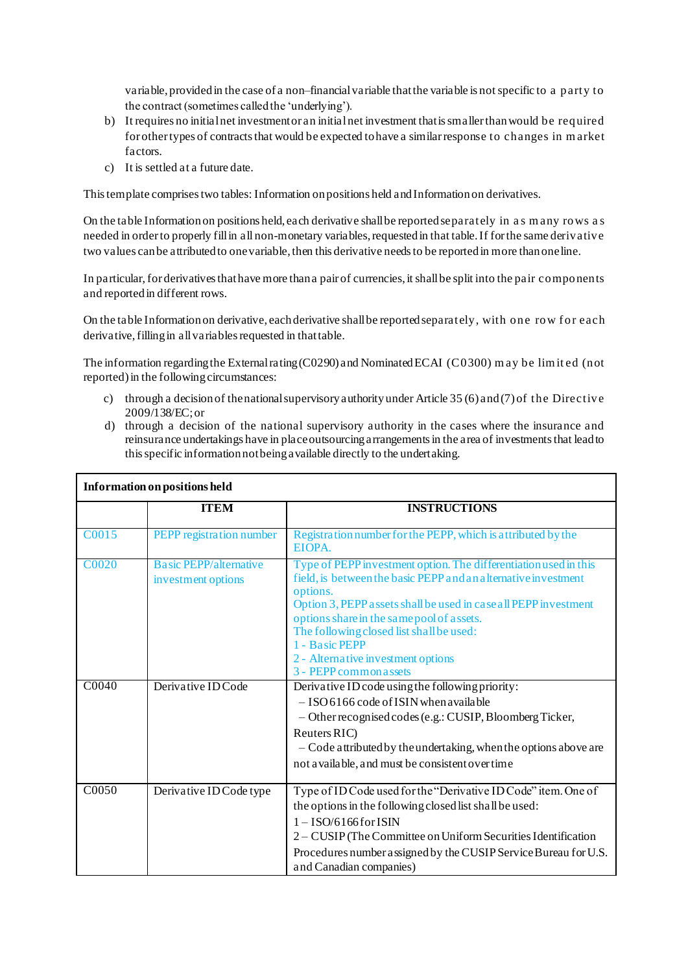variable, provided in the case of a non–financial variable that the variable is not specific to a party to the contract (sometimes called the 'underlying').

- b) It requires no initial net investment or an initial net investment that is smaller than would be required for other types of contracts that would be expected to have a similar response to changes in m arket factors.
- c) It is settled at a future date.

This template comprises two tables: Information on positions held and Information on derivatives.

On the table Information on positions held, each derivative shall be reported separately in a s m any rows a s needed in order to properly fill in all non-monetary variables, requested in that table. If for the same derivative two values can be attributed to one variable, then this derivative needs to be reported in more than one line.

In particular, for derivatives that have more than a pair of currencies, it shall be split into the pair components and reported in different rows.

On the table Information on derivative, each derivative shall be reported separately, with one row f or each derivative, filling in all variables requested in that table.

The information regarding the External rating (C0290) and Nominated ECAI (C0300) m ay be lim it ed (not reported) in the following circumstances:

- c) through a decision of the national supervisory authority under Article 35 (6) and (7) of the Directive 2009/138/EC; or
- d) through a decision of the national supervisory authority in the cases where the insurance and reinsurance undertakings have in place outsourcing arrangements in the area of investments that lead to this specific information not being available directly to the undertaking.

| <b>Information on positions held</b> |                                                     |                                                                                                                                                                                                                                                                                                                                                                                               |
|--------------------------------------|-----------------------------------------------------|-----------------------------------------------------------------------------------------------------------------------------------------------------------------------------------------------------------------------------------------------------------------------------------------------------------------------------------------------------------------------------------------------|
|                                      | <b>ITEM</b>                                         | <b>INSTRUCTIONS</b>                                                                                                                                                                                                                                                                                                                                                                           |
| C0015                                | PEPP registration number                            | Registration number for the PEPP, which is attributed by the<br>EIOPA.                                                                                                                                                                                                                                                                                                                        |
| <b>C0020</b>                         | <b>Basic PEPP/alternative</b><br>investment options | Type of PEPP investment option. The differentiation used in this<br>field, is between the basic PEPP and an alternative investment<br>options.<br>Option 3, PEPP assets shall be used in case all PEPP investment<br>options share in the same pool of assets.<br>The following closed list shall be used:<br>1 - Basic PEPP<br>2 - Alternative investment options<br>3 - PEPP common a ssets |
| C0040                                | Derivative ID Code                                  | Derivative ID code using the following priority:<br>$-$ ISO 6166 code of ISIN when available<br>$-$ Other recognised codes (e.g.: CUSIP, Bloomberg Ticker,<br>Reuters RIC)<br>- Code attributed by the undertaking, when the options above are<br>not a vailable, and must be consistent over time                                                                                            |
| C0050                                | Derivative ID Code type                             | Type of ID Code used for the "Derivative ID Code" item. One of<br>the options in the following closed list shall be used:<br>$1 - ISO/6166$ for ISIN<br>2 – CUSIP (The Committee on Uniform Securities Identification<br>Procedures number assigned by the CUSIP Service Bureau for U.S.<br>and Canadian companies)                                                                           |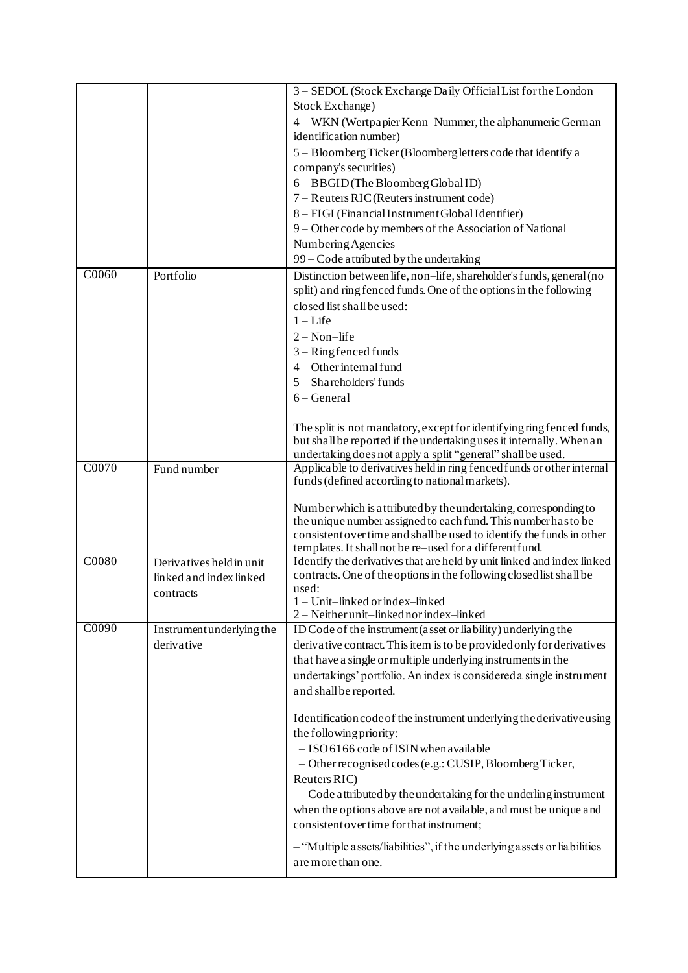|       |                           | 3 - SEDOL (Stock Exchange Daily Official List for the London                                                                      |
|-------|---------------------------|-----------------------------------------------------------------------------------------------------------------------------------|
|       |                           | Stock Exchange)                                                                                                                   |
|       |                           | 4 – WKN (Wertpapier Kenn–Nummer, the alphanumeric German                                                                          |
|       |                           | identification number)                                                                                                            |
|       |                           | 5 - Bloomberg Ticker (Bloomberg letters code that identify a                                                                      |
|       |                           |                                                                                                                                   |
|       |                           | company's securities)                                                                                                             |
|       |                           | 6 - BBGID (The Bloomberg Global ID)                                                                                               |
|       |                           | 7 - Reuters RIC (Reuters instrument code)                                                                                         |
|       |                           | 8 - FIGI (Financial Instrument Global Identifier)                                                                                 |
|       |                           | 9 - Other code by members of the Association of National                                                                          |
|       |                           | Numbering Agencies                                                                                                                |
|       |                           | 99 – Code attributed by the undertaking                                                                                           |
| C0060 | Portfolio                 | Distinction between life, non-life, shareholder's funds, general (no                                                              |
|       |                           | split) and ring fenced funds. One of the options in the following                                                                 |
|       |                           | closed list shall be used:                                                                                                        |
|       |                           | $1 -$ Life                                                                                                                        |
|       |                           | $2 - Non-life$                                                                                                                    |
|       |                           | $3 -$ Ring fenced funds                                                                                                           |
|       |                           | $4 - Other internal fund$                                                                                                         |
|       |                           | 5 - Shareholders' funds                                                                                                           |
|       |                           | $6 - General$                                                                                                                     |
|       |                           |                                                                                                                                   |
|       |                           | The split is not mandatory, except for identifying ring fenced funds,                                                             |
|       |                           | but shall be reported if the undertaking uses it internally. When an                                                              |
|       |                           | undertaking does not apply a split "general" shall be used.                                                                       |
| C0070 | Fund number               | Applicable to derivatives held in ring fenced funds or other internal                                                             |
|       |                           | funds (defined according to national markets).                                                                                    |
|       |                           |                                                                                                                                   |
|       |                           | Number which is attributed by the undertaking, corresponding to<br>the unique number assigned to each fund. This number has to be |
|       |                           | consistent over time and shall be used to identify the funds in other                                                             |
|       |                           | templates. It shall not be re-used for a different fund.                                                                          |
| C0080 | Derivatives held in unit  | Identify the derivatives that are held by unit linked and index linked                                                            |
|       | linked and index linked   | contracts. One of the options in the following closed list shall be                                                               |
|       | contracts                 | used:                                                                                                                             |
|       |                           | 1 - Unit-linked or index-linked                                                                                                   |
|       |                           | 2 - Neither unit-linked nor index-linked                                                                                          |
| C0090 | Instrument underlying the | ID Code of the instrument (asset or liability) underlying the                                                                     |
|       | derivative                | derivative contract. This item is to be provided only for derivatives                                                             |
|       |                           | that have a single or multiple underlying instruments in the                                                                      |
|       |                           | undertakings' portfolio. An index is considered a single instrument                                                               |
|       |                           | and shall be reported.                                                                                                            |
|       |                           |                                                                                                                                   |
|       |                           | Identification code of the instrument underlying the derivative using                                                             |
|       |                           | the following priority:                                                                                                           |
|       |                           | - ISO 6166 code of ISIN when available                                                                                            |
|       |                           | - Other recognised codes (e.g.: CUSIP, Bloomberg Ticker,                                                                          |
|       |                           | Reuters RIC)                                                                                                                      |
|       |                           | - Code attributed by the undertaking for the underling instrument                                                                 |
|       |                           | when the options above are not available, and must be unique and                                                                  |
|       |                           | consistent over time for that instrument;                                                                                         |
|       |                           | - "Multiple assets/liabilities", if the underlying assets or liabilities                                                          |
|       |                           | are more than one.                                                                                                                |
|       |                           |                                                                                                                                   |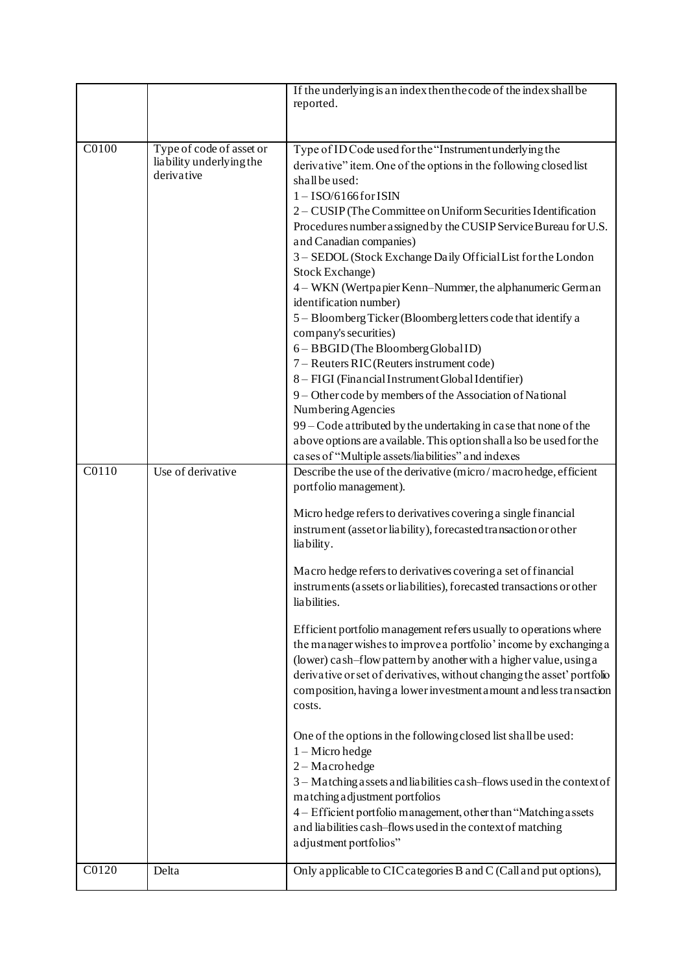|                    |                                                                    | If the underlying is an index then the code of the index shall be<br>reported.                                                                                                                                                                                                                                                                                                                                                                                                                                                                                                                                                                                                                                                                                                                                                                                                                                                                                                                                                                                                                                                                                |
|--------------------|--------------------------------------------------------------------|---------------------------------------------------------------------------------------------------------------------------------------------------------------------------------------------------------------------------------------------------------------------------------------------------------------------------------------------------------------------------------------------------------------------------------------------------------------------------------------------------------------------------------------------------------------------------------------------------------------------------------------------------------------------------------------------------------------------------------------------------------------------------------------------------------------------------------------------------------------------------------------------------------------------------------------------------------------------------------------------------------------------------------------------------------------------------------------------------------------------------------------------------------------|
|                    |                                                                    |                                                                                                                                                                                                                                                                                                                                                                                                                                                                                                                                                                                                                                                                                                                                                                                                                                                                                                                                                                                                                                                                                                                                                               |
| C0100              | Type of code of asset or<br>liability underlying the<br>derivative | Type of ID Code used for the "Instrument underlying the<br>derivative" item. One of the options in the following closed list<br>shall be used:<br>$1 - ISO/6166$ for ISIN<br>2 - CUSIP (The Committee on Uniform Securities Identification<br>Procedures number assigned by the CUSIP Service Bureau for U.S.<br>and Canadian companies)<br>3 - SEDOL (Stock Exchange Daily Official List for the London<br>Stock Exchange)<br>4 – WKN (Wertpapier Kenn-Nummer, the alphanumeric German<br>identification number)<br>5 - Bloomberg Ticker (Bloomberg letters code that identify a<br>company's securities)<br>6 - BBGID (The Bloomberg Global ID)<br>7 – Reuters RIC (Reuters instrument code)<br>8 - FIGI (Financial Instrument Global Identifier)<br>9 - Other code by members of the Association of National<br>Numbering Agencies<br>99 – Code attributed by the undertaking in case that none of the<br>above options are a vailable. This option shall a lso be used for the<br>cases of "Multiple assets/liabilities" and indexes                                                                                                                      |
| $\overline{C0110}$ | Use of derivative                                                  | Describe the use of the derivative (micro/macrohedge, efficient<br>portfolio management).<br>Micro hedge refers to derivatives covering a single financial<br>instrument (asset or liability), forecasted transaction or other<br>liability.<br>Macro hedge refers to derivatives covering a set of financial<br>instruments (assets or liabilities), forecasted transactions or other<br>liabilities.<br>Efficient portfolio management refers usually to operations where<br>the manager wishes to improve a portfolio' income by exchanging a<br>(lower) cash-flow pattern by another with a higher value, using a<br>derivative or set of derivatives, without changing the asset' portfolio<br>composition, having a lower investment amount and less transaction<br>costs.<br>One of the options in the following closed list shall be used:<br>$1 -$ Micro hedge<br>2-Macrohedge<br>3 - Matching assets and liabilities cash-flows used in the context of<br>matching adjustment portfolios<br>4 - Efficient portfolio management, other than "Matching assets<br>and liabilities cash-flows used in the context of matching<br>adjustment portfolios" |
| C0120              | Delta                                                              | Only applicable to CIC categories B and C (Call and put options),                                                                                                                                                                                                                                                                                                                                                                                                                                                                                                                                                                                                                                                                                                                                                                                                                                                                                                                                                                                                                                                                                             |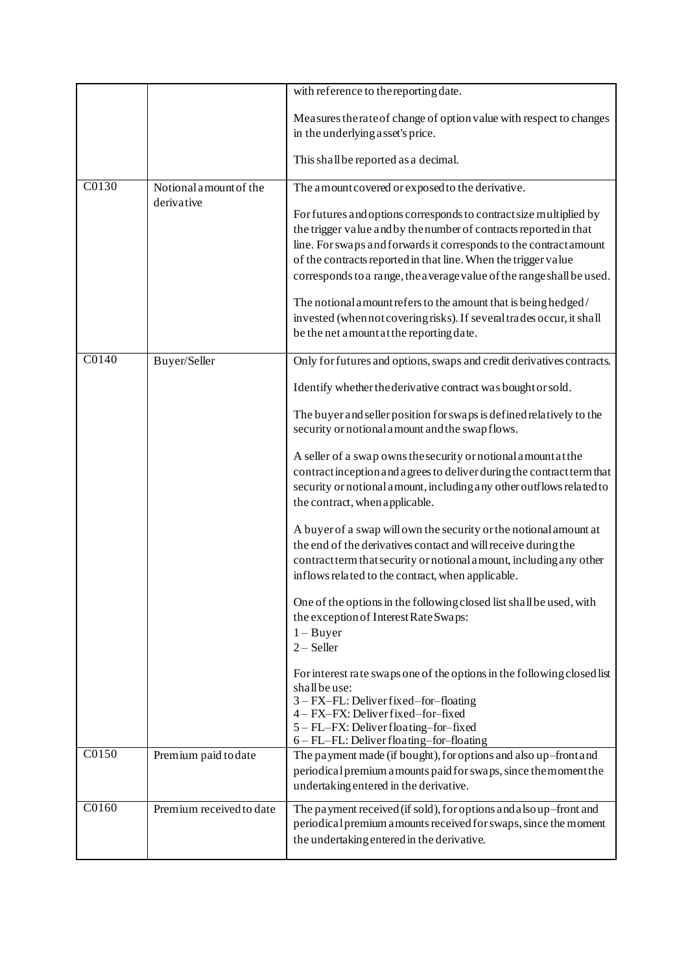|                    |                                      | with reference to the reporting date.                                                                                                                                                                                                                                              |
|--------------------|--------------------------------------|------------------------------------------------------------------------------------------------------------------------------------------------------------------------------------------------------------------------------------------------------------------------------------|
|                    |                                      | Measures the rate of change of option value with respect to changes<br>in the underlying asset's price.                                                                                                                                                                            |
|                    |                                      | This shall be reported as a decimal.                                                                                                                                                                                                                                               |
| C0130              | Notional amount of the<br>derivative | The amount covered or exposed to the derivative.<br>For futures and options corresponds to contract size multiplied by                                                                                                                                                             |
|                    |                                      | the trigger value and by the number of contracts reported in that<br>line. For swaps and forwards it corresponds to the contract amount<br>of the contracts reported in that line. When the trigger value<br>corresponds to a range, the average value of the range shall be used. |
|                    |                                      | The notional amount refers to the amount that is being hedged/<br>invested (when not covering risks). If several trades occur, it shall<br>be the net amount at the reporting date.                                                                                                |
| $\overline{C0140}$ | Buyer/Seller                         | Only for futures and options, swaps and credit derivatives contracts.                                                                                                                                                                                                              |
|                    |                                      | Identify whether the derivative contract was bought or sold.                                                                                                                                                                                                                       |
|                    |                                      | The buyer and seller position for swaps is defined relatively to the<br>security or notional a mount and the swap flows.                                                                                                                                                           |
|                    |                                      | A seller of a swap owns the security or notional amount at the<br>contract inception and a grees to deliver during the contract term that<br>security or notional a mount, including any other outflows related to<br>the contract, when applicable.                               |
|                    |                                      | A buyer of a swap will own the security or the notional amount at<br>the end of the derivatives contact and will receive during the<br>contract term that security or notional amount, including any other<br>inflows related to the contract, when applicable.                    |
|                    |                                      | One of the options in the following closed list shall be used, with<br>the exception of Interest Rate Swaps:<br>$1 - B$ uyer                                                                                                                                                       |
|                    |                                      | $2 -$ Seller<br>For interest rate swaps one of the options in the following closed list<br>shall be use:                                                                                                                                                                           |
|                    |                                      | 3 - FX-FL: Deliver fixed-for-floating<br>4 - FX-FX: Deliver fixed-for-fixed<br>5 - FL-FX: Deliver floating-for-fixed                                                                                                                                                               |
|                    |                                      | 6 - FL-FL: Deliver floating-for-floating                                                                                                                                                                                                                                           |
| C0150              | Premium paid to date                 | The payment made (if bought), for options and also up-front and<br>periodical premium a mounts paid for swaps, since the moment the<br>undertaking entered in the derivative.                                                                                                      |
| C0160              | Premium received to date             | The payment received (if sold), for options and also up-front and<br>periodical premium a mounts received for swaps, since the moment<br>the undertaking entered in the derivative.                                                                                                |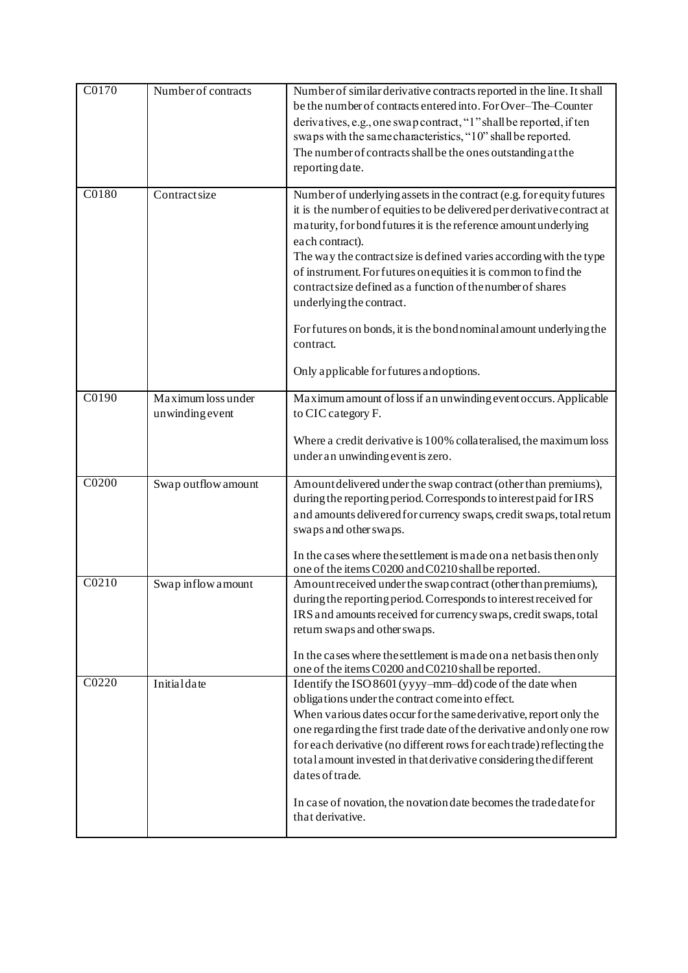| C0170              | Number of contracts                   | Number of similar derivative contracts reported in the line. It shall<br>be the number of contracts entered into. For Over-The-Counter<br>derivatives, e.g., one swap contract, "1" shall be reported, if ten<br>swaps with the same characteristics, "10" shall be reported.<br>The number of contracts shall be the ones outstanding at the<br>reporting date.                                                                                                                                                      |
|--------------------|---------------------------------------|-----------------------------------------------------------------------------------------------------------------------------------------------------------------------------------------------------------------------------------------------------------------------------------------------------------------------------------------------------------------------------------------------------------------------------------------------------------------------------------------------------------------------|
| C0180              | Contractsize                          | Number of underlying assets in the contract (e.g. for equity futures<br>it is the number of equities to be delivered per derivative contract at<br>maturity, for bond futures it is the reference amount underlying<br>each contract).<br>The way the contract size is defined varies according with the type<br>of instrument. For futures on equities it is common to find the<br>contract size defined as a function of the number of shares<br>underlying the contract.                                           |
|                    |                                       | For futures on bonds, it is the bond nominal amount underlying the<br>contract.<br>Only applicable for futures and options.                                                                                                                                                                                                                                                                                                                                                                                           |
| $\overline{C0190}$ | Maximum loss under<br>unwinding event | Maximum amount of loss if an unwinding event occurs. Applicable<br>to CIC category F.                                                                                                                                                                                                                                                                                                                                                                                                                                 |
|                    |                                       | Where a credit derivative is 100% collateralised, the maximum loss<br>under an unwinding event is zero.                                                                                                                                                                                                                                                                                                                                                                                                               |
| C0200              | Swap outflow amount                   | Amount delivered under the swap contract (other than premiums),<br>during the reporting period. Corresponds to interest paid for IRS<br>and amounts delivered for currency swaps, credit swaps, total retum<br>swaps and other swaps.<br>In the cases where the settlement is made on a net basis then only<br>one of the items C0200 and C0210 shall be reported.                                                                                                                                                    |
| C0210              | Swap inflow amount                    | Amount received under the swap contract (other than premiums),<br>during the reporting period. Corresponds to interest received for<br>IRS and amounts received for currency swaps, credit swaps, total<br>return swaps and other swaps.<br>In the cases where the settlement is made on a net basis then only<br>one of the items C0200 and C0210 shall be reported.                                                                                                                                                 |
| C0220              | Initialdate                           | Identify the ISO 8601 (yyyy-mm-dd) code of the date when<br>obligations under the contract come into effect.<br>When various dates occur for the same derivative, report only the<br>one regarding the first trade date of the derivative and only one row<br>for each derivative (no different rows for each trade) reflecting the<br>total amount invested in that derivative considering the different<br>dates of trade.<br>In case of novation, the novation date becomes the trade date for<br>that derivative. |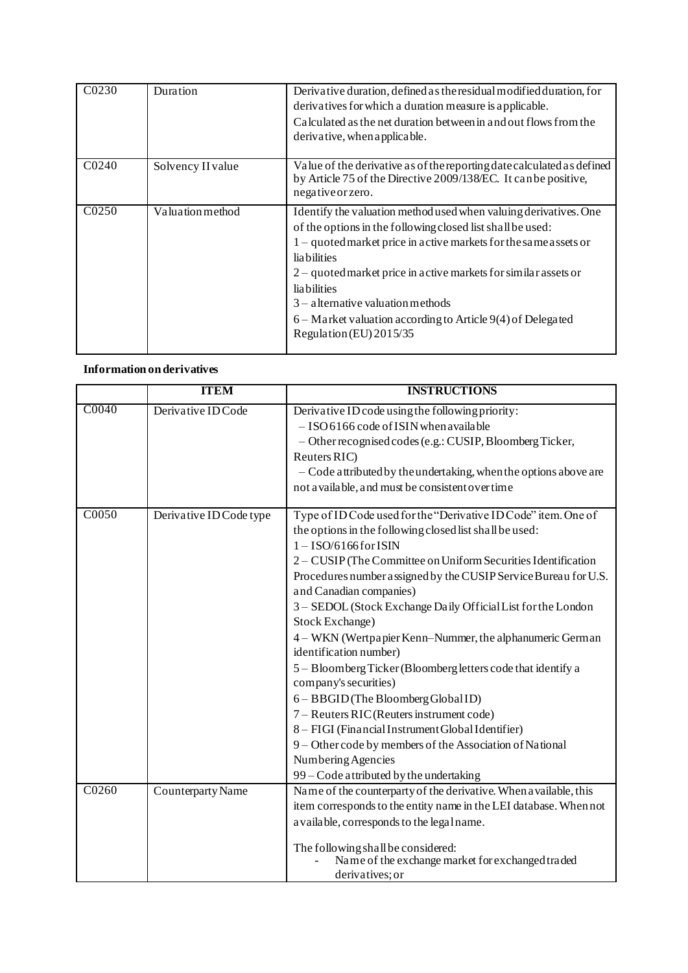| C0230             | Duration          | Derivative duration, defined as the residual modified duration, for<br>derivatives for which a duration measure is applicable.<br>Calculated as the net duration between in and out flows from the<br>derivative, when applicable.                                                                                                                                                                                                                    |
|-------------------|-------------------|-------------------------------------------------------------------------------------------------------------------------------------------------------------------------------------------------------------------------------------------------------------------------------------------------------------------------------------------------------------------------------------------------------------------------------------------------------|
| C <sub>0240</sub> | Solvency II value | Value of the derivative as of the reporting date calculated as defined<br>by Article 75 of the Directive 2009/138/EC. It can be positive,<br>negative or zero.                                                                                                                                                                                                                                                                                        |
| C <sub>0250</sub> | Valuation method  | Identify the valuation method used when valuing derivatives. One<br>of the options in the following closed list shall be used:<br>$1 -$ quoted market price in active markets for the same assets or<br><i>lia</i> bilities<br>2 – quoted market price in active markets for similar assets or<br><b>liabilities</b><br>$3$ – alternative valuation methods<br>6 – Market valuation according to Article 9(4) of Delegated<br>Regulation (EU) 2015/35 |

# **Information on derivatives**

|                    | <b>ITEM</b>             | <b>INSTRUCTIONS</b>                                               |
|--------------------|-------------------------|-------------------------------------------------------------------|
| C0040              | Derivative ID Code      | Derivative ID code using the following priority:                  |
|                    |                         | $-$ ISO 6166 code of ISIN when available                          |
|                    |                         | - Other recognised codes (e.g.: CUSIP, Bloomberg Ticker,          |
|                    |                         | Reuters RIC)                                                      |
|                    |                         | - Code attributed by the undertaking, when the options above are  |
|                    |                         | not a vailable, and must be consistent over time                  |
| $\overline{C0050}$ | Derivative ID Code type | Type of ID Code used for the "Derivative ID Code" item. One of    |
|                    |                         | the options in the following closed list shall be used:           |
|                    |                         | $1 - ISO/6166$ for ISIN                                           |
|                    |                         | 2 – CUSIP (The Committee on Uniform Securities Identification     |
|                    |                         | Procedures number assigned by the CUSIP Service Bureau for U.S.   |
|                    |                         | and Canadian companies)                                           |
|                    |                         | 3 - SEDOL (Stock Exchange Daily Official List for the London      |
|                    |                         | Stock Exchange)                                                   |
|                    |                         | 4 – WKN (Wertpapier Kenn–Nummer, the alphanumeric German          |
|                    |                         | identification number)                                            |
|                    |                         | 5 - Bloomberg Ticker (Bloomberg letters code that identify a      |
|                    |                         | company's securities)                                             |
|                    |                         | 6 - BBGID (The Bloomberg Global ID)                               |
|                    |                         | 7 – Reuters RIC (Reuters instrument code)                         |
|                    |                         | 8 - FIGI (Financial Instrument Global Identifier)                 |
|                    |                         | 9 - Other code by members of the Association of National          |
|                    |                         | Numbering Agencies                                                |
|                    |                         | 99 - Code attributed by the undertaking                           |
| C0260              | Counterparty Name       | Name of the counterparty of the derivative. When a vailable, this |
|                    |                         | item corresponds to the entity name in the LEI database. When not |
|                    |                         | a vailable, corresponds to the legal name.                        |
|                    |                         | The following shall be considered:                                |
|                    |                         | Name of the exchange market for exchanged traded                  |
|                    |                         | derivatives; or                                                   |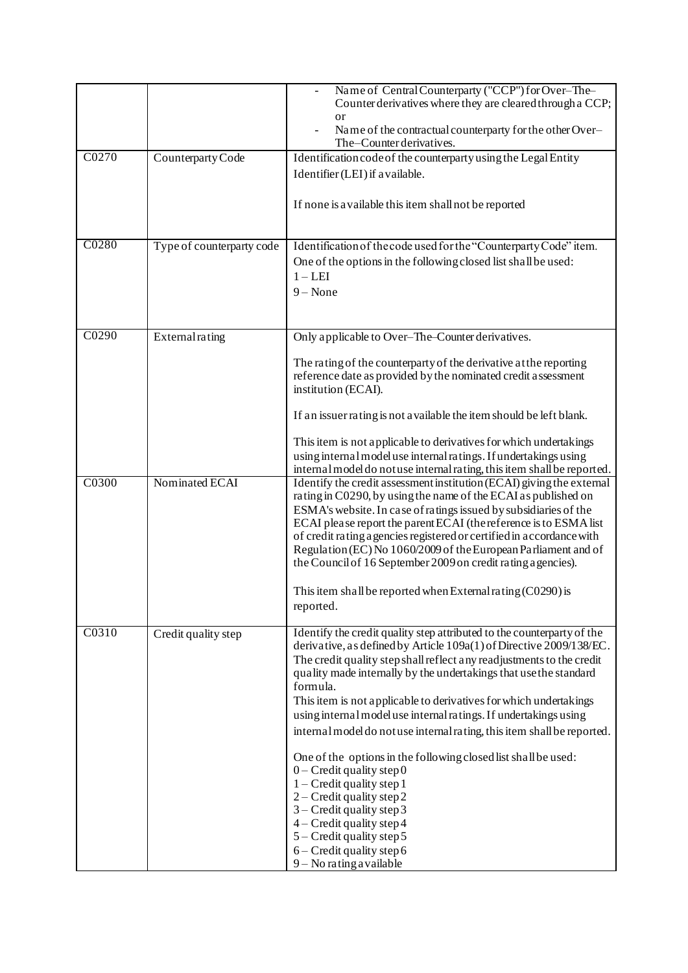|       |                           | Name of Central Counterparty ("CCP") for Over-The-<br>Counter derivatives where they are cleared through a CCP;<br><sub>or</sub><br>Name of the contractual counterparty for the other Over-<br>The-Counter derivatives.                                                                                                                                                                                                                                                                                                                                                                                                                                                                                                                                                                                                                             |
|-------|---------------------------|------------------------------------------------------------------------------------------------------------------------------------------------------------------------------------------------------------------------------------------------------------------------------------------------------------------------------------------------------------------------------------------------------------------------------------------------------------------------------------------------------------------------------------------------------------------------------------------------------------------------------------------------------------------------------------------------------------------------------------------------------------------------------------------------------------------------------------------------------|
| C0270 | Counterparty Code         | Identification code of the counterparty using the Legal Entity<br>Identifier (LEI) if a vailable.<br>If none is a vailable this item shall not be reported                                                                                                                                                                                                                                                                                                                                                                                                                                                                                                                                                                                                                                                                                           |
| C0280 | Type of counterparty code | Identification of the code used for the "Counterparty Code" item.<br>One of the options in the following closed list shall be used:<br>$1 - LEI$<br>$9 - None$                                                                                                                                                                                                                                                                                                                                                                                                                                                                                                                                                                                                                                                                                       |
| C0290 | External rating           | Only applicable to Over-The-Counter derivatives.<br>The rating of the counterparty of the derivative at the reporting<br>reference date as provided by the nominated credit assessment<br>institution (ECAI).<br>If an issuer rating is not available the item should be left blank.<br>This item is not applicable to derivatives for which undertakings<br>using internal model use internal ratings. If undertakings using<br>internal model do not use internal rating, this item shall be reported.                                                                                                                                                                                                                                                                                                                                             |
| C0300 | Nominated ECAI            | Identify the credit assessment institution (ECAI) giving the external<br>rating in C0290, by using the name of the ECAI as published on<br>ESMA's website. In case of ratings issued by subsidiaries of the<br>ECAI please report the parent ECAI (the reference is to ESMA list<br>of credit rating a gencies registered or certified in accordance with<br>Regulation (EC) No 1060/2009 of the European Parliament and of<br>the Council of 16 September 2009 on credit rating a gencies).<br>This item shall be reported when External rating $(C0290)$ is<br>reported.                                                                                                                                                                                                                                                                           |
| C0310 | Credit quality step       | Identify the credit quality step attributed to the counterparty of the<br>derivative, as defined by Article 109a(1) of Directive 2009/138/EC.<br>The credit quality step shall reflect any readjustments to the credit<br>quality made internally by the undertakings that use the standard<br>formula.<br>This item is not applicable to derivatives for which undertakings<br>using internal model use internal ratings. If undertakings using<br>internal model do not use internal rating, this item shall be reported.<br>One of the options in the following closed list shall be used:<br>$0$ – Credit quality step 0<br>$1 -$ Credit quality step 1<br>$2$ – Credit quality step 2<br>$3$ – Credit quality step 3<br>$4 -$ Credit quality step 4<br>$5 -$ Credit quality step 5<br>$6 -$ Credit quality step 6<br>$9 - No$ rating a vailable |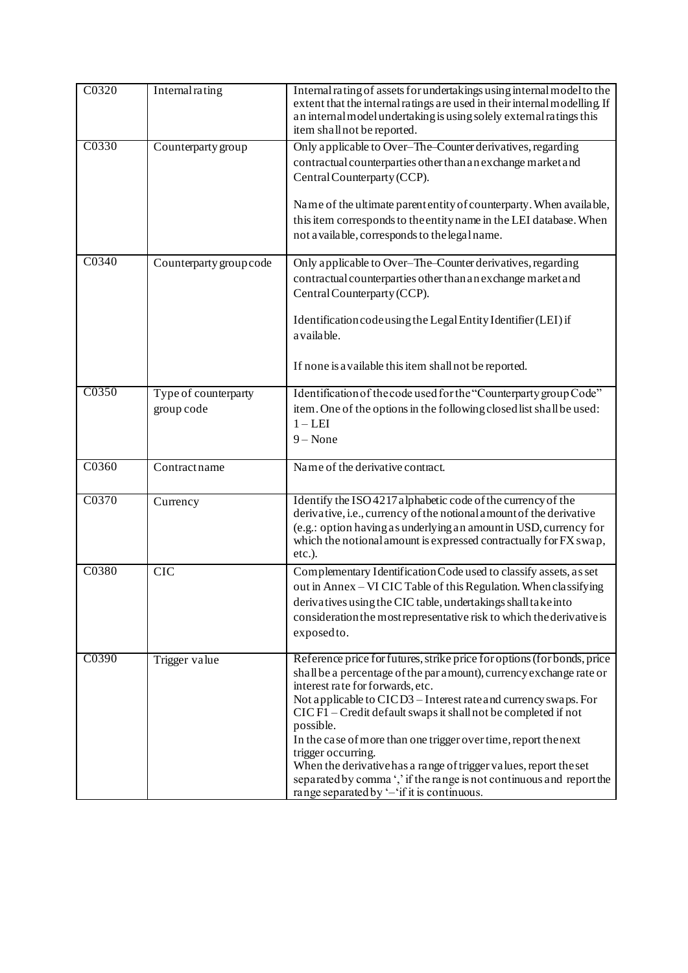| C0320 | Internal rating                    | Internal rating of assets for undertakings using internal model to the<br>extent that the internal ratings are used in their internal modelling. If<br>an internal model undertaking is using solely external ratings this<br>item shall not be reported.                                                                                                                                                                                                                                                                                                                                                                |
|-------|------------------------------------|--------------------------------------------------------------------------------------------------------------------------------------------------------------------------------------------------------------------------------------------------------------------------------------------------------------------------------------------------------------------------------------------------------------------------------------------------------------------------------------------------------------------------------------------------------------------------------------------------------------------------|
| C0330 | Counterparty group                 | Only applicable to Over-The-Counter derivatives, regarding<br>contractual counterparties other than an exchange market and<br>Central Counterparty (CCP).<br>Name of the ultimate parent entity of counterparty. When available,<br>this item corresponds to the entity name in the LEI database. When<br>not available, corresponds to the legal name.                                                                                                                                                                                                                                                                  |
| C0340 | Counterparty group code            | Only applicable to Over-The-Counter derivatives, regarding<br>contractual counterparties other than an exchange market and<br>Central Counterparty (CCP).<br>Identification code using the Legal Entity Identifier (LEI) if<br>a vaila ble.<br>If none is a vailable this item shall not be reported.                                                                                                                                                                                                                                                                                                                    |
| C0350 | Type of counterparty<br>group code | Identification of the code used for the "Counterparty group Code"<br>item. One of the options in the following closed list shall be used:<br>$1 - LEI$<br>$9 - None$                                                                                                                                                                                                                                                                                                                                                                                                                                                     |
| C0360 | Contractname                       | Name of the derivative contract.                                                                                                                                                                                                                                                                                                                                                                                                                                                                                                                                                                                         |
| C0370 | Currency                           | Identify the ISO 4217 alphabetic code of the currency of the<br>derivative, i.e., currency of the notional amount of the derivative<br>(e.g.: option having as underlying an amount in USD, currency for<br>which the notional amount is expressed contractually for FX swap,<br>etc.).                                                                                                                                                                                                                                                                                                                                  |
| C0380 | <b>CIC</b>                         | Complementary Identification Code used to classify assets, as set<br>out in Annex - VI CIC Table of this Regulation. When classifying<br>derivatives using the CIC table, undertakings shall take into<br>consideration the most representative risk to which the derivative is<br>exposedto.                                                                                                                                                                                                                                                                                                                            |
| C0390 | Trigger value                      | Reference price for futures, strike price for options (for bonds, price<br>shall be a percentage of the par amount), currency exchange rate or<br>interest rate for forwards, etc.<br>Not applicable to CICD3 – Interest rate and currency swaps. For<br>CIC F1 – Credit default swaps it shall not be completed if not<br>possible.<br>In the case of more than one trigger over time, report the next<br>trigger occurring.<br>When the derivative has a range of trigger values, report the set<br>separated by comma ',' if the range is not continuous and report the<br>range separated by '-'if it is continuous. |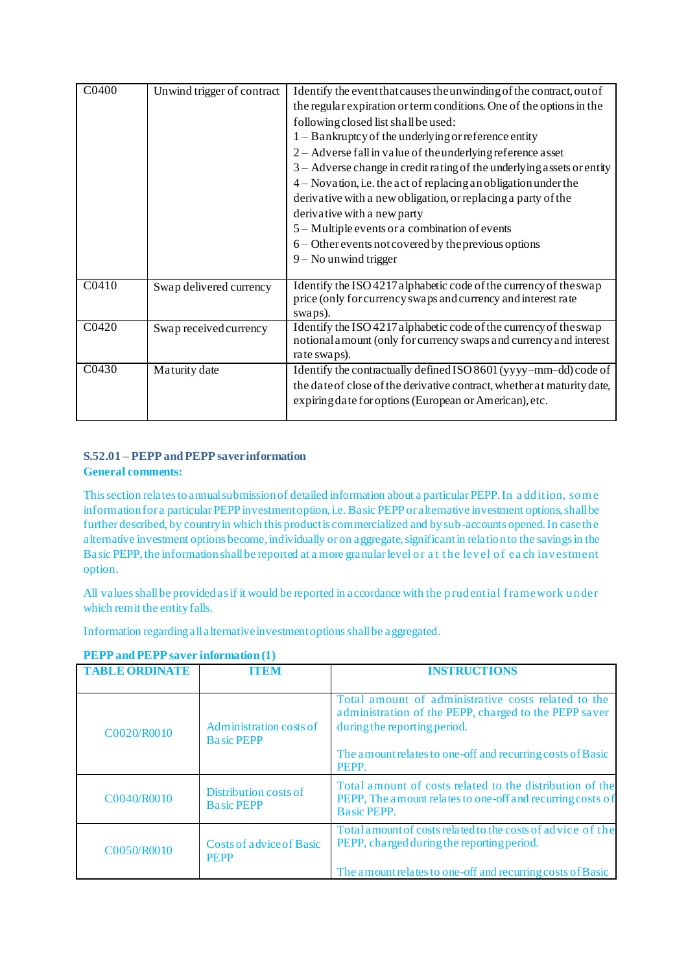| C0400             | Unwind trigger of contract | Identify the event that causes the unwinding of the contract, out of                                                                                    |
|-------------------|----------------------------|---------------------------------------------------------------------------------------------------------------------------------------------------------|
|                   |                            |                                                                                                                                                         |
|                   |                            | the regular expiration or term conditions. One of the options in the                                                                                    |
|                   |                            | following closed list shall be used:                                                                                                                    |
|                   |                            | 1 - Bankruptcy of the underlying or reference entity                                                                                                    |
|                   |                            | 2 – Adverse fall in value of the underlying reference asset                                                                                             |
|                   |                            | $3 -$ Adverse change in credit rating of the underlying assets or entity                                                                                |
|                   |                            | 4 – Novation, i.e. the act of replacing an obligation under the                                                                                         |
|                   |                            | derivative with a new obligation, or replacing a party of the                                                                                           |
|                   |                            | derivative with a new party                                                                                                                             |
|                   |                            | 5 – Multiple events or a combination of events                                                                                                          |
|                   |                            | 6 – Other events not covered by the previous options                                                                                                    |
|                   |                            | $9 -$ No unwind trigger                                                                                                                                 |
|                   |                            |                                                                                                                                                         |
| C <sub>0410</sub> | Swap delivered currency    | Identify the ISO 4217 alphabetic code of the currency of the swap<br>price (only for currency swaps and currency and interest rate                      |
|                   |                            | swaps).                                                                                                                                                 |
| C <sub>0420</sub> | Swap received currency     | Identify the ISO 4217 alphabetic code of the currency of the swap<br>notional amount (only for currency swaps and currency and interest<br>rate swaps). |
| C0430             | Maturity date              | Identify the contractually defined ISO 8601 (yyyy-mm-dd) code of                                                                                        |
|                   |                            | the date of close of the derivative contract, whether at maturity date,                                                                                 |
|                   |                            | expiring date for options (European or American), etc.                                                                                                  |
|                   |                            |                                                                                                                                                         |

### **S.52.01 – PEPP and PEPP saver information General comments:**

This section relates to annual submission of detailed information about a particular PEPP. In a ddition, som e information for a particular PEPP investment option, i.e. Basic PEPP or alternative investment options, shall be further described, by country in which this product is commercialized and by sub-accounts opened. In case the alternative investment options become, individually or on aggregate, significant in relation to the savings in the Basic PEPP, the information shall be reported at a more granular level or a t the level of ea ch investment option.

All values shall be provided as if it would be reported in accordance with the prudential framework under which remit the entity falls.

Information regarding all alternative investment options shall be aggregated.

| <b>TABLE ORDINATE</b> | ITEN                                         | <b>INSTRUCTIONS</b>                                                                                                                                                                                                 |
|-----------------------|----------------------------------------------|---------------------------------------------------------------------------------------------------------------------------------------------------------------------------------------------------------------------|
| C0020/R0010           | Administration costs of<br><b>Basic PEPP</b> | Total amount of administrative costs related to the<br>administration of the PEPP, charged to the PEPP saver<br>during the reporting period.<br>The amount relates to one-off and recurring costs of Basic<br>PEPP. |
| C0040/R0010           | Distribution costs of<br><b>Basic PEPP</b>   | Total amount of costs related to the distribution of the<br>PEPP, The amount relates to one-off and recurring costs of<br><b>Basic PEPP.</b>                                                                        |
| C0050/R0010           | Costs of advice of Basic<br><b>PEPP</b>      | Total amount of costs related to the costs of advice of the<br>PEPP, charged during the reporting period.<br>The amount relates to one-off and recurring costs of Basic                                             |

### **PEPP and PEPP saver information (1)**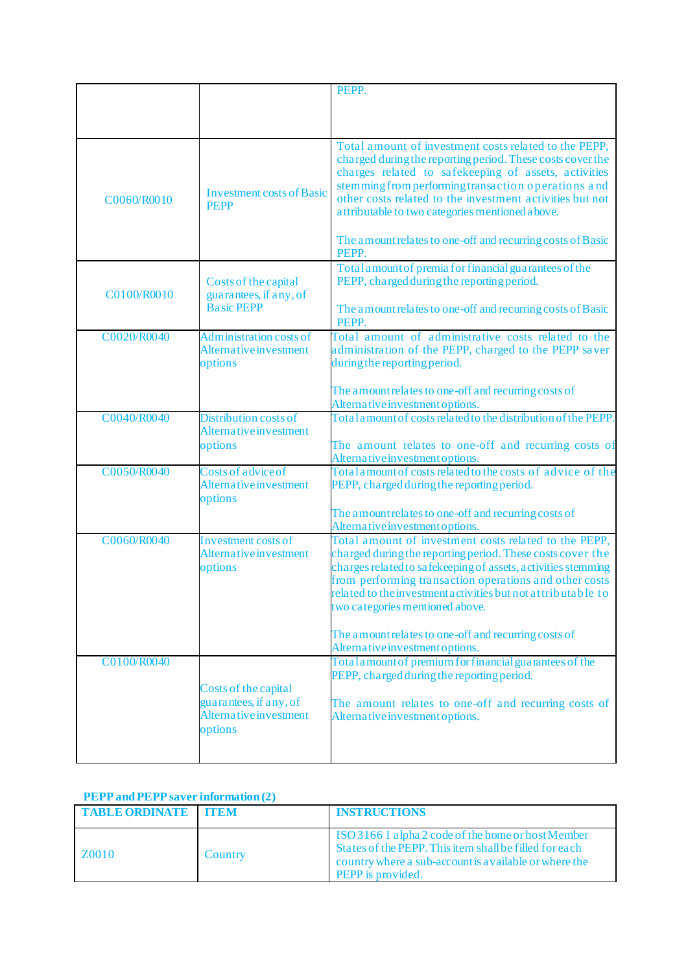|             |                                                 | PEPP.                                                                                                                                                                                                                                                                                                                                             |
|-------------|-------------------------------------------------|---------------------------------------------------------------------------------------------------------------------------------------------------------------------------------------------------------------------------------------------------------------------------------------------------------------------------------------------------|
|             |                                                 |                                                                                                                                                                                                                                                                                                                                                   |
|             |                                                 |                                                                                                                                                                                                                                                                                                                                                   |
|             |                                                 |                                                                                                                                                                                                                                                                                                                                                   |
| C0060/R0010 | <b>Investment costs of Basic</b><br><b>PEPP</b> | Total amount of investment costs related to the PEPP,<br>charged during the reporting period. These costs cover the<br>charges related to safekeeping of assets, activities<br>stemming from performing transaction operations and<br>other costs related to the investment activities but not<br>attributable to two categories mentioned above. |
|             |                                                 | The amount relates to one-off and recurring costs of Basic<br>PEPP.                                                                                                                                                                                                                                                                               |
| C0100/R0010 | Costs of the capital<br>guarantees, if any, of  | Total amount of premia for financial guarantees of the<br>PEPP, charged during the reporting period.                                                                                                                                                                                                                                              |
|             | <b>Basic PEPP</b>                               | The amount relates to one-off and recurring costs of Basic<br>PEPP.                                                                                                                                                                                                                                                                               |
| C0020/R0040 | Administration costs of                         | Total amount of administrative costs related to the                                                                                                                                                                                                                                                                                               |
|             | Alternative investment                          | administration of the PEPP, charged to the PEPP saver                                                                                                                                                                                                                                                                                             |
|             | options                                         | during the reporting period.                                                                                                                                                                                                                                                                                                                      |
|             |                                                 |                                                                                                                                                                                                                                                                                                                                                   |
|             |                                                 | The amount relates to one-off and recurring costs of<br>Alternative investment options.                                                                                                                                                                                                                                                           |
| C0040/R0040 | <b>Distribution costs of</b>                    | Total amount of costs related to the distribution of the PEPP.                                                                                                                                                                                                                                                                                    |
|             | Alternative investment                          |                                                                                                                                                                                                                                                                                                                                                   |
|             | options                                         | The amount relates to one-off and recurring costs of                                                                                                                                                                                                                                                                                              |
|             |                                                 | Alternative investment options.                                                                                                                                                                                                                                                                                                                   |
| C0050/R0040 | Costs of advice of                              | Total amount of costs related to the costs of advice of the                                                                                                                                                                                                                                                                                       |
|             | Alternative investment<br>options               | PEPP, charged during the reporting period.                                                                                                                                                                                                                                                                                                        |
|             |                                                 | The amount relates to one-off and recurring costs of                                                                                                                                                                                                                                                                                              |
|             |                                                 | Alternative investment options.                                                                                                                                                                                                                                                                                                                   |
| C0060/R0040 | Investment costs of                             | Total amount of investment costs related to the PEPP,                                                                                                                                                                                                                                                                                             |
|             | Alternative investment                          | charged during the reporting period. These costs cover the<br>charges related to safekeeping of assets, activities stemming                                                                                                                                                                                                                       |
|             | options                                         | from performing transaction operations and other costs                                                                                                                                                                                                                                                                                            |
|             |                                                 | related to the investment activities but not at tributable to                                                                                                                                                                                                                                                                                     |
|             |                                                 | two categories mentioned above.                                                                                                                                                                                                                                                                                                                   |
|             |                                                 |                                                                                                                                                                                                                                                                                                                                                   |
|             |                                                 | The amount relates to one-off and recurring costs of                                                                                                                                                                                                                                                                                              |
|             |                                                 | Alternative investment options.                                                                                                                                                                                                                                                                                                                   |
| C0100/R0040 |                                                 | Total a mount of premium for financial guarantees of the                                                                                                                                                                                                                                                                                          |
|             |                                                 | PEPP, charged during the reporting period.                                                                                                                                                                                                                                                                                                        |
|             | Costs of the capital<br>guarantees, if any, of  | The amount relates to one-off and recurring costs of                                                                                                                                                                                                                                                                                              |
|             | Alternative investment                          | Alternative investment options.                                                                                                                                                                                                                                                                                                                   |
|             | options                                         |                                                                                                                                                                                                                                                                                                                                                   |
|             |                                                 |                                                                                                                                                                                                                                                                                                                                                   |
|             |                                                 |                                                                                                                                                                                                                                                                                                                                                   |

# **PEPP and PEPP saver information (2)**

| <b>TABLE ORDINATE ITEM</b> |         | <b>INSTRUCTIONS</b>                                                                                                                                                                                |
|----------------------------|---------|----------------------------------------------------------------------------------------------------------------------------------------------------------------------------------------------------|
| Z0010                      | Country | ISO 3166 1 alpha 2 code of the home or host Member<br>States of the PEPP. This item shall be filled for each<br>country where a sub-account is a vailable or where the<br><b>PEPP</b> is provided. |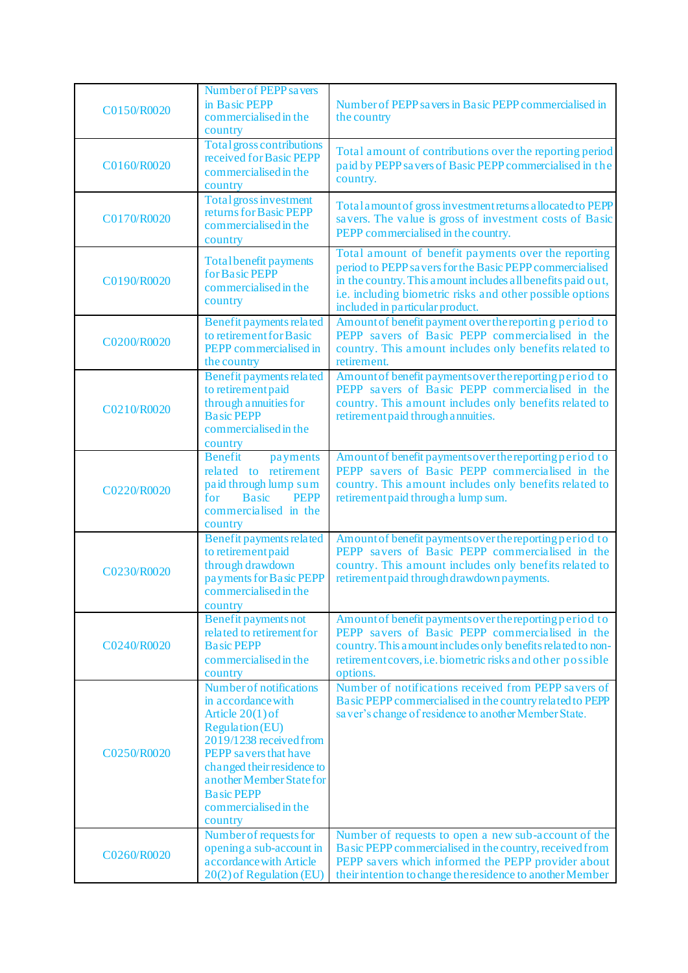| C0150/R0020 | Number of PEPP savers<br>in Basic PEPP<br>commercialised in the<br>country                                                                                                                                                                                           | Number of PEPP savers in Basic PEPP commercialised in<br>the country                                                                                                                                                                                                          |
|-------------|----------------------------------------------------------------------------------------------------------------------------------------------------------------------------------------------------------------------------------------------------------------------|-------------------------------------------------------------------------------------------------------------------------------------------------------------------------------------------------------------------------------------------------------------------------------|
| C0160/R0020 | Total gross contributions<br>received for Basic PEPP<br>commercialised in the<br>country                                                                                                                                                                             | Total amount of contributions over the reporting period<br>paid by PEPP savers of Basic PEPP commercialised in the<br>country.                                                                                                                                                |
| C0170/R0020 | Total gross investment<br>returns for Basic PEPP<br>commercialised in the<br>country                                                                                                                                                                                 | Total amount of gross investment returns a llocated to PEPP<br>savers. The value is gross of investment costs of Basic<br>PEPP commercialised in the country.                                                                                                                 |
| C0190/R0020 | <b>Total benefit payments</b><br>for Basic PEPP<br>commercialised in the<br>country                                                                                                                                                                                  | Total amount of benefit payments over the reporting<br>period to PEPP savers for the Basic PEPP commercialised<br>in the country. This amount includes all benefits paid out,<br>i.e. including biometric risks and other possible options<br>included in particular product. |
| C0200/R0020 | Benefit payments related<br>to retirement for Basic<br>PEPP commercialised in<br>the country                                                                                                                                                                         | Amount of benefit payment over the reporting period to<br>PEPP savers of Basic PEPP commercialised in the<br>country. This amount includes only benefits related to<br>retirement.                                                                                            |
| C0210/R0020 | <b>Benefit payments related</b><br>to retirement paid<br>through annuities for<br><b>Basic PEPP</b><br>commercialised in the<br>country                                                                                                                              | Amount of benefit payments over the reporting period to<br>PEPP savers of Basic PEPP commercialised in the<br>country. This amount includes only benefits related to<br>retirement paid through a nnuities.                                                                   |
| C0220/R0020 | <b>Benefit</b><br>payments<br>related to retirement<br>paid through lump sum<br><b>Basic</b><br><b>PEPP</b><br>for<br>commercialised in the<br>country                                                                                                               | Amount of benefit payments over the reporting period to<br>PEPP savers of Basic PEPP commercialised in the<br>country. This amount includes only benefits related to<br>retirement paid through a lump sum.                                                                   |
| C0230/R0020 | <b>Benefit payments related</b><br>to retirement paid<br>through drawdown<br>payments for Basic PEPP<br>commercialised in the<br>country                                                                                                                             | Amount of benefit payments over the reporting period to<br>PEPP savers of Basic PEPP commercialised in the<br>country. This amount includes only benefits related to<br>retirement paid through drawdown payments.                                                            |
| C0240/R0020 | Benefit payments not<br>related to retirement for<br><b>Basic PEPP</b><br>commercialised in the<br>country                                                                                                                                                           | Amount of benefit payments over the reporting period to<br>PEPP savers of Basic PEPP commercialised in the<br>country. This amount includes only benefits related to non-<br>retirement covers, i.e. biometric risks and other possible<br>options.                           |
| C0250/R0020 | Number of notifications<br>in accordance with<br>Article $20(1)$ of<br><b>Regulation</b> (EU)<br>2019/1238 received from<br>PEPP savers that have<br>changed their residence to<br>another Member State for<br><b>Basic PEPP</b><br>commercialised in the<br>country | Number of notifications received from PEPP savers of<br>Basic PEPP commercialised in the country related to PEPP<br>saver's change of residence to another Member State.                                                                                                      |
| C0260/R0020 | Number of requests for<br>opening a sub-account in<br>a ccordance with Article<br>20(2) of Regulation (EU)                                                                                                                                                           | Number of requests to open a new sub-account of the<br>Basic PEPP commercialised in the country, received from<br>PEPP savers which informed the PEPP provider about<br>their intention to change the residence to another Member                                             |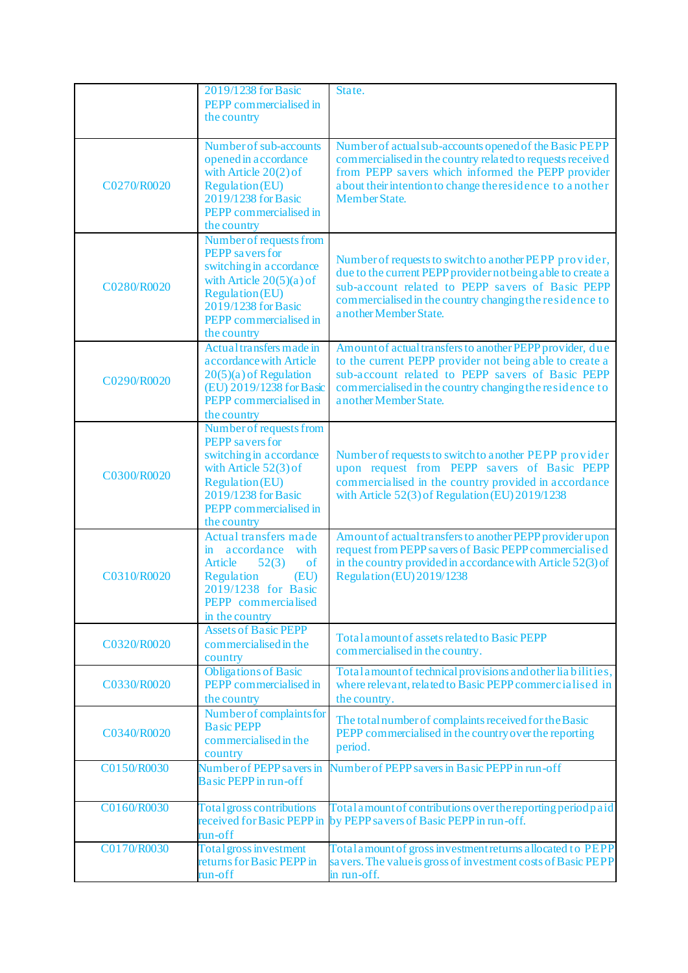|             | 2019/1238 for Basic<br>PEPP commercialised in<br>the country                                                                                                                                         | State.                                                                                                                                                                                                                                                          |
|-------------|------------------------------------------------------------------------------------------------------------------------------------------------------------------------------------------------------|-----------------------------------------------------------------------------------------------------------------------------------------------------------------------------------------------------------------------------------------------------------------|
| C0270/R0020 | Number of sub-accounts<br>opened in accordance<br>with Article 20(2) of<br><b>Regulation (EU)</b><br>2019/1238 for Basic<br>PEPP commercialised in<br>the country                                    | Number of actual sub-accounts opened of the Basic PEPP<br>commercialised in the country related to requests received<br>from PEPP savers which informed the PEPP provider<br>about their intention to change the residence to a nother<br><b>Member State.</b>  |
| C0280/R0020 | Number of requests from<br><b>PEPP</b> savers for<br>switching in accordance<br>with Article $20(5)(a)$ of<br><b>Regulation</b> (EU)<br>2019/1238 for Basic<br>PEPP commercialised in<br>the country | Number of requests to switch to another PEPP provider,<br>due to the current PEPP provider not being a ble to create a<br>sub-account related to PEPP savers of Basic PEPP<br>commercialised in the country changing the residence to<br>a nother Member State. |
| C0290/R0020 | Actual transfers made in<br>a ccordance with Article<br>$20(5)(a)$ of Regulation<br>(EU) 2019/1238 for Basic<br>PEPP commercialised in<br>the country                                                | Amount of actual transfers to another PEPP provider, due<br>to the current PEPP provider not being able to create a<br>sub-account related to PEPP savers of Basic PEPP<br>commercialised in the country changing the residence to<br>another Member State.     |
| C0300/R0020 | Number of requests from<br>PEPP savers for<br>switching in accordance<br>with Article 52(3) of<br><b>Regulation (EU)</b><br>2019/1238 for Basic<br>PEPP commercialised in<br>the country             | Number of requests to switch to another PEPP provider<br>upon request from PEPP savers of Basic PEPP<br>commercialised in the country provided in accordance<br>with Article 52(3) of Regulation (EU) 2019/1238                                                 |
| C0310/R0020 | Actual transfers made<br>with<br>in accordance<br>52(3)<br>Article<br>of<br>Regulation<br>(EU)<br>2019/1238 for Basic<br><b>PEPP</b> commercialised<br>in the country                                | Amount of actual transfers to another PEPP provider upon<br>request from PEPP savers of Basic PEPP commercialised<br>in the country provided in accordance with Article 52(3) of<br>Regulation (EU) 2019/1238                                                   |
| C0320/R0020 | <b>Assets of Basic PEPP</b><br>commercialised in the<br>country                                                                                                                                      | Total a mount of assets related to Basic PEPP<br>commercialised in the country.                                                                                                                                                                                 |
| C0330/R0020 | <b>Obligations of Basic</b><br>PEPP commercialised in<br>the country                                                                                                                                 | Total amount of technical provisions and other liabilities,<br>where relevant, related to Basic PEPP commercialised in<br>the country.                                                                                                                          |
| C0340/R0020 | Number of complaints for<br><b>Basic PEPP</b><br>commercialised in the<br>country                                                                                                                    | The total number of complaints received for the Basic<br>PEPP commercialised in the country over the reporting<br>period.                                                                                                                                       |
| C0150/R0030 | Number of PEPP savers in<br><b>Basic PEPP</b> in run-off                                                                                                                                             | Number of PEPP savers in Basic PEPP in run-off                                                                                                                                                                                                                  |
| C0160/R0030 | Total gross contributions<br>received for Basic PEPP in<br>run-off                                                                                                                                   | Total a mount of contributions over the reporting period paid<br>by PEPP savers of Basic PEPP in run-off.                                                                                                                                                       |
| C0170/R0030 | Total gross investment<br>returns for Basic PEPP in<br>run-off                                                                                                                                       | Total amount of gross investment returns a llocated to PEPP<br>savers. The value is gross of investment costs of Basic PEPP<br>in run-off.                                                                                                                      |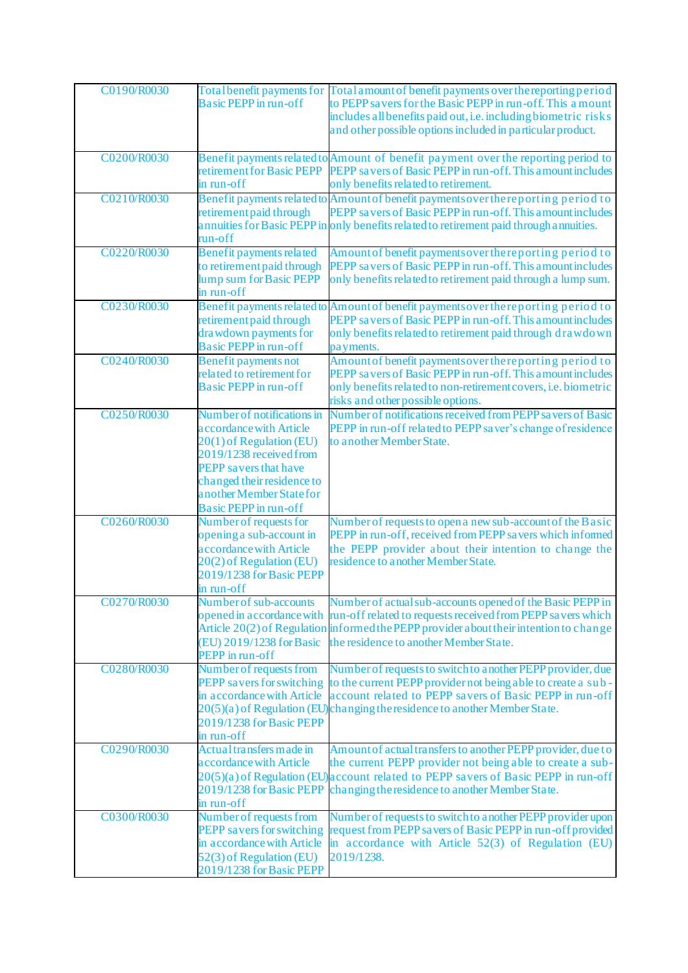| C0190/R0030 | <b>Basic PEPP</b> in run-off                                                                                                                                                                                                           | Total benefit payments for Total amount of benefit payments over the reporting period<br>to PEPP savers for the Basic PEPP in run-off. This a mount<br>includes all benefits paid out, i.e. including biometric risks<br>and other possible options included in particular product.     |
|-------------|----------------------------------------------------------------------------------------------------------------------------------------------------------------------------------------------------------------------------------------|-----------------------------------------------------------------------------------------------------------------------------------------------------------------------------------------------------------------------------------------------------------------------------------------|
| C0200/R0030 | retirement for Basic PEPP<br>in run-off                                                                                                                                                                                                | Benefit payments related to Amount of benefit payment over the reporting period to<br>PEPP savers of Basic PEPP in run-off. This amount includes<br>only benefits related to retirement.                                                                                                |
| C0210/R0030 | retirement paid through<br>run-off                                                                                                                                                                                                     | Benefit payments related to Amount of benefit payments over the reporting period to<br>PEPP savers of Basic PEPP in run-off. This amount includes<br>annuities for Basic PEPP in only benefits related to retirement paid through annuities.                                            |
| C0220/R0030 | Benefit payments related<br>to retirement paid through<br>lump sum for Basic PEPP<br>in run-off                                                                                                                                        | Amount of benefit payments over the reporting period to<br>PEPP savers of Basic PEPP in run-off. This amount includes<br>only benefits related to retirement paid through a lump sum.                                                                                                   |
| C0230/R0030 | retirement paid through<br>drawdown payments for<br><b>Basic PEPP</b> in run-off                                                                                                                                                       | Benefit payments related to Amount of benefit payments over the reporting period to<br>PEPP savers of Basic PEPP in run-off. This amount includes<br>only benefits related to retirement paid through drawdown<br>payments.                                                             |
| C0240/R0030 | <b>Benefit payments not</b><br>related to retirement for<br><b>Basic PEPP</b> in run-off                                                                                                                                               | Amount of benefit payments over the reporting period to<br>PEPP savers of Basic PEPP in run-off. This amount includes<br>only benefits related to non-retirement covers, i.e. biometric<br>risks and other possible options.                                                            |
| C0250/R0030 | Number of notifications in<br>accordance with Article<br>20(1) of Regulation (EU)<br>2019/1238 received from<br><b>PEPP</b> savers that have<br>changed their residence to<br>another Member State for<br><b>Basic PEPP</b> in run-off | Number of notifications received from PEPP savers of Basic<br>PEPP in run-off related to PEPP saver's change of residence<br>to another Member State.                                                                                                                                   |
| C0260/R0030 | Number of requests for<br>opening a sub-account in<br>accordance with Article<br>20(2) of Regulation (EU)<br>2019/1238 for Basic PEPP<br>in run-off                                                                                    | Number of requests to open a new sub-account of the B asic<br>PEPP in run-off, received from PEPP savers which informed<br>the PEPP provider about their intention to change the<br>residence to another Member State.                                                                  |
| C0270/R0030 | Number of sub-accounts<br>(EU) 2019/1238 for Basic<br><b>PEPP</b> in run-off                                                                                                                                                           | Number of actual sub-accounts opened of the Basic PEPP in<br>opened in accordance with run-off related to requests received from PEPP savers which<br>Article 20(2) of Regulation informed the PEPP provider a bout their intention to change<br>the residence to another Member State. |
| C0280/R0030 | Number of requests from<br>PEPP savers for switching<br>in accordance with Article<br>2019/1238 for Basic PEPP<br>in run-off                                                                                                           | Number of requests to switch to a nother PEPP provider, due<br>to the current PEPP provider not being a ble to create a sub-<br>account related to PEPP savers of Basic PEPP in run-off<br>20(5)(a) of Regulation (EU)changing the residence to another Member State.                   |
| C0290/R0030 | Actual transfers made in<br>accordance with Article<br>2019/1238 for Basic PEPP<br>in run-off                                                                                                                                          | Amount of actual transfers to another PEPP provider, due to<br>the current PEPP provider not being able to create a sub-<br>20(5)(a) of Regulation (EU) account related to PEPP savers of Basic PEPP in run-off<br>changing the residence to another Member State.                      |
| C0300/R0030 | Number of requests from<br><b>PEPP</b> savers for switching<br>in accordance with Article<br>52(3) of Regulation (EU)<br>2019/1238 for Basic PEPP                                                                                      | Number of requests to switch to a nother PEPP provider upon<br>request from PEPP savers of Basic PEPP in run-off provided<br>in accordance with Article 52(3) of Regulation (EU)<br>2019/1238.                                                                                          |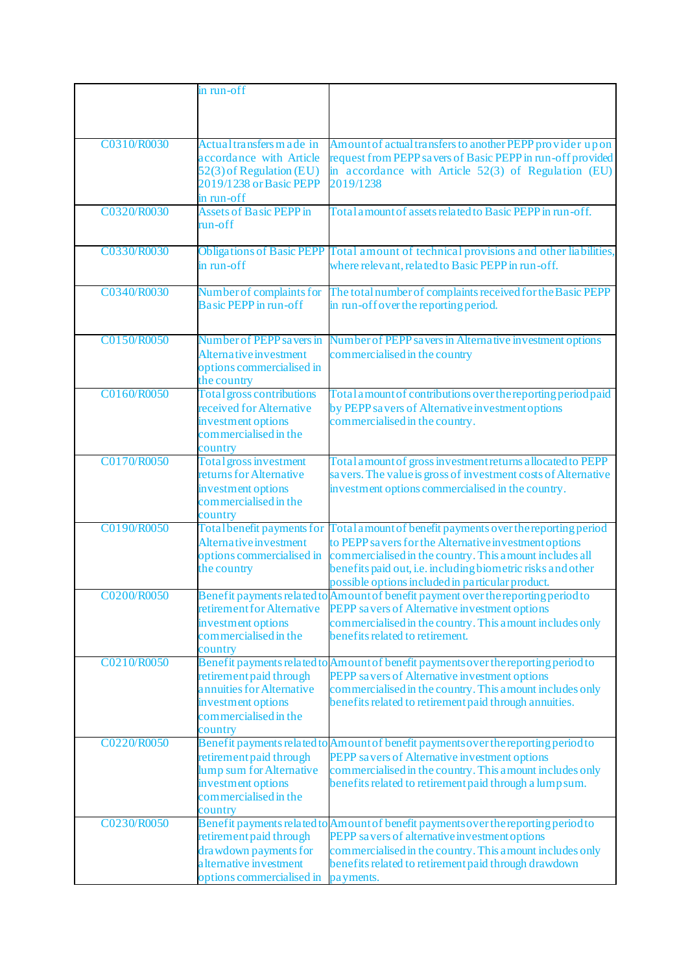|             | in run-off                                          |                                                                                                                              |
|-------------|-----------------------------------------------------|------------------------------------------------------------------------------------------------------------------------------|
|             |                                                     |                                                                                                                              |
|             |                                                     |                                                                                                                              |
| C0310/R0030 | Actual transfers m ade in                           | Amount of actual transfers to another PEPP provider upon                                                                     |
|             | accordance with Article                             | request from PEPP savers of Basic PEPP in run-off provided                                                                   |
|             | 52(3) of Regulation (EU)                            | in accordance with Article 52(3) of Regulation (EU)                                                                          |
|             | 2019/1238 or Basic PEPP                             | 2019/1238                                                                                                                    |
|             | in run-off                                          |                                                                                                                              |
| C0320/R0030 | <b>Assets of Basic PEPP in</b>                      | Total amount of assets related to Basic PEPP in run-off.                                                                     |
|             | run-off                                             |                                                                                                                              |
| C0330/R0030 |                                                     | Obligations of Basic PEPP Total amount of technical provisions and other liabilities,                                        |
|             | in run-off                                          | where relevant, related to Basic PEPP in run-off.                                                                            |
|             |                                                     |                                                                                                                              |
| C0340/R0030 | Number of complaints for                            | The total number of complaints received for the Basic PEPP                                                                   |
|             | <b>Basic PEPP</b> in run-off                        | in run-off over the reporting period.                                                                                        |
|             |                                                     |                                                                                                                              |
| C0150/R0050 | Number of PEPP savers in                            | Number of PEPP savers in Alternative investment options                                                                      |
|             | Alternative investment                              | commercialised in the country                                                                                                |
|             | options commercialised in<br>the country            |                                                                                                                              |
| C0160/R0050 | Total gross contributions                           | Total amount of contributions over the reporting period paid                                                                 |
|             | received for Alternative                            | by PEPP savers of Alternative investment options                                                                             |
|             | investment options                                  | commercialised in the country.                                                                                               |
|             | commercialised in the                               |                                                                                                                              |
| C0170/R0050 | country<br>Total gross investment                   |                                                                                                                              |
|             | returns for Alternative                             | Total amount of gross investment returns a llocated to PEPP<br>savers. The value is gross of investment costs of Alternative |
|             | investment options                                  | investment options commercialised in the country.                                                                            |
|             | commercialised in the                               |                                                                                                                              |
|             | country                                             |                                                                                                                              |
| C0190/R0050 | Total benefit payments for                          | Total a mount of benefit payments over the reporting period                                                                  |
|             | Alternative investment<br>options commercialised in | to PEPP savers for the Alternative investment options<br>commercialised in the country. This amount includes all             |
|             | the country                                         | benefits paid out, i.e. including biometric risks and other                                                                  |
|             |                                                     | possible options included in particular product.                                                                             |
| C0200/R0050 |                                                     | Benefit payments related to Amount of benefit payment over the reporting period to                                           |
|             | retirement for Alternative                          | PEPP savers of Alternative investment options                                                                                |
|             | investment options                                  | commercialised in the country. This a mount includes only                                                                    |
|             | commercialised in the<br>country                    | benefits related to retirement.                                                                                              |
| C0210/R0050 |                                                     | Benefit payments related to Amount of benefit payments over the reporting period to                                          |
|             | retirement paid through                             | PEPP savers of Alternative investment options                                                                                |
|             | annuities for Alternative                           | commercialised in the country. This amount includes only                                                                     |
|             | investment options                                  | benefits related to retirement paid through annuities.                                                                       |
|             | commercialised in the<br>country                    |                                                                                                                              |
| C0220/R0050 |                                                     | Benefit payments related to Amount of benefit payments over the reporting period to                                          |
|             | retirement paid through                             | PEPP savers of Alternative investment options                                                                                |
|             | lump sum for Alternative                            | commercialised in the country. This amount includes only                                                                     |
|             | investment options                                  | benefits related to retirement paid through a lump sum.                                                                      |
|             | commercialised in the                               |                                                                                                                              |
| C0230/R0050 | country                                             | Benefit payments related to Amount of benefit payments over the reporting period to                                          |
|             | retirement paid through                             | PEPP savers of alternative investment options                                                                                |
|             | drawdown payments for                               | commercialised in the country. This amount includes only                                                                     |
|             | alternative investment                              | benefits related to retirement paid through drawdown                                                                         |
|             | options commercialised in                           | payments.                                                                                                                    |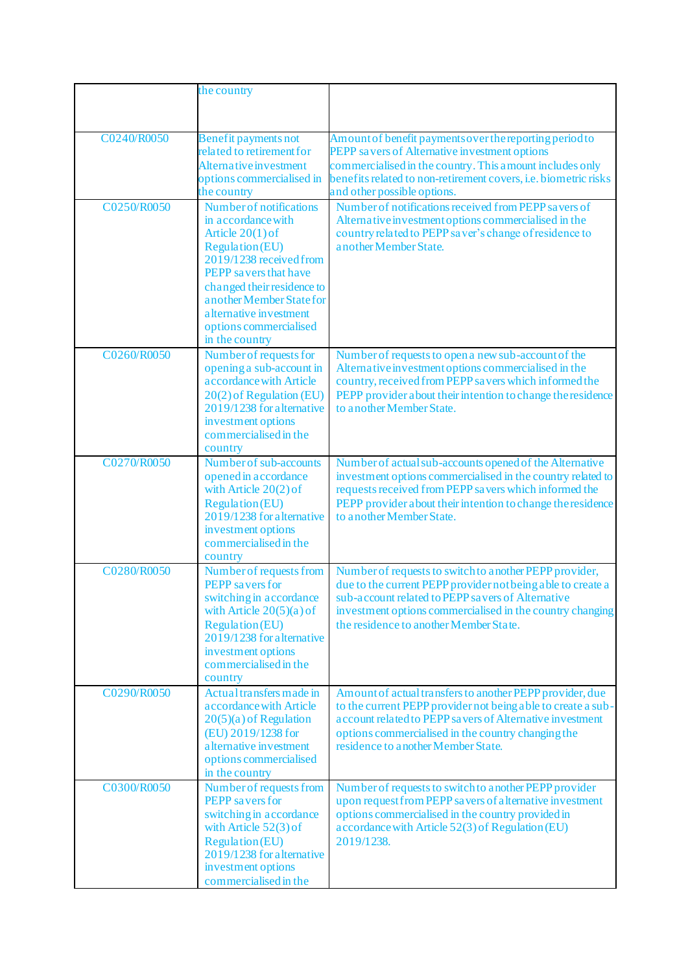|             | the country                                                                                                                                                                                                                                                                        |                                                                                                                                                                                                                                                                                     |
|-------------|------------------------------------------------------------------------------------------------------------------------------------------------------------------------------------------------------------------------------------------------------------------------------------|-------------------------------------------------------------------------------------------------------------------------------------------------------------------------------------------------------------------------------------------------------------------------------------|
|             |                                                                                                                                                                                                                                                                                    |                                                                                                                                                                                                                                                                                     |
| C0240/R0050 | <b>Benefit payments not</b><br>related to retirement for<br>Alternative investment<br>options commercialised in<br>the country                                                                                                                                                     | Amount of benefit payments over the reporting period to<br>PEPP savers of Alternative investment options<br>commercialised in the country. This amount includes only<br>benefits related to non-retirement covers, <i>i.e.</i> biometric risks<br>and other possible options.       |
| C0250/R0050 | Number of notifications<br>in accordance with<br>Article $20(1)$ of<br><b>Regulation</b> (EU)<br>2019/1238 received from<br>PEPP savers that have<br>changed their residence to<br>another Member State for<br>a lternative investment<br>options commercialised<br>in the country | Number of notifications received from PEPP savers of<br>Alternative investment options commercialised in the<br>country related to PEPP saver's change of residence to<br>a nother Member State.                                                                                    |
| C0260/R0050 | Number of requests for<br>opening a sub-account in<br>a ccordance with Article<br>20(2) of Regulation (EU)<br>2019/1238 for alternative<br>investment options<br>commercialised in the<br>country                                                                                  | Number of requests to open a new sub-account of the<br>Alternative investment options commercialised in the<br>country, received from PEPP savers which informed the<br>PEPP provider a bout their intention to change the residence<br>to a nother Member State.                   |
| C0270/R0050 | Number of sub-accounts<br>opened in accordance<br>with Article $20(2)$ of<br><b>Regulation (EU)</b><br>$2019/1238$ for alternative<br>investment options<br>commercialised in the<br>country                                                                                       | Number of actual sub-accounts opened of the Alternative<br>investment options commercialised in the country related to<br>requests received from PEPP savers which informed the<br>PEPP provider a bout their intention to change the residence<br>to another Member State.         |
| C0280/R0050 | Number of requests from<br>PEPP savers for<br>switching in accordance<br>with Article $20(5)(a)$ of<br><b>Regulation</b> (EU)<br>2019/1238 for alternative<br>investment options<br>commercialised in the<br>country                                                               | Number of requests to switch to a nother PEPP provider,<br>due to the current PEPP provider not being a ble to create a<br>sub-account related to PEPP savers of Alternative<br>investment options commercialised in the country changing<br>the residence to another Member State. |
| C0290/R0050 | Actual transfers made in<br>a ccordance with Article<br>$20(5)(a)$ of Regulation<br>(EU) 2019/1238 for<br>a lternative investment<br>options commercialised<br>in the country                                                                                                      | Amount of actual transfers to another PEPP provider, due<br>to the current PEPP provider not being able to create a sub-<br>account related to PEPP savers of Alternative investment<br>options commercialised in the country changing the<br>residence to another Member State.    |
| C0300/R0050 | Number of requests from<br>PEPP savers for<br>switching in accordance<br>with Article $52(3)$ of<br><b>Regulation</b> (EU)<br>2019/1238 for alternative<br>investment options<br>commercialised in the                                                                             | Number of requests to switch to a nother PEPP provider<br>upon request from PEPP savers of alternative investment<br>options commercialised in the country provided in<br>accordance with Article 52(3) of Regulation (EU)<br>2019/1238.                                            |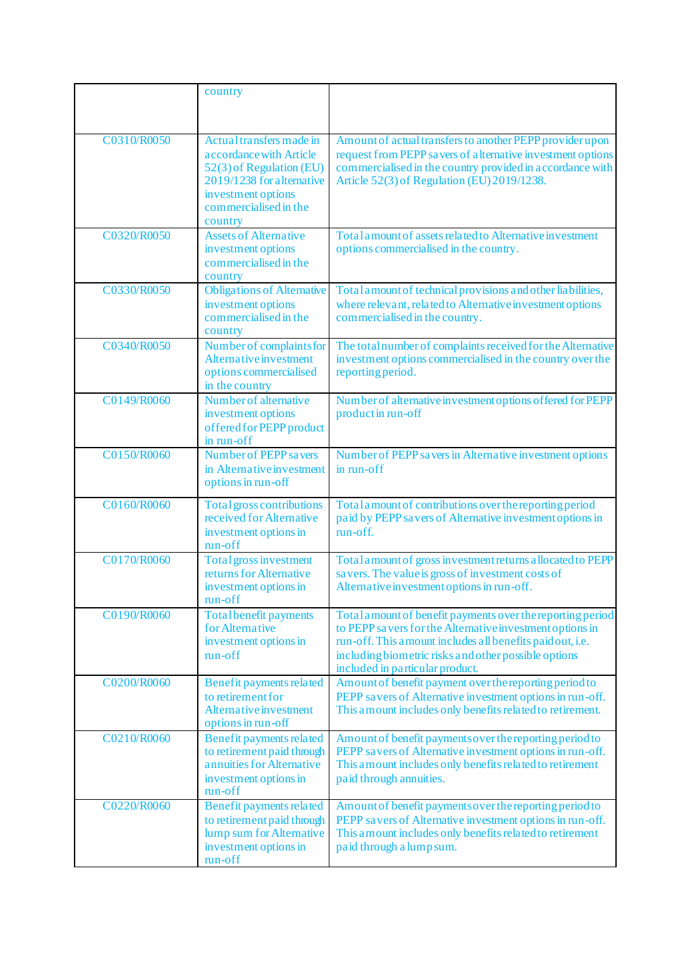|             | country                                                                                                                                                      |                                                                                                                                                                                                                                                                                |
|-------------|--------------------------------------------------------------------------------------------------------------------------------------------------------------|--------------------------------------------------------------------------------------------------------------------------------------------------------------------------------------------------------------------------------------------------------------------------------|
|             |                                                                                                                                                              |                                                                                                                                                                                                                                                                                |
| C0310/R0050 | Actual transfers made in<br>a ccordance with Article<br>52(3) of Regulation (EU)<br>2019/1238 for alternative<br>investment options<br>commercialised in the | Amount of actual transfers to another PEPP provider upon<br>request from PEPP savers of alternative investment options<br>commercialised in the country provided in accordance with<br>Article 52(3) of Regulation (EU) 2019/1238.                                             |
|             | country                                                                                                                                                      |                                                                                                                                                                                                                                                                                |
| C0320/R0050 | <b>Assets of Alternative</b><br>investment options<br>commercialised in the<br>country                                                                       | Total amount of assets related to Alternative investment<br>options commercialised in the country.                                                                                                                                                                             |
| C0330/R0050 | <b>Obligations of Alternative</b><br>investment options<br>commercialised in the<br>country                                                                  | Total amount of technical provisions and other liabilities,<br>where relevant, related to Alternative investment options<br>commercialised in the country.                                                                                                                     |
| C0340/R0050 | Number of complaints for<br>Alternative investment<br>options commercialised<br>in the country                                                               | The total number of complaints received for the Alternative<br>investment options commercialised in the country over the<br>reporting period.                                                                                                                                  |
| C0149/R0060 | Number of alternative<br>investment options<br>offered for PEPP product<br>in run-off                                                                        | Number of alternative investment options offered for PEPP<br>product in run-off                                                                                                                                                                                                |
| C0150/R0060 | Number of PEPP savers<br>in Alternative investment<br>options in run-off                                                                                     | Number of PEPP sa vers in Alternative investment options<br>in run-off                                                                                                                                                                                                         |
| C0160/R0060 | Total gross contributions<br>received for Alternative<br>investment options in<br>run-off                                                                    | Total amount of contributions over the reporting period<br>paid by PEPP savers of Alternative investment options in<br>run-off.                                                                                                                                                |
| C0170/R0060 | Total gross investment<br>returns for Alternative<br>investment options in<br>run-off                                                                        | Total amount of gross investment returns allocated to PEPP<br>savers. The value is gross of investment costs of<br>Alternative investment options in run-off.                                                                                                                  |
| C0190/R0060 | <b>Total benefit payments</b><br>for Alternative<br>investment options in<br>run-off                                                                         | Total amount of benefit payments over the reporting period<br>to PEPP savers for the Alternative investment options in<br>run-off. This amount includes all benefits paid out, i.e.<br>including biometric risks and other possible options<br>included in particular product. |
| C0200/R0060 | Benefit payments related<br>to retirement for<br>Alternative investment<br>options in run-off                                                                | Amount of benefit payment over the reporting period to<br>PEPP savers of Alternative investment options in run-off.<br>This a mount includes only benefits related to retirement.                                                                                              |
| C0210/R0060 | Benefit payments related<br>to retirement paid through<br>annuities for Alternative<br>investment options in<br>run-off                                      | Amount of benefit payments over the reporting period to<br>PEPP savers of Alternative investment options in run-off.<br>This a mount includes only benefits related to retirement<br>paid through annuities.                                                                   |
| C0220/R0060 | Benefit payments related<br>to retirement paid through<br>lump sum for Alternative<br>investment options in<br>run-off                                       | Amount of benefit payments over the reporting period to<br>PEPP savers of Alternative investment options in run-off.<br>This a mount includes only benefits related to retirement<br>paid through a lump sum.                                                                  |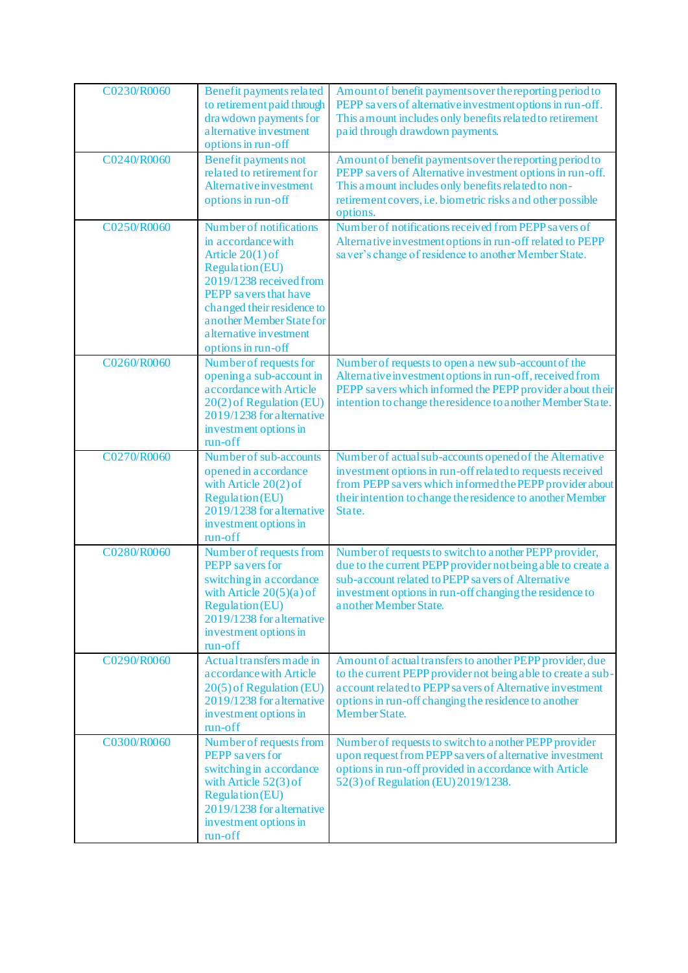| C0230/R0060 | Benefit payments related<br>to retirement paid through<br>drawdown payments for<br>a lternative investment<br>options in run-off                                                                                                                             | Amount of benefit payments over the reporting period to<br>PEPP savers of alternative investment options in run-off.<br>This amount includes only benefits related to retirement<br>paid through drawdown payments.                                                  |
|-------------|--------------------------------------------------------------------------------------------------------------------------------------------------------------------------------------------------------------------------------------------------------------|----------------------------------------------------------------------------------------------------------------------------------------------------------------------------------------------------------------------------------------------------------------------|
| C0240/R0060 | <b>Benefit payments not</b><br>related to retirement for<br>Alternative investment<br>options in run-off                                                                                                                                                     | Amount of benefit payments over the reporting period to<br>PEPP savers of Alternative investment options in run-off.<br>This a mount includes only benefits related to non-<br>retirement covers, i.e. biometric risks and other possible<br>options.                |
| C0250/R0060 | Number of notifications<br>in accordance with<br>Article $20(1)$ of<br><b>Regulation (EU)</b><br>2019/1238 received from<br>PEPP savers that have<br>changed their residence to<br>another Member State for<br>a lternative investment<br>options in run-off | Number of notifications received from PEPP savers of<br>Alternative investment options in run-off related to PEPP<br>saver's change of residence to another Member State.                                                                                            |
| C0260/R0060 | Number of requests for<br>opening a sub-account in<br>a ccordance with Article<br>20(2) of Regulation (EU)<br>2019/1238 for alternative<br>investment options in<br>run-off                                                                                  | Number of requests to open a new sub-account of the<br>Alternative investment options in run-off, received from<br>PEPP savers which informed the PEPP provider about their<br>intention to change the residence to another Member State.                            |
| C0270/R0060 | Number of sub-accounts<br>opened in accordance<br>with Article $20(2)$ of<br><b>Regulation</b> (EU)<br>2019/1238 for alternative<br>investment options in<br>run-off                                                                                         | Number of actual sub-accounts opened of the Alternative<br>investment options in run-off related to requests received<br>from PEPP savers which informed the PEPP provider about<br>their intention to change the residence to another Member<br>State.              |
| C0280/R0060 | Number of requests from<br>PEPP savers for<br>switching in accordance<br>with Article $20(5)(a)$ of<br><b>Regulation (EU)</b><br>2019/1238 for alternative<br>investment options in<br>run-off                                                               | Number of requests to switch to a nother PEPP provider,<br>due to the current PEPP provider not being a ble to create a<br>sub-account related to PEPP savers of Alternative<br>investment options in run-off changing the residence to<br>a nother Member State.    |
| C0290/R0060 | Actual transfers made in<br>a ccordance with Article<br>20(5) of Regulation (EU)<br>2019/1238 for alternative<br>investment options in<br>run-off                                                                                                            | Amount of actual transfers to another PEPP provider, due<br>to the current PEPP provider not being able to create a sub-<br>account related to PEPP savers of Alternative investment<br>options in run-off changing the residence to another<br><b>Member State.</b> |
| C0300/R0060 | Number of requests from<br><b>PEPP</b> savers for<br>switching in accordance<br>with Article $52(3)$ of<br><b>Regulation (EU)</b><br>2019/1238 for alternative<br>investment options in<br>run-off                                                           | Number of requests to switch to a nother PEPP provider<br>upon request from PEPP sa vers of a lternative investment<br>options in run-off provided in accordance with Article<br>52(3) of Regulation (EU) 2019/1238.                                                 |